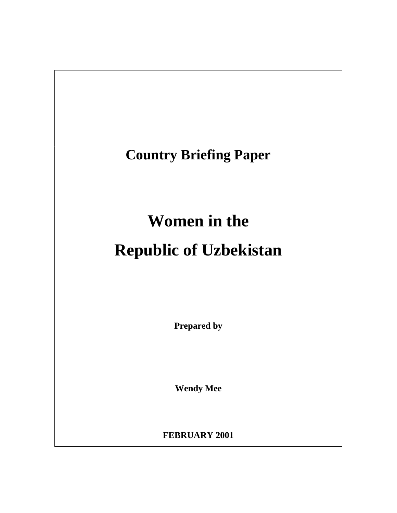

**FEBRUARY 2001**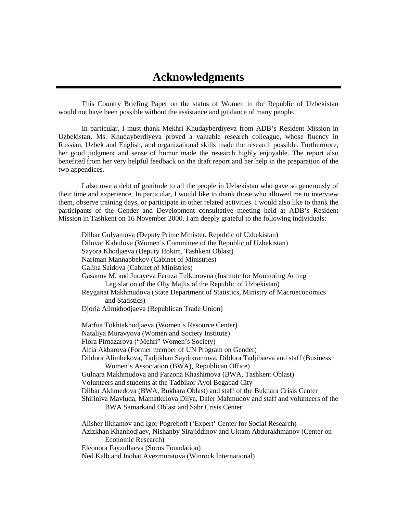This Country Briefing Paper on the status of Women in the Republic of Uzbekistan would not have been possible without the assistance and guidance of many people.

In particular, I must thank Mekhri Khudayberdiyeva from ADB's Resident Mission in Uzbekistan. Ms. Khudayberdiyeva proved a valuable research colleague, whose fluency in Russian, Uzbek and English, and organizational skills made the research possible. Furthermore, her good judgment and sense of humor made the research highly enjoyable. The report also benefited from her very helpful feedback on the draft report and her help in the preparation of the two appendices.

I also owe a debt of gratitude to all the people in Uzbekistan who gave so generously of their time and experience. In particular, I would like to thank those who allowed me to interview them, observe training days, or participate in other related activities. I would also like to thank the participants of the Gender and Development consultative meeting held at ADB's Resident Mission in Tashkent on 16 November 2000. I am deeply grateful to the following individuals:

Dilbar Gulyamova (Deputy Prime Minister, Republic of Uzbekistan) Dilovar Kabulova (Women's Committee of the Republic of Uzbekistan) Sayora Khodjaeva (Deputy Hokim, Tashkent Oblast) Nariman Mannapbekov (Cabinet of Ministries) Galina Saidova (Cabinet of Ministries) Gasanov M. and Jurayeva Feruza Tulkunovna (Institute for Monitoring Acting Legislation of the Oliy Majlis of the Republic of Uzbekistan) Reyganat Makhmudova (State Department of Statistics, Ministry of Macroeconomics and Statistics) Djoria Alimkhodjaeva (Republican Trade Union) Marfua Tokhtakhodjaeva (Women's Resource Center) Nataliya Muravyova (Women and Society Institute) Flora Pirnazarova ("Mehri" Women's Society) Alfia Akbarova (Former member of UN Program on Gender) Dildora Alimbekova, Tadjikhan Saydikramova, Dildora Tadjibaeva and staff (Business Women's Association (BWA), Republican Office) Gulnara Makhmudova and Farzona Khashimova (BWA, Tashkent Oblast) Volunteers and students at the Tadbikor Ayol Begabad City Dilbar Akhmedova (BWA, Bukhara Oblast) and staff of the Bukhara Crisis Center Shiriniva Mavluda, Mamatkulova Dilya, Daler Mahmudov and staff and volunteers of the BWA Samarkand Oblast and Sabr Crisis Center Alisher Ilkhamov and Igor Pogreboff ('Expert' Center for Social Research) Azizkhan Khanhodjaev, Nishanby Sirajiddinov and Uktam Abdurakhmanov (Center on Economic Research) Eleonora Fayzullaeva (Soros Foundation) Ned Kalb and Inobat Avezmuratova (Winrock International)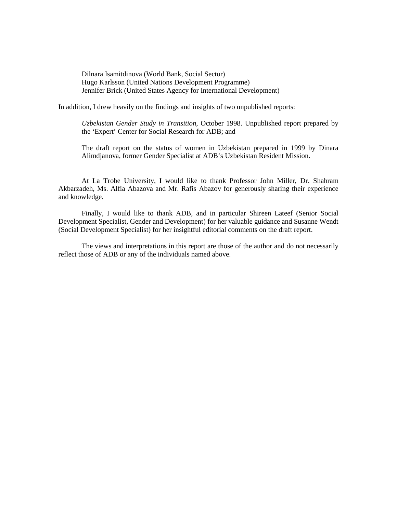Dilnara Isamitdinova (World Bank, Social Sector) Hugo Karlsson (United Nations Development Programme) Jennifer Brick (United States Agency for International Development)

In addition, I drew heavily on the findings and insights of two unpublished reports:

*Uzbekistan Gender Study in Transition*, October 1998. Unpublished report prepared by the 'Expert' Center for Social Research for ADB; and

The draft report on the status of women in Uzbekistan prepared in 1999 by Dinara Alimdjanova, former Gender Specialist at ADB's Uzbekistan Resident Mission.

At La Trobe University, I would like to thank Professor John Miller, Dr. Shahram Akbarzadeh, Ms. Alfia Abazova and Mr. Rafis Abazov for generously sharing their experience and knowledge.

Finally, I would like to thank ADB, and in particular Shireen Lateef (Senior Social Development Specialist, Gender and Development) for her valuable guidance and Susanne Wendt (Social Development Specialist) for her insightful editorial comments on the draft report.

The views and interpretations in this report are those of the author and do not necessarily reflect those of ADB or any of the individuals named above.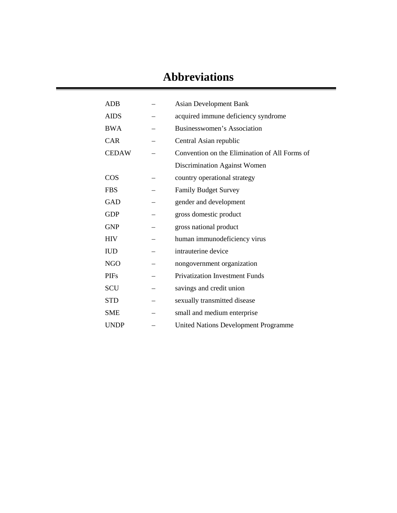# **Abbreviations**

| <b>ADB</b>   | <b>Asian Development Bank</b>                 |
|--------------|-----------------------------------------------|
| <b>AIDS</b>  | acquired immune deficiency syndrome           |
| <b>BWA</b>   | Businesswomen's Association                   |
| <b>CAR</b>   | Central Asian republic                        |
| <b>CEDAW</b> | Convention on the Elimination of All Forms of |
|              | Discrimination Against Women                  |
| COS          | country operational strategy                  |
| <b>FBS</b>   | <b>Family Budget Survey</b>                   |
| <b>GAD</b>   | gender and development                        |
| <b>GDP</b>   | gross domestic product                        |
| <b>GNP</b>   | gross national product                        |
| <b>HIV</b>   | human immunodeficiency virus                  |
| <b>IUD</b>   | intrauterine device                           |
| <b>NGO</b>   | nongovernment organization                    |
| <b>PIFs</b>  | <b>Privatization Investment Funds</b>         |
| SCU          | savings and credit union                      |
| <b>STD</b>   | sexually transmitted disease                  |
| <b>SME</b>   | small and medium enterprise                   |
| <b>UNDP</b>  | <b>United Nations Development Programme</b>   |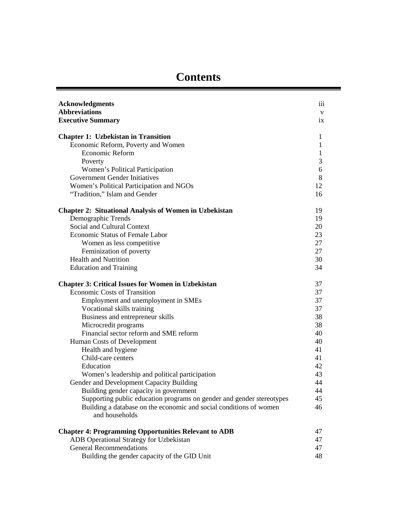| <b>Acknowledgments</b><br><b>Abbreviations</b>                        | iii                |
|-----------------------------------------------------------------------|--------------------|
| <b>Executive Summary</b>                                              | $\mathbf{V}$<br>ix |
|                                                                       |                    |
| <b>Chapter 1: Uzbekistan in Transition</b>                            | $\mathbf{1}$       |
| Economic Reform, Poverty and Women                                    | $\mathbf{1}$       |
| Economic Reform                                                       | $\mathbf{1}$       |
| Poverty                                                               | 3                  |
| Women's Political Participation                                       | 6                  |
| <b>Government Gender Initiatives</b>                                  | 8                  |
| Women's Political Participation and NGOs                              | 12                 |
| "Tradition," Islam and Gender                                         | 16                 |
| <b>Chapter 2: Situational Analysis of Women in Uzbekistan</b>         | 19                 |
| Demographic Trends                                                    | 19                 |
| Social and Cultural Context                                           | 20                 |
| <b>Economic Status of Female Labor</b>                                | 23                 |
| Women as less competitive                                             | 27                 |
| Feminization of poverty                                               | 27                 |
| <b>Health and Nutrition</b>                                           | 30                 |
| <b>Education and Training</b>                                         | 34                 |
| <b>Chapter 3: Critical Issues for Women in Uzbekistan</b>             | 37                 |
| <b>Economic Costs of Transition</b>                                   | 37                 |
| Employment and unemployment in SMEs                                   | 37                 |
| Vocational skills training                                            | 37                 |
| Business and entrepreneur skills                                      | 38                 |
| Microcredit programs                                                  | 38                 |
| Financial sector reform and SME reform                                | 40                 |
| Human Costs of Development                                            | 40                 |
| Health and hygiene                                                    | 41                 |
| Child-care centers                                                    | 41                 |
| Education                                                             | 42                 |
| Women's leadership and political participation                        | 43                 |
| Gender and Development Capacity Building                              | 44                 |
| Building gender capacity in government                                | 44                 |
| Supporting public education programs on gender and gender stereotypes | 45                 |
| Building a database on the economic and social conditions of women    | 46                 |
| and households                                                        |                    |
| <b>Chapter 4: Programming Opportunities Relevant to ADB</b>           | 47                 |
| ADB Operational Strategy for Uzbekistan                               | 47                 |
| <b>General Recommendations</b>                                        | 47                 |
| Building the gender capacity of the GID Unit                          | 48                 |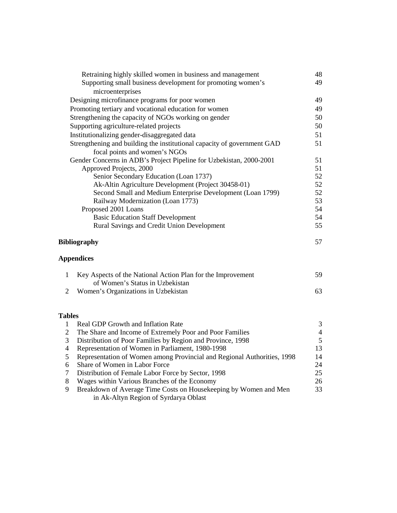|                | Retraining highly skilled women in business and management                                     | 48             |
|----------------|------------------------------------------------------------------------------------------------|----------------|
|                | Supporting small business development for promoting women's                                    | 49             |
|                | microenterprises                                                                               |                |
|                | Designing microfinance programs for poor women                                                 | 49             |
|                | Promoting tertiary and vocational education for women                                          | 49             |
|                | Strengthening the capacity of NGOs working on gender                                           | 50             |
|                | Supporting agriculture-related projects                                                        | 50             |
|                | Institutionalizing gender-disaggregated data                                                   | 51             |
|                | Strengthening and building the institutional capacity of government GAD                        | 51             |
|                | focal points and women's NGOs                                                                  |                |
|                | Gender Concerns in ADB's Project Pipeline for Uzbekistan, 2000-2001                            | 51             |
|                | Approved Projects, 2000                                                                        | 51             |
|                | Senior Secondary Education (Loan 1737)                                                         | 52             |
|                | Ak-Altin Agriculture Development (Project 30458-01)                                            | 52             |
|                | Second Small and Medium Enterprise Development (Loan 1799)                                     | 52             |
|                | Railway Modernization (Loan 1773)                                                              | 53             |
|                | Proposed 2001 Loans                                                                            | 54             |
|                | <b>Basic Education Staff Development</b>                                                       | 54             |
|                | Rural Savings and Credit Union Development                                                     | 55             |
|                | <b>Bibliography</b>                                                                            | 57             |
|                | <b>Appendices</b>                                                                              |                |
| 1              | Key Aspects of the National Action Plan for the Improvement<br>of Women's Status in Uzbekistan | 59             |
| $\overline{2}$ | Women's Organizations in Uzbekistan                                                            | 63             |
|                |                                                                                                |                |
| <b>Tables</b>  |                                                                                                |                |
| 1              | Real GDP Growth and Inflation Rate                                                             | 3              |
| $\overline{2}$ | The Share and Income of Extremely Poor and Poor Families                                       | $\overline{4}$ |
| 3              | Distribution of Poor Families by Region and Province, 1998                                     | 5              |
| 4              | Representation of Women in Parliament, 1980-1998                                               | 13             |
| 5              | Representation of Women among Provincial and Regional Authorities, 1998                        | 14             |
| 6              | Share of Women in Labor Force                                                                  | 24             |
| 7              | Distribution of Female Labor Force by Sector, 1998                                             | 25             |
| 8              | Wages within Various Branches of the Economy                                                   | 26             |
| 9              | Breakdown of Average Time Costs on Housekeeping by Women and Men                               | 33             |
|                | in Ak-Altyn Region of Syrdarya Oblast                                                          |                |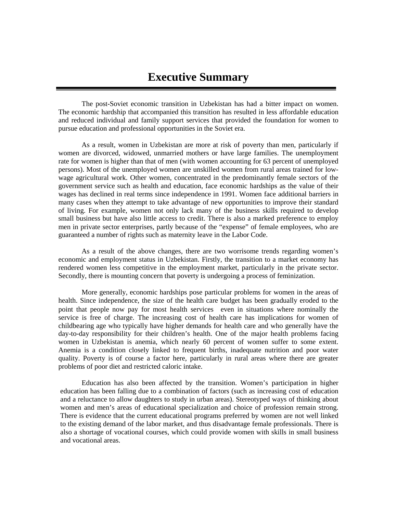The post-Soviet economic transition in Uzbekistan has had a bitter impact on women. The economic hardship that accompanied this transition has resulted in less affordable education and reduced individual and family support services that provided the foundation for women to pursue education and professional opportunities in the Soviet era.

As a result, women in Uzbekistan are more at risk of poverty than men, particularly if women are divorced, widowed, unmarried mothers or have large families. The unemployment rate for women is higher than that of men (with women accounting for 63 percent of unemployed persons). Most of the unemployed women are unskilled women from rural areas trained for lowwage agricultural work. Other women, concentrated in the predominantly female sectors of the government service such as health and education, face economic hardships as the value of their wages has declined in real terms since independence in 1991. Women face additional barriers in many cases when they attempt to take advantage of new opportunities to improve their standard of living. For example, women not only lack many of the business skills required to develop small business but have also little access to credit. There is also a marked preference to employ men in private sector enterprises, partly because of the "expense" of female employees, who are guaranteed a number of rights such as maternity leave in the Labor Code.

As a result of the above changes, there are two worrisome trends regarding women's economic and employment status in Uzbekistan. Firstly, the transition to a market economy has rendered women less competitive in the employment market, particularly in the private sector. Secondly, there is mounting concern that poverty is undergoing a process of feminization.

More generally, economic hardships pose particular problems for women in the areas of health. Since independence, the size of the health care budget has been gradually eroded to the point that people now pay for most health services—even in situations where nominally the service is free of charge. The increasing cost of health care has implications for women of childbearing age who typically have higher demands for health care and who generally have the day-to-day responsibility for their children's health. One of the major health problems facing women in Uzbekistan is anemia, which nearly 60 percent of women suffer to some extent. Anemia is a condition closely linked to frequent births, inadequate nutrition and poor water quality. Poverty is of course a factor here, particularly in rural areas where there are greater problems of poor diet and restricted caloric intake.

Education has also been affected by the transition. Women's participation in higher education has been falling due to a combination of factors (such as increasing cost of education and a reluctance to allow daughters to study in urban areas). Stereotyped ways of thinking about women and men's areas of educational specialization and choice of profession remain strong. There is evidence that the current educational programs preferred by women are not well linked to the existing demand of the labor market, and thus disadvantage female professionals. There is also a shortage of vocational courses, which could provide women with skills in small business and vocational areas.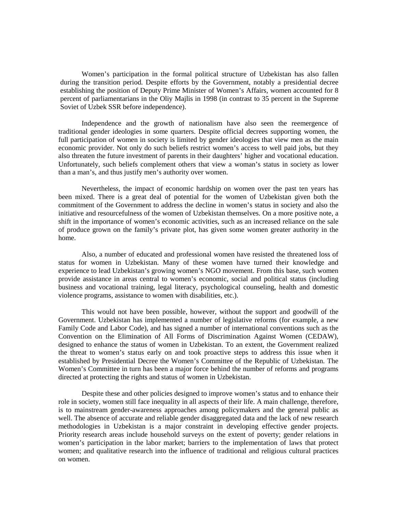Women's participation in the formal political structure of Uzbekistan has also fallen during the transition period. Despite efforts by the Government, notably a presidential decree establishing the position of Deputy Prime Minister of Women's Affairs, women accounted for 8 percent of parliamentarians in the Oliy Majlis in 1998 (in contrast to 35 percent in the Supreme Soviet of Uzbek SSR before independence).

Independence and the growth of nationalism have also seen the reemergence of traditional gender ideologies in some quarters. Despite official decrees supporting women, the full participation of women in society is limited by gender ideologies that view men as the main economic provider. Not only do such beliefs restrict women's access to well paid jobs, but they also threaten the future investment of parents in their daughters' higher and vocational education. Unfortunately, such beliefs complement others that view a woman's status in society as lower than a man's, and thus justify men's authority over women.

Nevertheless, the impact of economic hardship on women over the past ten years has been mixed. There is a great deal of potential for the women of Uzbekistan given both the commitment of the Government to address the decline in women's status in society and also the initiative and resourcefulness of the women of Uzbekistan themselves. On a more positive note, a shift in the importance of women's economic activities, such as an increased reliance on the sale of produce grown on the family's private plot, has given some women greater authority in the home.

Also, a number of educated and professional women have resisted the threatened loss of status for women in Uzbekistan. Many of these women have turned their knowledge and experience to lead Uzbekistan's growing women's NGO movement. From this base, such women provide assistance in areas central to women's economic, social and political status (including business and vocational training, legal literacy, psychological counseling, health and domestic violence programs, assistance to women with disabilities, etc.).

This would not have been possible, however, without the support and goodwill of the Government. Uzbekistan has implemented a number of legislative reforms (for example, a new Family Code and Labor Code), and has signed a number of international conventions such as the Convention on the Elimination of All Forms of Discrimination Against Women (CEDAW), designed to enhance the status of women in Uzbekistan. To an extent, the Government realized the threat to women's status early on and took proactive steps to address this issue when it established by Presidential Decree the Women's Committee of the Republic of Uzbekistan. The Women's Committee in turn has been a major force behind the number of reforms and programs directed at protecting the rights and status of women in Uzbekistan.

Despite these and other policies designed to improve women's status and to enhance their role in society, women still face inequality in all aspects of their life. A main challenge, therefore, is to mainstream gender-awareness approaches among policymakers and the general public as well. The absence of accurate and reliable gender disaggregated data and the lack of new research methodologies in Uzbekistan is a major constraint in developing effective gender projects. Priority research areas include household surveys on the extent of poverty; gender relations in women's participation in the labor market; barriers to the implementation of laws that protect women; and qualitative research into the influence of traditional and religious cultural practices on women.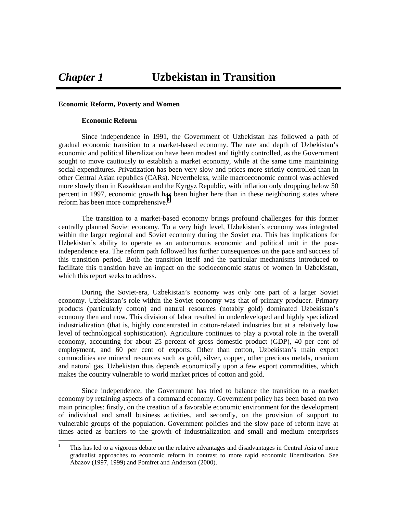#### **Economic Reform, Poverty and Women**

#### **Economic Reform**

Since independence in 1991, the Government of Uzbekistan has followed a path of gradual economic transition to a market-based economy. The rate and depth of Uzbekistan's economic and political liberalization have been modest and tightly controlled, as the Government sought to move cautiously to establish a market economy, while at the same time maintaining social expenditures. Privatization has been very slow and prices more strictly controlled than in other Central Asian republics (CARs). Nevertheless, while macroeconomic control was achieved more slowly than in Kazakhstan and the Kyrgyz Republic, with inflation only dropping below 50 percent in 1997, economic growth has been higher here than in these neighboring states where reform has been more comprehensive.<sup>1</sup>

The transition to a market-based economy brings profound challenges for this former centrally planned Soviet economy. To a very high level, Uzbekistan's economy was integrated within the larger regional and Soviet economy during the Soviet era. This has implications for Uzbekistan's ability to operate as an autonomous economic and political unit in the postindependence era. The reform path followed has further consequences on the pace and success of this transition period. Both the transition itself and the particular mechanisms introduced to facilitate this transition have an impact on the socioeconomic status of women in Uzbekistan, which this report seeks to address.

During the Soviet-era, Uzbekistan's economy was only one part of a larger Soviet economy. Uzbekistan's role within the Soviet economy was that of primary producer. Primary products (particularly cotton) and natural resources (notably gold) dominated Uzbekistan's economy then and now. This division of labor resulted in underdeveloped and highly specialized industrialization (that is, highly concentrated in cotton-related industries but at a relatively low level of technological sophistication). Agriculture continues to play a pivotal role in the overall economy, accounting for about 25 percent of gross domestic product (GDP), 40 per cent of employment, and 60 per cent of exports. Other than cotton, Uzbekistan's main export commodities are mineral resources such as gold, silver, copper, other precious metals, uranium and natural gas. Uzbekistan thus depends economically upon a few export commodities, which makes the country vulnerable to world market prices of cotton and gold.

Since independence, the Government has tried to balance the transition to a market economy by retaining aspects of a command economy. Government policy has been based on two main principles: firstly, on the creation of a favorable economic environment for the development of individual and small business activities, and secondly, on the provision of support to vulnerable groups of the population. Government policies and the slow pace of reform have at times acted as barriers to the growth of industrialization and small and medium enterprises

 $\frac{1}{1}$  This has led to a vigorous debate on the relative advantages and disadvantages in Central Asia of more gradualist approaches to economic reform in contrast to more rapid economic liberalization. See Abazov (1997, 1999) and Pomfret and Anderson (2000).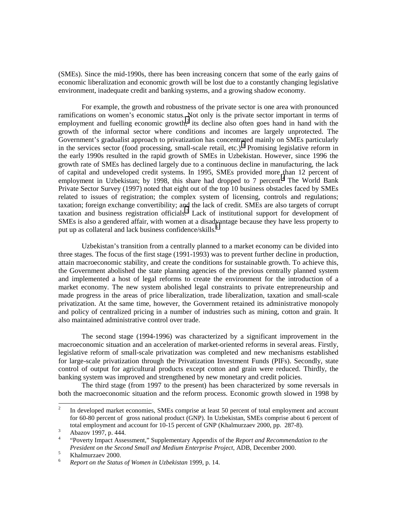(SMEs). Since the mid-1990s, there has been increasing concern that some of the early gains of economic liberalization and economic growth will be lost due to a constantly changing legislative environment, inadequate credit and banking systems, and a growing shadow economy.

For example, the growth and robustness of the private sector is one area with pronounced ramifications on women's economic status. Not only is the private sector important in terms of employment and fuelling economic growth,<sup>2</sup> its decline also often goes hand in hand with the growth of the informal sector where conditions and incomes are largely unprotected. The Government's gradualist approach to privatization has concentrated mainly on SMEs particularly in the services sector (food processing, small-scale retail, etc.).<sup>3</sup> Promising legislative reform in the early 1990s resulted in the rapid growth of SMEs in Uzbekistan. However, since 1996 the growth rate of SMEs has declined largely due to a continuous decline in manufacturing, the lack of capital and undeveloped credit systems. In 1995, SMEs provided more than 12 percent of employment in Uzbekistan; by 1998, this share had dropped to 7 percent.<sup>4</sup> The World Bank Private Sector Survey (1997) noted that eight out of the top 10 business obstacles faced by SMEs related to issues of registration; the complex system of licensing, controls and regulations; taxation; foreign exchange convertibility; and the lack of credit. SMEs are also targets of corrupt taxation and business registration officials.<sup>5</sup> Lack of institutional support for development of SMEs is also a gendered affair, with women at a disadvantage because they have less property to put up as collateral and lack business confidence/skills.<sup>6</sup>

Uzbekistan's transition from a centrally planned to a market economy can be divided into three stages. The focus of the first stage (1991-1993) was to prevent further decline in production, attain macroeconomic stability, and create the conditions for sustainable growth. To achieve this, the Government abolished the state planning agencies of the previous centrally planned system and implemented a host of legal reforms to create the environment for the introduction of a market economy. The new system abolished legal constraints to private entrepreneurship and made progress in the areas of price liberalization, trade liberalization, taxation and small-scale privatization. At the same time, however, the Government retained its administrative monopoly and policy of centralized pricing in a number of industries such as mining, cotton and grain. It also maintained administrative control over trade.

The second stage (1994-1996) was characterized by a significant improvement in the macroeconomic situation and an acceleration of market-oriented reforms in several areas. Firstly, legislative reform of small-scale privatization was completed and new mechanisms established for large-scale privatization through the Privatization Investment Funds (PIFs). Secondly, state control of output for agricultural products except cotton and grain were reduced. Thirdly, the banking system was improved and strengthened by new monetary and credit policies.

The third stage (from 1997 to the present) has been characterized by some reversals in both the macroeconomic situation and the reform process. Economic growth slowed in 1998 by

 $\frac{1}{2}$  In developed market economies, SMEs comprise at least 50 percent of total employment and account for 60-80 percent of gross national product (GNP). In Uzbekistan, SMEs comprise about 6 percent of total employment and account for 10-15 percent of GNP (Khalmurzaev 2000, pp. 287-8).

Abazov 1997, p. 444.

<sup>4</sup> "Poverty Impact Assessment," Supplementary Appendix of the *Report and Recommendation to the President on the Second Small and Medium Enterprise Project*, ADB, December 2000. <sup>5</sup>

 $\frac{5}{6}$  Khalmurzaev 2000.

<sup>6</sup> *Report on the Status of Women in Uzbekistan* 1999, p. 14.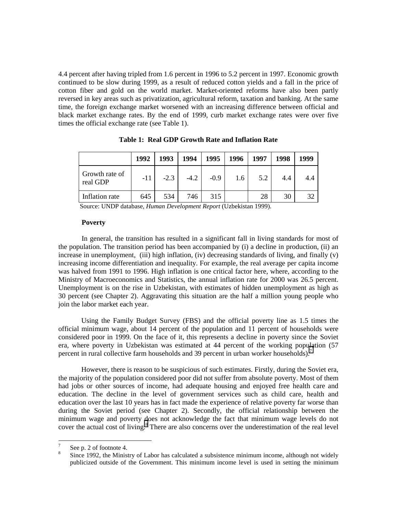4.4 percent after having tripled from 1.6 percent in 1996 to 5.2 percent in 1997. Economic growth continued to be slow during 1999, as a result of reduced cotton yields and a fall in the price of cotton fiber and gold on the world market. Market-oriented reforms have also been partly reversed in key areas such as privatization, agricultural reform, taxation and banking. At the same time, the foreign exchange market worsened with an increasing difference between official and black market exchange rates. By the end of 1999, curb market exchange rates were over five times the official exchange rate (see Table 1).

|                            | 1992 | 1993   | 1994   | 1995   | 1996 | 1997 | 1998 | 1999 |
|----------------------------|------|--------|--------|--------|------|------|------|------|
| Growth rate of<br>real GDP | -11  | $-2.3$ | $-4.2$ | $-0.9$ | 1.6  | 5.2  | 4.4  | 4.4  |
| Inflation rate             | 645  | 534    | 746    | 315    |      | 28   | 30   | 32   |

**Table 1: Real GDP Growth Rate and Inflation Rate**

Source: UNDP database, *Human Development Report* (Uzbekistan 1999).

#### **Poverty**

In general, the transition has resulted in a significant fall in living standards for most of the population. The transition period has been accompanied by (i) a decline in production, (ii) an increase in unemployment, (iii) high inflation, (iv) decreasing standards of living, and finally (v) increasing income differentiation and inequality. For example, the real average per capita income was halved from 1991 to 1996. High inflation is one critical factor here, where, according to the Ministry of Macroeconomics and Statistics, the annual inflation rate for 2000 was 26.5 percent. Unemployment is on the rise in Uzbekistan, with estimates of hidden unemployment as high as 30 percent (see Chapter 2). Aggravating this situation are the half a million young people who join the labor market each year.

Using the Family Budget Survey (FBS) and the official poverty line as 1.5 times the official minimum wage, about 14 percent of the population and 11 percent of households were considered poor in 1999. On the face of it, this represents a decline in poverty since the Soviet era, where poverty in Uzbekistan was estimated at 44 percent of the working population (57 percent in rural collective farm households and 39 percent in urban worker households).<sup>7</sup>

However, there is reason to be suspicious of such estimates. Firstly, during the Soviet era, the majority of the population considered poor did not suffer from absolute poverty. Most of them had jobs or other sources of income, had adequate housing and enjoyed free health care and education. The decline in the level of government services such as child care, health and education over the last 10 years has in fact made the experience of relative poverty far worse than during the Soviet period (see Chapter 2). Secondly, the official relationship between the minimum wage and poverty does not acknowledge the fact that minimum wage levels do not cover the actual cost of living.<sup>8</sup> There are also concerns over the underestimation of the real level

<sup>-&</sup>lt;br>7 See p. 2 of footnote 4.

<sup>8</sup> Since 1992, the Ministry of Labor has calculated a subsistence minimum income, although not widely publicized outside of the Government. This minimum income level is used in setting the minimum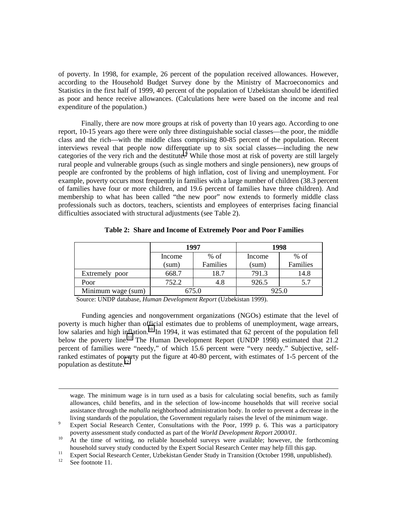of poverty. In 1998, for example, 26 percent of the population received allowances. However, according to the Household Budget Survey done by the Ministry of Macroeconomics and Statistics in the first half of 1999, 40 percent of the population of Uzbekistan should be identified as poor and hence receive allowances. (Calculations here were based on the income and real expenditure of the population.)

Finally, there are now more groups at risk of poverty than 10 years ago. According to one report, 10-15 years ago there were only three distinguishable social classes—the poor, the middle class and the rich—with the middle class comprising 80-85 percent of the population. Recent interviews reveal that people now differentiate up to six social classes—including the new categories of the very rich and the destitute.<sup>9</sup> While those most at risk of poverty are still largely rural people and vulnerable groups (such as single mothers and single pensioners), new groups of people are confronted by the problems of high inflation, cost of living and unemployment. For example, poverty occurs most frequently in families with a large number of children (38.3 percent of families have four or more children, and 19.6 percent of families have three children). And membership to what has been called "the new poor" now extends to formerly middle class professionals such as doctors, teachers, scientists and employees of enterprises facing financial difficulties associated with structural adjustments (see Table 2).

|                    |        | 1997     |        | 1998     |  |
|--------------------|--------|----------|--------|----------|--|
|                    | Income | $%$ of   | Income | $%$ of   |  |
|                    | (sum)  | Families | (sum)  | Families |  |
| Extremely poor     | 668.7  | 18.7     | 791.3  | 14.8     |  |
| Poor               | 752.2  | 4.8      | 926.5  | 5.7      |  |
| Minimum wage (sum) |        | 675.0    |        | 925.0    |  |

**Table 2: Share and Income of Extremely Poor and Poor Families**

Source: UNDP database, *Human Development Report* (Uzbekistan 1999).

Funding agencies and nongovernment organizations (NGOs) estimate that the level of poverty is much higher than official estimates due to problems of unemployment, wage arrears, low salaries and high inflation.<sup>10</sup> In 1994, it was estimated that 62 percent of the population fell below the poverty line.<sup>11</sup> The Human Development Report (UNDP 1998) estimated that 21.2 percent of families were "needy," of which 15.6 percent were "very needy." Subjective, selfranked estimates of poverty put the figure at 40-80 percent, with estimates of 1-5 percent of the population as destitute. $^{12}$ 

wage. The minimum wage is in turn used as a basis for calculating social benefits, such as family allowances, child benefits, and in the selection of low-income households that will receive social assistance through the *mahalla* neighborhood administration body. In order to prevent a decrease in the living standards of the population, the Government regularly raises the level of the minimum wage.

 $\overline{a}$ 

Expert Social Research Center, Consultations with the Poor, 1999 p. 6. This was a participatory poverty assessment study conducted as part of the *World Development Report 2000/01*.<br><sup>10</sup> At the time of writing, no reliable household surveys were available; however, the forthcoming

household survey study conducted by the Expert Social Research Center may help fill this gap.<br>
<sup>11</sup> Expert Social Research Center, Uzbekistan Gender Study in Transition (October 1998, unpublished).<br>
<sup>12</sup> See footpote 11

See footnote 11.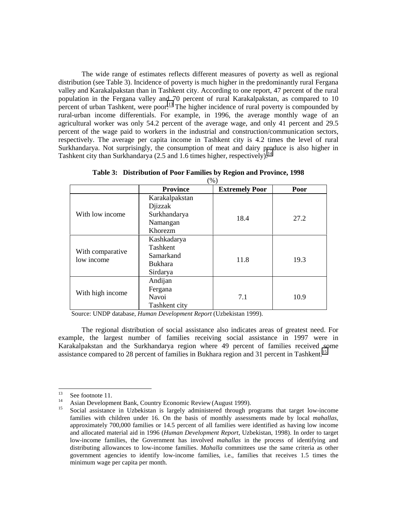The wide range of estimates reflects different measures of poverty as well as regional distribution (see Table 3). Incidence of poverty is much higher in the predominantly rural Fergana valley and Karakalpakstan than in Tashkent city. According to one report, 47 percent of the rural population in the Fergana valley and 70 percent of rural Karakalpakstan, as compared to 10 percent of urban Tashkent, were poor.<sup>13</sup> The higher incidence of rural poverty is compounded by rural-urban income differentials. For example, in 1996, the average monthly wage of an agricultural worker was only 54.2 percent of the average wage, and only 41 percent and 29.5 percent of the wage paid to workers in the industrial and construction/communication sectors, respectively. The average per capita income in Tashkent city is 4.2 times the level of rural Surkhandarya. Not surprisingly, the consumption of meat and dairy produce is also higher in Tashkent city than Surkhandarya (2.5 and 1.6 times higher, respectively).<sup>14</sup>

|                                | $(\%)$          |                       |      |
|--------------------------------|-----------------|-----------------------|------|
|                                | <b>Province</b> | <b>Extremely Poor</b> | Poor |
|                                | Karakalpakstan  |                       |      |
|                                | Djizzak         |                       |      |
| With low income                | Surkhandarya    | 18.4                  | 27.2 |
|                                | Namangan        |                       |      |
|                                | Khorezm         |                       |      |
|                                | Kashkadarya     |                       |      |
|                                | Tashkent        |                       |      |
| With comparative<br>low income | Samarkand       | 11.8                  | 19.3 |
|                                | <b>Bukhara</b>  |                       |      |
|                                | Sirdarya        |                       |      |
|                                | Andijan         |                       |      |
| With high income               | Fergana         |                       |      |
|                                | Navoi           | 7.1                   | 10.9 |
|                                | Tashkent city   |                       |      |

**Table 3: Distribution of Poor Families by Region and Province, 1998**

Source: UNDP database, *Human Development Report* (Uzbekistan 1999).

The regional distribution of social assistance also indicates areas of greatest need. For example, the largest number of families receiving social assistance in 1997 were in Karakalpakstan and the Surkhandarya region where 49 percent of families received some assistance compared to 28 percent of families in Bukhara region and 31 percent in Tashkent.<sup>15</sup>

<sup>13</sup> 

<sup>&</sup>lt;sup>13</sup> See footnote 11.<br><sup>14</sup> Asian Development Bank, Country Economic Review (August 1999).<br><sup>15</sup> Social assistance in Uzbekistan is largely administered through programs that target low-income families with children under 16. On the basis of monthly assessments made by local *mahallas*, approximately 700,000 families or 14.5 percent of all families were identified as having low income and allocated material aid in 1996 (*Human Development Report*, Uzbekistan, 1998). In order to target low-income families, the Government has involved *mahallas* in the process of identifying and distributing allowances to low-income families. *Mahalla* committees use the same criteria as other government agencies to identify low-income families, i.e., families that receives 1.5 times the minimum wage per capita per month.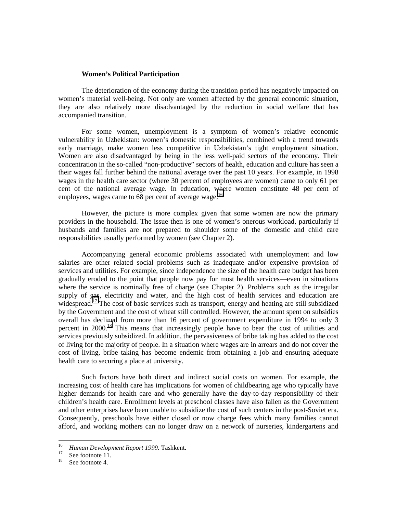#### **Women's Political Participation**

The deterioration of the economy during the transition period has negatively impacted on women's material well-being. Not only are women affected by the general economic situation, they are also relatively more disadvantaged by the reduction in social welfare that has accompanied transition.

For some women, unemployment is a symptom of women's relative economic vulnerability in Uzbekistan: women's domestic responsibilities, combined with a trend towards early marriage, make women less competitive in Uzbekistan's tight employment situation. Women are also disadvantaged by being in the less well-paid sectors of the economy. Their concentration in the so-called "non-productive" sectors of health, education and culture has seen a their wages fall further behind the national average over the past 10 years. For example, in 1998 wages in the health care sector (where 30 percent of employees are women) came to only 61 per cent of the national average wage. In education, where women constitute 48 per cent of employees, wages came to 68 per cent of average wage.<sup>16</sup>

However, the picture is more complex given that some women are now the primary providers in the household. The issue then is one of women's onerous workload, particularly if husbands and families are not prepared to shoulder some of the domestic and child care responsibilities usually performed by women (see Chapter 2).

Accompanying general economic problems associated with unemployment and low salaries are other related social problems such as inadequate and/or expensive provision of services and utilities. For example, since independence the size of the health care budget has been gradually eroded to the point that people now pay for most health services—even in situations where the service is nominally free of charge (see Chapter 2). Problems such as the irregular supply of gas, electricity and water, and the high cost of health services and education are widespread.<sup>17</sup> The cost of basic services such as transport, energy and heating are still subsidized by the Government and the cost of wheat still controlled. However, the amount spent on subsidies overall has declined from more than 16 percent of government expenditure in 1994 to only 3 percent in 2000.<sup>18</sup> This means that increasingly people have to bear the cost of utilities and services previously subsidized. In addition, the pervasiveness of bribe taking has added to the cost of living for the majority of people. In a situation where wages are in arrears and do not cover the cost of living, bribe taking has become endemic from obtaining a job and ensuring adequate health care to securing a place at university.

Such factors have both direct and indirect social costs on women. For example, the increasing cost of health care has implications for women of childbearing age who typically have higher demands for health care and who generally have the day-to-day responsibility of their children's health care. Enrollment levels at preschool classes have also fallen as the Government and other enterprises have been unable to subsidize the cost of such centers in the post-Soviet era. Consequently, preschools have either closed or now charge fees which many families cannot afford, and working mothers can no longer draw on a network of nurseries, kindergartens and

 $16<sup>16</sup>$ <sup>16</sup> Human Development Report 1999. Tashkent.<br><sup>17</sup> See footnote 11.<br><sup>18</sup> See footnote 4.

See footnote 4.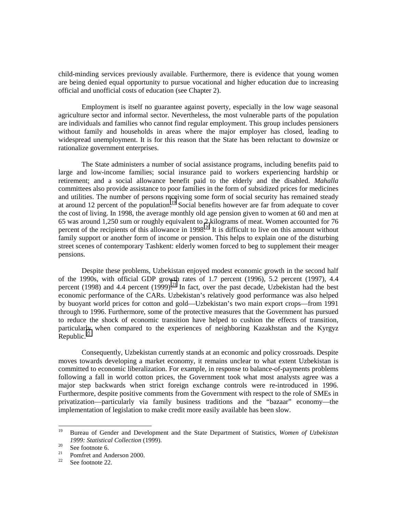child-minding services previously available. Furthermore, there is evidence that young women are being denied equal opportunity to pursue vocational and higher education due to increasing official and unofficial costs of education (see Chapter 2).

Employment is itself no guarantee against poverty, especially in the low wage seasonal agriculture sector and informal sector. Nevertheless, the most vulnerable parts of the population are individuals and families who cannot find regular employment. This group includes pensioners without family and households in areas where the major employer has closed, leading to widespread unemployment. It is for this reason that the State has been reluctant to downsize or rationalize government enterprises.

The State administers a number of social assistance programs, including benefits paid to large and low-income families; social insurance paid to workers experiencing hardship or retirement; and a social allowance benefit paid to the elderly and the disabled. *Mahalla* committees also provide assistance to poor families in the form of subsidized prices for medicines and utilities. The number of persons receiving some form of social security has remained steady at around 12 percent of the population.<sup>19</sup> Social benefits however are far from adequate to cover the cost of living. In 1998, the average monthly old age pension given to women at 60 and men at 65 was around 1,250 sum or roughly equivalent to 2 kilograms of meat. Women accounted for 76 percent of the recipients of this allowance in 1998.<sup>20</sup> It is difficult to live on this amount without family support or another form of income or pension. This helps to explain one of the disturbing street scenes of contemporary Tashkent: elderly women forced to beg to supplement their meager pensions.

Despite these problems, Uzbekistan enjoyed modest economic growth in the second half of the 1990s, with official GDP growth rates of 1.7 percent (1996), 5.2 percent (1997), 4.4 percent (1998) and 4.4 percent (1999).<sup>21</sup> In fact, over the past decade, Uzbekistan had the best economic performance of the CARs. Uzbekistan's relatively good performance was also helped by buoyant world prices for cotton and gold—Uzbekistan's two main export crops—from 1991 through to 1996. Furthermore, some of the protective measures that the Government has pursued to reduce the shock of economic transition have helped to cushion the effects of transition, particularly when compared to the experiences of neighboring Kazakhstan and the Kyrgyz Republic. $^{22}$ 

Consequently, Uzbekistan currently stands at an economic and policy crossroads. Despite moves towards developing a market economy, it remains unclear to what extent Uzbekistan is committed to economic liberalization. For example, in response to balance-of-payments problems following a fall in world cotton prices, the Government took what most analysts agree was a major step backwards when strict foreign exchange controls were re-introduced in 1996. Furthermore, despite positive comments from the Government with respect to the role of SMEs in privatization—particularly via family business traditions and the "bazaar" economy—the implementation of legislation to make credit more easily available has been slow.

<sup>19</sup> <sup>19</sup>Bureau of Gender and Development and the State Department of Statistics, *Women of Uzbekistan 1999: Statistical Collection* (1999).<br><sup>20</sup> See footnote 6.<br><sup>21</sup> Domfrat and Anderson 2000.

<sup>&</sup>lt;sup>21</sup> Pomfret and Anderson 2000.

See footnote 22.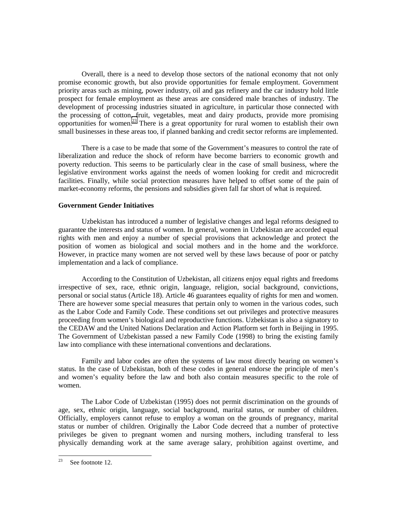Overall, there is a need to develop those sectors of the national economy that not only promise economic growth, but also provide opportunities for female employment. Government priority areas such as mining, power industry, oil and gas refinery and the car industry hold little prospect for female employment as these areas are considered male branches of industry. The development of processing industries situated in agriculture, in particular those connected with the processing of cotton, fruit, vegetables, meat and dairy products, provide more promising opportunities for women.23 There is a great opportunity for rural women to establish their own small businesses in these areas too, if planned banking and credit sector reforms are implemented.

There is a case to be made that some of the Government's measures to control the rate of liberalization and reduce the shock of reform have become barriers to economic growth and poverty reduction. This seems to be particularly clear in the case of small business, where the legislative environment works against the needs of women looking for credit and microcredit facilities. Finally, while social protection measures have helped to offset some of the pain of market-economy reforms, the pensions and subsidies given fall far short of what is required.

#### **Government Gender Initiatives**

Uzbekistan has introduced a number of legislative changes and legal reforms designed to guarantee the interests and status of women. In general, women in Uzbekistan are accorded equal rights with men and enjoy a number of special provisions that acknowledge and protect the position of women as biological and social mothers and in the home and the workforce. However, in practice many women are not served well by these laws because of poor or patchy implementation and a lack of compliance.

According to the Constitution of Uzbekistan, all citizens enjoy equal rights and freedoms irrespective of sex, race, ethnic origin, language, religion, social background, convictions, personal or social status (Article 18). Article 46 guarantees equality of rights for men and women. There are however some special measures that pertain only to women in the various codes, such as the Labor Code and Family Code. These conditions set out privileges and protective measures proceeding from women's biological and reproductive functions. Uzbekistan is also a signatory to the CEDAW and the United Nations Declaration and Action Platform set forth in Beijing in 1995. The Government of Uzbekistan passed a new Family Code (1998) to bring the existing family law into compliance with these international conventions and declarations.

Family and labor codes are often the systems of law most directly bearing on women's status. In the case of Uzbekistan, both of these codes in general endorse the principle of men's and women's equality before the law and both also contain measures specific to the role of women.

The Labor Code of Uzbekistan (1995) does not permit discrimination on the grounds of age, sex, ethnic origin, language, social background, marital status, or number of children. Officially, employers cannot refuse to employ a woman on the grounds of pregnancy, marital status or number of children. Originally the Labor Code decreed that a number of protective privileges be given to pregnant women and nursing mothers, including transferal to less physically demanding work at the same average salary, prohibition against overtime, and

<sup>23</sup> See footnote 12.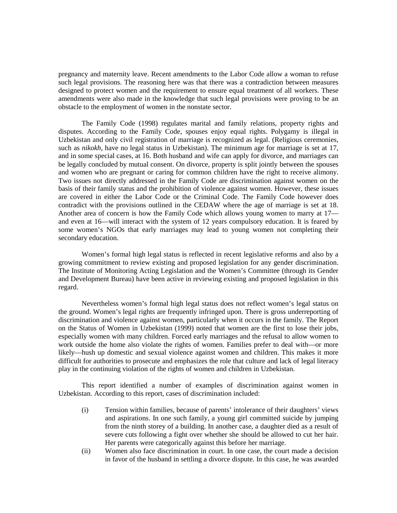pregnancy and maternity leave. Recent amendments to the Labor Code allow a woman to refuse such legal provisions. The reasoning here was that there was a contradiction between measures designed to protect women and the requirement to ensure equal treatment of all workers. These amendments were also made in the knowledge that such legal provisions were proving to be an obstacle to the employment of women in the nonstate sector.

The Family Code (1998) regulates marital and family relations, property rights and disputes. According to the Family Code, spouses enjoy equal rights. Polygamy is illegal in Uzbekistan and only civil registration of marriage is recognized as legal. (Religious ceremonies, such as *nikokh*, have no legal status in Uzbekistan). The minimum age for marriage is set at 17, and in some special cases, at 16. Both husband and wife can apply for divorce, and marriages can be legally concluded by mutual consent. On divorce, property is split jointly between the spouses and women who are pregnant or caring for common children have the right to receive alimony. Two issues not directly addressed in the Family Code are discrimination against women on the basis of their family status and the prohibition of violence against women. However, these issues are covered in either the Labor Code or the Criminal Code. The Family Code however does contradict with the provisions outlined in the CEDAW where the age of marriage is set at 18. Another area of concern is how the Family Code which allows young women to marry at 17 and even at 16—will interact with the system of 12 years compulsory education. It is feared by some women's NGOs that early marriages may lead to young women not completing their secondary education.

Women's formal high legal status is reflected in recent legislative reforms and also by a growing commitment to review existing and proposed legislation for any gender discrimination. The Institute of Monitoring Acting Legislation and the Women's Committee (through its Gender and Development Bureau) have been active in reviewing existing and proposed legislation in this regard.

Nevertheless women's formal high legal status does not reflect women's legal status on the ground. Women's legal rights are frequently infringed upon. There is gross underreporting of discrimination and violence against women, particularly when it occurs in the family. The Report on the Status of Women in Uzbekistan (1999) noted that women are the first to lose their jobs, especially women with many children. Forced early marriages and the refusal to allow women to work outside the home also violate the rights of women. Families prefer to deal with—or more likely—hush up domestic and sexual violence against women and children. This makes it more difficult for authorities to prosecute and emphasizes the role that culture and lack of legal literacy play in the continuing violation of the rights of women and children in Uzbekistan.

This report identified a number of examples of discrimination against women in Uzbekistan. According to this report, cases of discrimination included:

- (i) Tension within families, because of parents' intolerance of their daughters' views and aspirations. In one such family, a young girl committed suicide by jumping from the ninth storey of a building. In another case, a daughter died as a result of severe cuts following a fight over whether she should be allowed to cut her hair. Her parents were categorically against this before her marriage.
- (ii) Women also face discrimination in court. In one case, the court made a decision in favor of the husband in settling a divorce dispute. In this case, he was awarded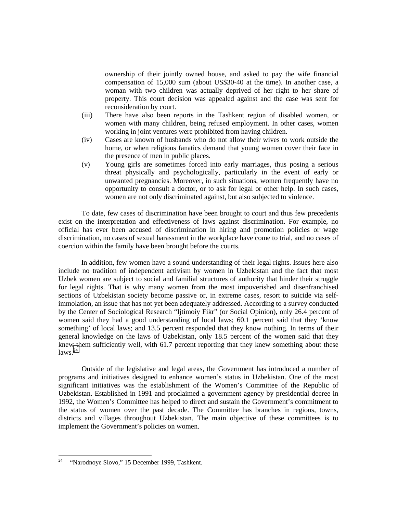ownership of their jointly owned house, and asked to pay the wife financial compensation of 15,000 sum (about US\$30-40 at the time). In another case, a woman with two children was actually deprived of her right to her share of property. This court decision was appealed against and the case was sent for reconsideration by court.

- (iii) There have also been reports in the Tashkent region of disabled women, or women with many children, being refused employment. In other cases, women working in joint ventures were prohibited from having children.
- (iv) Cases are known of husbands who do not allow their wives to work outside the home, or when religious fanatics demand that young women cover their face in the presence of men in public places.
- (v) Young girls are sometimes forced into early marriages, thus posing a serious threat physically and psychologically, particularly in the event of early or unwanted pregnancies. Moreover, in such situations, women frequently have no opportunity to consult a doctor, or to ask for legal or other help. In such cases, women are not only discriminated against, but also subjected to violence.

To date, few cases of discrimination have been brought to court and thus few precedents exist on the interpretation and effectiveness of laws against discrimination. For example, no official has ever been accused of discrimination in hiring and promotion policies or wage discrimination, no cases of sexual harassment in the workplace have come to trial, and no cases of coercion within the family have been brought before the courts.

In addition, few women have a sound understanding of their legal rights. Issues here also include no tradition of independent activism by women in Uzbekistan and the fact that most Uzbek women are subject to social and familial structures of authority that hinder their struggle for legal rights. That is why many women from the most impoverished and disenfranchised sections of Uzbekistan society become passive or, in extreme cases, resort to suicide via selfimmolation, an issue that has not yet been adequately addressed. According to a survey conducted by the Center of Sociological Research "Ijtimoiy Fikr" (or Social Opinion), only 26.4 percent of women said they had a good understanding of local laws; 60.1 percent said that they 'know something' of local laws; and 13.5 percent responded that they know nothing. In terms of their general knowledge on the laws of Uzbekistan, only 18.5 percent of the women said that they knew them sufficiently well, with 61.7 percent reporting that they knew something about these  $laws.<sup>24</sup>$ 

Outside of the legislative and legal areas, the Government has introduced a number of programs and initiatives designed to enhance women's status in Uzbekistan. One of the most significant initiatives was the establishment of the Women's Committee of the Republic of Uzbekistan. Established in 1991 and proclaimed a government agency by presidential decree in 1992, the Women's Committee has helped to direct and sustain the Government's commitment to the status of women over the past decade. The Committee has branches in regions, towns, districts and villages throughout Uzbekistan. The main objective of these committees is to implement the Government's policies on women.

 $24$  "Narodnoye Slovo," 15 December 1999, Tashkent.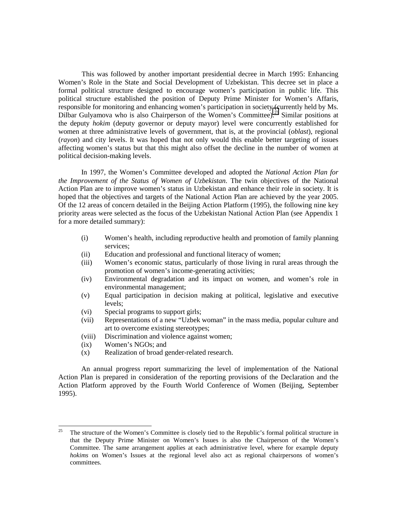This was followed by another important presidential decree in March 1995: Enhancing Women's Role in the State and Social Development of Uzbekistan. This decree set in place a formal political structure designed to encourage women's participation in public life. This political structure established the position of Deputy Prime Minister for Women's Affaris, responsible for monitoring and enhancing women's participation in society (currently held by Ms. Dilbar Gulyamova who is also Chairperson of the Women's Committee).<sup>25</sup> Similar positions at the deputy *hokim* (deputy governor or deputy mayor) level were concurrently established for women at three administrative levels of government, that is, at the provincial (*oblast*), regional (*rayon*) and city levels. It was hoped that not only would this enable better targeting of issues affecting women's status but that this might also offset the decline in the number of women at political decision-making levels.

In 1997, the Women's Committee developed and adopted the *National Action Plan for the Improvement of the Status of Women of Uzbekistan*. The twin objectives of the National Action Plan are to improve women's status in Uzbekistan and enhance their role in society. It is hoped that the objectives and targets of the National Action Plan are achieved by the year 2005. Of the 12 areas of concern detailed in the Beijing Action Platform (1995), the following nine key priority areas were selected as the focus of the Uzbekistan National Action Plan (see Appendix 1 for a more detailed summary):

- (i) Women's health, including reproductive health and promotion of family planning services;
- (ii) Education and professional and functional literacy of women;
- (iii) Women's economic status, particularly of those living in rural areas through the promotion of women's income-generating activities;
- (iv) Environmental degradation and its impact on women, and women's role in environmental management;
- (v) Equal participation in decision making at political, legislative and executive levels;
- (vi) Special programs to support girls;
- (vii) Representations of a new "Uzbek woman" in the mass media, popular culture and art to overcome existing stereotypes;
- (viii) Discrimination and violence against women;
- (ix) Women's NGOs; and
- (x) Realization of broad gender-related research.

An annual progress report summarizing the level of implementation of the National Action Plan is prepared in consideration of the reporting provisions of the Declaration and the Action Platform approved by the Fourth World Conference of Women (Beijing, September 1995).

<sup>25</sup> 25 The structure of the Women's Committee is closely tied to the Republic's formal political structure in that the Deputy Prime Minister on Women's Issues is also the Chairperson of the Women's Committee. The same arrangement applies at each administrative level, where for example deputy *hokims* on Women's Issues at the regional level also act as regional chairpersons of women's committees.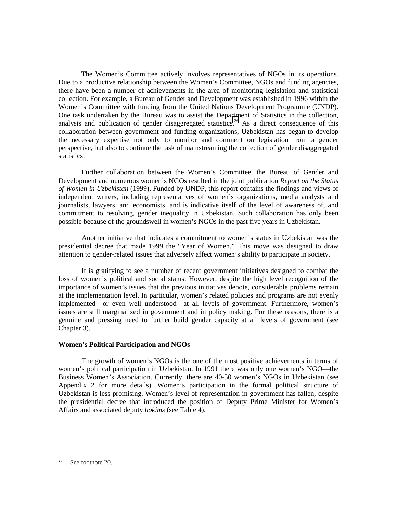The Women's Committee actively involves representatives of NGOs in its operations. Due to a productive relationship between the Women's Committee, NGOs and funding agencies, there have been a number of achievements in the area of monitoring legislation and statistical collection. For example, a Bureau of Gender and Development was established in 1996 within the Women's Committee with funding from the United Nations Development Programme (UNDP). One task undertaken by the Bureau was to assist the Department of Statistics in the collection, analysis and publication of gender disaggregated statistics.<sup>26</sup> As a direct consequence of this collaboration between government and funding organizations, Uzbekistan has began to develop the necessary expertise not only to monitor and comment on legislation from a gender perspective, but also to continue the task of mainstreaming the collection of gender disaggregated statistics.

Further collaboration between the Women's Committee, the Bureau of Gender and Development and numerous women's NGOs resulted in the joint publication *Report on the Status of Women in Uzbekistan* (1999). Funded by UNDP, this report contains the findings and views of independent writers, including representatives of women's organizations, media analysts and journalists, lawyers, and economists, and is indicative itself of the level of awareness of, and commitment to resolving, gender inequality in Uzbekistan. Such collaboration has only been possible because of the groundswell in women's NGOs in the past five years in Uzbekistan.

Another initiative that indicates a commitment to women's status in Uzbekistan was the presidential decree that made 1999 the "Year of Women." This move was designed to draw attention to gender-related issues that adversely affect women's ability to participate in society.

It is gratifying to see a number of recent government initiatives designed to combat the loss of women's political and social status. However, despite the high level recognition of the importance of women's issues that the previous initiatives denote, considerable problems remain at the implementation level. In particular, women's related policies and programs are not evenly implemented—or even well understood—at all levels of government. Furthermore, women's issues are still marginalized in government and in policy making. For these reasons, there is a genuine and pressing need to further build gender capacity at all levels of government (see Chapter 3).

#### **Women's Political Participation and NGOs**

The growth of women's NGOs is the one of the most positive achievements in terms of women's political participation in Uzbekistan. In 1991 there was only one women's NGO—the Business Women's Association. Currently, there are 40-50 women's NGOs in Uzbekistan (see Appendix 2 for more details). Women's participation in the formal political structure of Uzbekistan is less promising. Women's level of representation in government has fallen, despite the presidential decree that introduced the position of Deputy Prime Minister for Women's Affairs and associated deputy *hokims* (see Table 4).

<sup>26</sup> See footnote 20.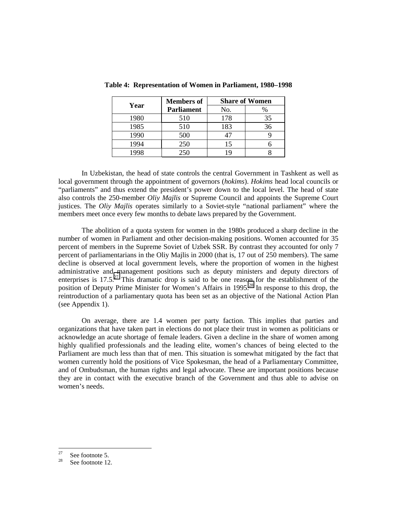|      | <b>Members of</b> | <b>Share of Women</b> |    |  |  |  |  |
|------|-------------------|-----------------------|----|--|--|--|--|
| Year | <b>Parliament</b> | No.                   |    |  |  |  |  |
| 1980 | 510               | 178                   | 35 |  |  |  |  |
| 1985 | 510               | 183                   | 36 |  |  |  |  |
| 1990 | 500               |                       |    |  |  |  |  |
| 1994 | 250               | 15                    |    |  |  |  |  |
|      | 250               | 1 Q                   |    |  |  |  |  |

**Table 4: Representation of Women in Parliament, 1980–1998**

In Uzbekistan, the head of state controls the central Government in Tashkent as well as local government through the appointment of governors (*hokims*). *Hokims* head local councils or "parliaments" and thus extend the president's power down to the local level. The head of state also controls the 250-member *Oliy Majlis* or Supreme Council and appoints the Supreme Court justices. The *Oliy Majlis* operates similarly to a Soviet-style "national parliament" where the members meet once every few months to debate laws prepared by the Government.

The abolition of a quota system for women in the 1980s produced a sharp decline in the number of women in Parliament and other decision-making positions. Women accounted for 35 percent of members in the Supreme Soviet of Uzbek SSR. By contrast they accounted for only 7 percent of parliamentarians in the Oliy Majlis in 2000 (that is, 17 out of 250 members). The same decline is observed at local government levels, where the proportion of women in the highest administrative and management positions such as deputy ministers and deputy directors of enterprises is  $17.5<sup>27</sup>$  This dramatic drop is said to be one reason for the establishment of the position of Deputy Prime Minister for Women's Affairs in 1995.<sup>28</sup> In response to this drop, the reintroduction of a parliamentary quota has been set as an objective of the National Action Plan (see Appendix 1).

On average, there are 1.4 women per party faction. This implies that parties and organizations that have taken part in elections do not place their trust in women as politicians or acknowledge an acute shortage of female leaders. Given a decline in the share of women among highly qualified professionals and the leading elite, women's chances of being elected to the Parliament are much less than that of men. This situation is somewhat mitigated by the fact that women currently hold the positions of Vice Spokesman, the head of a Parliamentary Committee, and of Ombudsman, the human rights and legal advocate. These are important positions because they are in contact with the executive branch of the Government and thus able to advise on women's needs.

<sup>27</sup>  $\frac{27}{28}$  See footnote 5.

See footnote 12.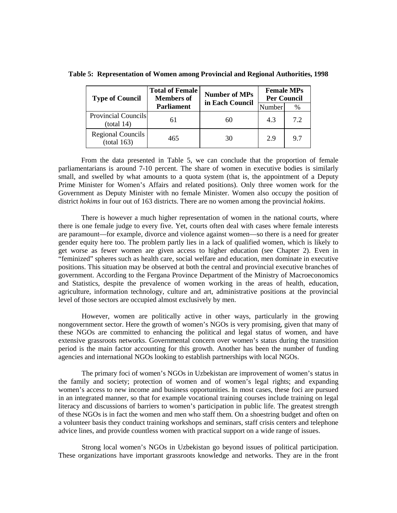**Table 5: Representation of Women among Provincial and Regional Authorities, 1998**

| <b>Type of Council</b>                  | <b>Total of Female</b><br><b>Members of</b> | <b>Number of MPs</b><br>in Each Council | <b>Female MPs</b><br><b>Per Council</b> |      |  |  |
|-----------------------------------------|---------------------------------------------|-----------------------------------------|-----------------------------------------|------|--|--|
|                                         | <b>Parliament</b>                           |                                         | Number                                  | $\%$ |  |  |
| Provincial Councils<br>(total 14)       | 61                                          | 60                                      | 4.3                                     | 7.2  |  |  |
| <b>Regional Councils</b><br>(total 163) | 465                                         | 30                                      | 2.9                                     | 9.7  |  |  |

From the data presented in Table 5, we can conclude that the proportion of female parliamentarians is around 7-10 percent. The share of women in executive bodies is similarly small, and swelled by what amounts to a quota system (that is, the appointment of a Deputy Prime Minister for Women's Affairs and related positions). Only three women work for the Government as Deputy Minister with no female Minister. Women also occupy the position of district *hokims* in four out of 163 districts. There are no women among the provincial *hokims*.

There is however a much higher representation of women in the national courts, where there is one female judge to every five. Yet, courts often deal with cases where female interests are paramount—for example, divorce and violence against women—so there is a need for greater gender equity here too. The problem partly lies in a lack of qualified women, which is likely to get worse as fewer women are given access to higher education (see Chapter 2). Even in "feminized" spheres such as health care, social welfare and education, men dominate in executive positions. This situation may be observed at both the central and provincial executive branches of government. According to the Fergana Province Department of the Ministry of Macroeconomics and Statistics, despite the prevalence of women working in the areas of health, education, agriculture, information technology, culture and art, administrative positions at the provincial level of those sectors are occupied almost exclusively by men.

However, women are politically active in other ways, particularly in the growing nongovernment sector. Here the growth of women's NGOs is very promising, given that many of these NGOs are committed to enhancing the political and legal status of women, and have extensive grassroots networks. Governmental concern over women's status during the transition period is the main factor accounting for this growth. Another has been the number of funding agencies and international NGOs looking to establish partnerships with local NGOs.

The primary foci of women's NGOs in Uzbekistan are improvement of women's status in the family and society; protection of women and of women's legal rights; and expanding women's access to new income and business opportunities. In most cases, these foci are pursued in an integrated manner, so that for example vocational training courses include training on legal literacy and discussions of barriers to women's participation in public life. The greatest strength of these NGOs is in fact the women and men who staff them. On a shoestring budget and often on a volunteer basis they conduct training workshops and seminars, staff crisis centers and telephone advice lines, and provide countless women with practical support on a wide range of issues.

Strong local women's NGOs in Uzbekistan go beyond issues of political participation. These organizations have important grassroots knowledge and networks. They are in the front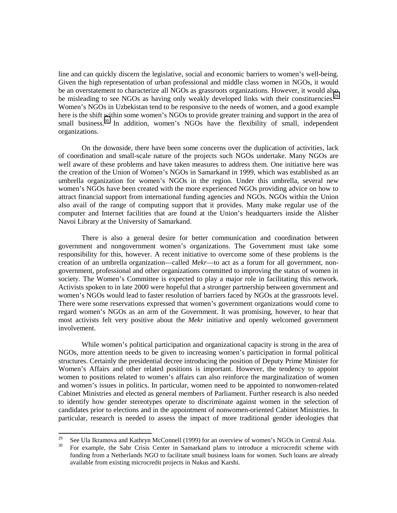line and can quickly discern the legislative, social and economic barriers to women's well-being. Given the high representation of urban professional and middle class women in NGOs, it would be an overstatement to characterize all NGOs as grassroots organizations. However, it would also be misleading to see NGOs as having only weakly developed links with their constituencies.<sup>29</sup> Women's NGOs in Uzbekistan tend to be responsive to the needs of women, and a good example here is the shift within some women's NGOs to provide greater training and support in the area of small business.<sup>30</sup> In addition, women's NGOs have the flexibility of small, independent organizations.

On the downside, there have been some concerns over the duplication of activities, lack of coordination and small-scale nature of the projects such NGOs undertake. Many NGOs are well aware of these problems and have taken measures to address them. One initiative here was the creation of the Union of Women's NGOs in Samarkand in 1999, which was established as an umbrella organization for women's NGOs in the region. Under this umbrella, several new women's NGOs have been created with the more experienced NGOs providing advice on how to attract financial support from international funding agencies and NGOs. NGOs within the Union also avail of the range of computing support that it provides. Many make regular use of the computer and Internet facilities that are found at the Union's headquarters inside the Alisher Navoi Library at the University of Samarkand.

There is also a general desire for better communication and coordination between government and nongovernment women's organizations. The Government must take some responsibility for this, however. A recent initiative to overcome some of these problems is the creation of an umbrella organization—called *Mekr*—to act as a forum for all government, nongovernment, professional and other organizations committed to improving the status of women in society. The Women's Committee is expected to play a major role in facilitating this network. Activists spoken to in late 2000 were hopeful that a stronger partnership between government and women's NGOs would lead to faster resolution of barriers faced by NGOs at the grassroots level. There were some reservations expressed that women's government organizations would come to regard women's NGOs as an arm of the Government. It was promising, however, to hear that most activists felt very positive about the *Mekr* initiative and openly welcomed government involvement.

While women's political participation and organizational capacity is strong in the area of NGOs, more attention needs to be given to increasing women's participation in formal political structures. Certainly the presidential decree introducing the position of Deputy Prime Minister for Women's Affairs and other related positions is important. However, the tendency to appoint women to positions related to women's affairs can also reinforce the marginalization of women and women's issues in politics. In particular, women need to be appointed to nonwomen-related Cabinet Ministries and elected as general members of Parliament. Further research is also needed to identify how gender stereotypes operate to discriminate against women in the selection of candidates prior to elections and in the appointment of nonwomen-oriented Cabinet Ministries. In particular, research is needed to assess the impact of more traditional gender ideologies that

<sup>29</sup> <sup>29</sup> See Ula Ikramova and Kathryn McConnell (1999) for an overview of women's NGOs in Central Asia.<br><sup>30</sup> For avenuals, the Sohn Crisis Center in Semarland plans to introduce a misrographic scheme with

<sup>30</sup> For example, the Sabr Crisis Center in Samarkand plans to introduce a microcredit scheme with funding from a Netherlands NGO to facilitate small business loans for women. Such loans are already available from existing microcredit projects in Nukus and Karshi.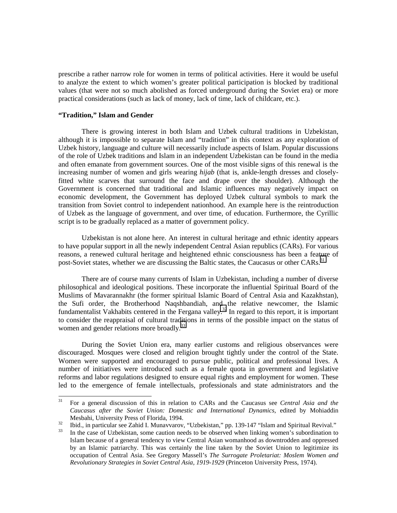prescribe a rather narrow role for women in terms of political activities. Here it would be useful to analyze the extent to which women's greater political participation is blocked by traditional values (that were not so much abolished as forced underground during the Soviet era) or more practical considerations (such as lack of money, lack of time, lack of childcare, etc.).

## **"Tradition," Islam and Gender**

There is growing interest in both Islam and Uzbek cultural traditions in Uzbekistan, although it is impossible to separate Islam and "tradition" in this context as any exploration of Uzbek history, language and culture will necessarily include aspects of Islam. Popular discussions of the role of Uzbek traditions and Islam in an independent Uzbekistan can be found in the media and often emanate from government sources. One of the most visible signs of this renewal is the increasing number of women and girls wearing *hijab* (that is, ankle-length dresses and closelyfitted white scarves that surround the face and drape over the shoulder). Although the Government is concerned that traditional and Islamic influences may negatively impact on economic development, the Government has deployed Uzbek cultural symbols to mark the transition from Soviet control to independent nationhood. An example here is the reintroduction of Uzbek as the language of government, and over time, of education. Furthermore, the Cyrillic script is to be gradually replaced as a matter of government policy.

Uzbekistan is not alone here. An interest in cultural heritage and ethnic identity appears to have popular support in all the newly independent Central Asian republics (CARs). For various reasons, a renewed cultural heritage and heightened ethnic consciousness has been a feature of post-Soviet states, whether we are discussing the Baltic states, the Caucasus or other CARs.<sup>31</sup>

There are of course many currents of Islam in Uzbekistan, including a number of diverse philosophical and ideological positions. These incorporate the influential Spiritual Board of the Muslims of Mavarannakhr (the former spiritual Islamic Board of Central Asia and Kazakhstan), the Sufi order, the Brotherhood Naqshbandiah, and the relative newcomer, the Islamic fundamentalist Vakhabits centered in the Fergana valley.<sup>32</sup> In regard to this report, it is important to consider the reappraisal of cultural traditions in terms of the possible impact on the status of women and gender relations more broadly.<sup>33</sup>

During the Soviet Union era, many earlier customs and religious observances were discouraged. Mosques were closed and religion brought tightly under the control of the State. Women were supported and encouraged to pursue public, political and professional lives. A number of initiatives were introduced such as a female quota in government and legislative reforms and labor regulations designed to ensure equal rights and employment for women. These led to the emergence of female intellectuals, professionals and state administrators and the

 $31$ 31 For a general discussion of this in relation to CARs and the Caucasus see *Central Asia and the Caucasus after the Soviet Union: Domestic and International Dynamics*, edited by Mohiaddin Mesbahi, University Press of Florida, 1994.<br>
<sup>32</sup> Ibid., in particular see Zahid I. Munavvarov, "Uzbekistan," pp. 139-147 "Islam and Spiritual Revival."

In the case of Uzbekistan, some caution needs to be observed when linking women's subordination to Islam because of a general tendency to view Central Asian womanhood as downtrodden and oppressed by an Islamic patriarchy. This was certainly the line taken by the Soviet Union to legitimize its occupation of Central Asia. See Gregory Massell's *The Surrogate Proletariat: Moslem Women and Revolutionary Strategies in Soviet Central Asia, 1919-1929* (Princeton University Press, 1974).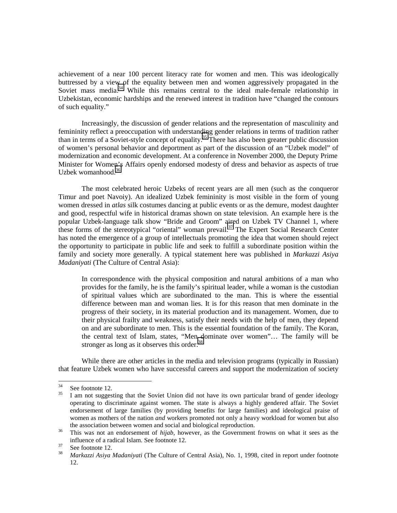achievement of a near 100 percent literacy rate for women and men. This was ideologically buttressed by a view of the equality between men and women aggressively propagated in the Soviet mass media.<sup>34</sup> While this remains central to the ideal male-female relationship in Uzbekistan, economic hardships and the renewed interest in tradition have "changed the contours of such equality."

Increasingly, the discussion of gender relations and the representation of masculinity and femininity reflect a preoccupation with understanding gender relations in terms of tradition rather than in terms of a Soviet-style concept of equality.35 There has also been greater public discussion of women's personal behavior and deportment as part of the discussion of an "Uzbek model" of modernization and economic development. At a conference in November 2000, the Deputy Prime Minister for Women's Affairs openly endorsed modesty of dress and behavior as aspects of true Uzbek womanhood. $36$ 

The most celebrated heroic Uzbeks of recent years are all men (such as the conqueror Timur and poet Navoiy). An idealized Uzbek femininity is most visible in the form of young women dressed in *atlas* silk costumes dancing at public events or as the demure, modest daughter and good, respectful wife in historical dramas shown on state television. An example here is the popular Uzbek-language talk show "Bride and Groom" aired on Uzbek TV Channel 1, where these forms of the stereotypical "oriental" woman prevail.<sup>37</sup> The Expert Social Research Center has noted the emergence of a group of intellectuals promoting the idea that women should reject the opportunity to participate in public life and seek to fulfill a subordinate position within the family and society more generally. A typical statement here was published in *Markazzi Asiya Madaniyati* (The Culture of Central Asia):

In correspondence with the physical composition and natural ambitions of a man who provides for the family, he is the family's spiritual leader, while a woman is the custodian of spiritual values which are subordinated to the man. This is where the essential difference between man and woman lies. It is for this reason that men dominate in the progress of their society, in its material production and its management. Women, due to their physical frailty and weakness, satisfy their needs with the help of men, they depend on and are subordinate to men. This is the essential foundation of the family. The Koran, the central text of Islam, states, "Men dominate over women"… The family will be stronger as long as it observes this order.<sup>38</sup>

While there are other articles in the media and television programs (typically in Russian) that feature Uzbek women who have successful careers and support the modernization of society

 $34$  $rac{34}{35}$  See footnote 12.

I am not suggesting that the Soviet Union did not have its own particular brand of gender ideology operating to discriminate against women. The state is always a highly gendered affair. The Soviet endorsement of large families (by providing benefits for large families) and ideological praise of women as mothers of the nation *and* workers promoted not only a heavy workload for women but also the association between women and social and biological reproduction. <sup>36</sup> This was not an endorsement of *hijab*, however, as the Government frowns on what it sees as the

influence of a radical Islam. See footnote 12.<br>
See footnote 12.<br> *Markazzi Asiya Madaniyati* (The Culture of

<sup>38</sup> *Markazzi Asiya Madaniyati* (The Culture of Central Asia), No. 1, 1998, cited in report under footnote 12.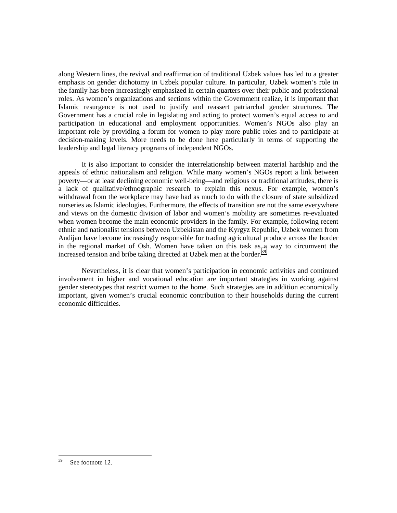along Western lines, the revival and reaffirmation of traditional Uzbek values has led to a greater emphasis on gender dichotomy in Uzbek popular culture. In particular, Uzbek women's role in the family has been increasingly emphasized in certain quarters over their public and professional roles. As women's organizations and sections within the Government realize, it is important that Islamic resurgence is not used to justify and reassert patriarchal gender structures. The Government has a crucial role in legislating and acting to protect women's equal access to and participation in educational and employment opportunities. Women's NGOs also play an important role by providing a forum for women to play more public roles and to participate at decision-making levels. More needs to be done here particularly in terms of supporting the leadership and legal literacy programs of independent NGOs.

It is also important to consider the interrelationship between material hardship and the appeals of ethnic nationalism and religion. While many women's NGOs report a link between poverty—or at least declining economic well-being—and religious or traditional attitudes, there is a lack of qualitative/ethnographic research to explain this nexus. For example, women's withdrawal from the workplace may have had as much to do with the closure of state subsidized nurseries as Islamic ideologies. Furthermore, the effects of transition are not the same everywhere and views on the domestic division of labor and women's mobility are sometimes re-evaluated when women become the main economic providers in the family. For example, following recent ethnic and nationalist tensions between Uzbekistan and the Kyrgyz Republic, Uzbek women from Andijan have become increasingly responsible for trading agricultural produce across the border in the regional market of Osh. Women have taken on this task as a way to circumvent the increased tension and bribe taking directed at Uzbek men at the border.<sup>39</sup>

Nevertheless, it is clear that women's participation in economic activities and continued involvement in higher and vocational education are important strategies in working against gender stereotypes that restrict women to the home. Such strategies are in addition economically important, given women's crucial economic contribution to their households during the current economic difficulties.

<sup>39</sup> See footnote 12.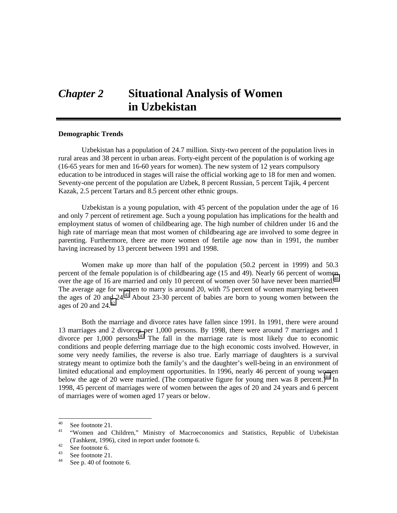# *Chapter 2* **Situational Analysis of Women in Uzbekistan**

#### **Demographic Trends**

Uzbekistan has a population of 24.7 million. Sixty-two percent of the population lives in rural areas and 38 percent in urban areas. Forty-eight percent of the population is of working age (16-65 years for men and 16-60 years for women). The new system of 12 years compulsory education to be introduced in stages will raise the official working age to 18 for men and women. Seventy-one percent of the population are Uzbek, 8 percent Russian, 5 percent Tajik, 4 percent Kazak, 2.5 percent Tartars and 8.5 percent other ethnic groups.

Uzbekistan is a young population, with 45 percent of the population under the age of 16 and only 7 percent of retirement age. Such a young population has implications for the health and employment status of women of childbearing age. The high number of children under 16 and the high rate of marriage mean that most women of childbearing age are involved to some degree in parenting. Furthermore, there are more women of fertile age now than in 1991, the number having increased by 13 percent between 1991 and 1998.

Women make up more than half of the population (50.2 percent in 1999) and 50.3 percent of the female population is of childbearing age (15 and 49). Nearly 66 percent of women over the age of 16 are married and only 10 percent of women over 50 have never been married.<sup>40</sup> The average age for women to marry is around 20, with 75 percent of women marrying between the ages of 20 and 24.<sup>41</sup> About 23-30 percent of babies are born to young women between the ages of 20 and  $24<sup>42</sup>$ 

Both the marriage and divorce rates have fallen since 1991. In 1991, there were around 13 marriages and 2 divorces per 1,000 persons. By 1998, there were around 7 marriages and 1 divorce per 1,000 persons.43 The fall in the marriage rate is most likely due to economic conditions and people deferring marriage due to the high economic costs involved. However, in some very needy families, the reverse is also true. Early marriage of daughters is a survival strategy meant to optimize both the family's and the daughter's well-being in an environment of limited educational and employment opportunities. In 1996, nearly 46 percent of young women below the age of 20 were married. (The comparative figure for young men was 8 percent.)<sup>44</sup> In 1998, 45 percent of marriages were of women between the ages of 20 and 24 years and 6 percent of marriages were of women aged 17 years or below.

 $40<sup>2</sup>$  $^{40}$  See footnote 21.

<sup>41</sup>"Women and Children," Ministry of Macroeconomics and Statistics, Republic of Uzbekistan (Tashkent, 1996), cited in report under footnote 6.<br>
See footnote 6.<br>
See footnote 21

 $\frac{43}{44}$  See footnote 21.

See p. 40 of footnote 6.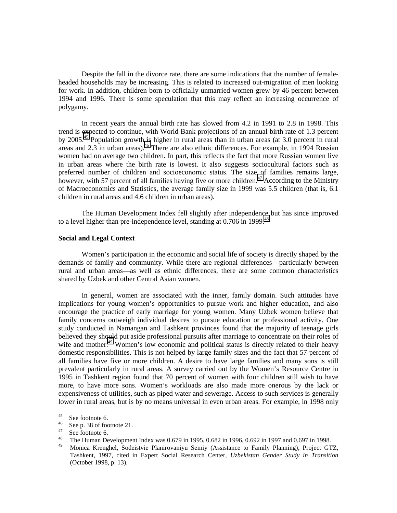Despite the fall in the divorce rate, there are some indications that the number of femaleheaded households may be increasing. This is related to increased out-migration of men looking for work. In addition, children born to officially unmarried women grew by 46 percent between 1994 and 1996. There is some speculation that this may reflect an increasing occurrence of polygamy.

In recent years the annual birth rate has slowed from 4.2 in 1991 to 2.8 in 1998. This trend is expected to continue, with World Bank projections of an annual birth rate of 1.3 percent by 2005.<sup>45</sup> Population growth is higher in rural areas than in urban areas (at 3.0 percent in rural areas and  $2.3$  in urban areas).<sup>46</sup> There are also ethnic differences. For example, in 1994 Russian women had on average two children. In part, this reflects the fact that more Russian women live in urban areas where the birth rate is lowest. It also suggests sociocultural factors such as preferred number of children and socioeconomic status. The size of families remains large, however, with 57 percent of all families having five or more children.<sup>47</sup> According to the Ministry of Macroeconomics and Statistics, the average family size in 1999 was 5.5 children (that is, 6.1 children in rural areas and 4.6 children in urban areas).

The Human Development Index fell slightly after independence but has since improved to a level higher than pre-independence level, standing at  $0.706$  in 1999.<sup>48</sup>

# **Social and Legal Context**

Women's participation in the economic and social life of society is directly shaped by the demands of family and community. While there are regional differences—particularly between rural and urban areas—as well as ethnic differences, there are some common characteristics shared by Uzbek and other Central Asian women.

In general, women are associated with the inner, family domain. Such attitudes have implications for young women's opportunities to pursue work and higher education, and also encourage the practice of early marriage for young women. Many Uzbek women believe that family concerns outweigh individual desires to pursue education or professional activity. One study conducted in Namangan and Tashkent provinces found that the majority of teenage girls believed they should put aside professional pursuits after marriage to concentrate on their roles of wife and mother.<sup>49</sup> Women's low economic and political status is directly related to their heavy domestic responsibilities. This is not helped by large family sizes and the fact that 57 percent of all families have five or more children. A desire to have large families and many sons is still prevalent particularly in rural areas. A survey carried out by the Women's Resource Centre in 1995 in Tashkent region found that 70 percent of women with four children still wish to have more, to have more sons. Women's workloads are also made more onerous by the lack or expensiveness of utilities, such as piped water and sewerage. Access to such services is generally lower in rural areas, but is by no means universal in even urban areas. For example, in 1998 only

 $45\,$  $^{45}$  See footnote 6.

 $^{46}$  See p. 38 of footnote 21.

 $^{47}$  See footnote 6.

<sup>&</sup>lt;sup>48</sup> The Human Development Index was 0.679 in 1995, 0.682 in 1996, 0.692 in 1997 and 0.697 in 1998.

<sup>49</sup> Monica Krenghel, Sodeistvie Planirovaniyu Semiy (Assistance to Family Planning), Project GTZ, Tashkent, 1997, cited in Expert Social Research Center, *Uzbekistan Gender Study in Transition* (October 1998, p. 13).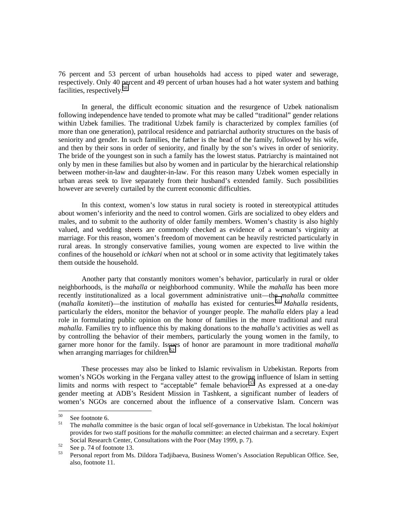76 percent and 53 percent of urban households had access to piped water and sewerage, respectively. Only 40 percent and 49 percent of urban houses had a hot water system and bathing facilities, respectively.<sup>50</sup>

In general, the difficult economic situation and the resurgence of Uzbek nationalism following independence have tended to promote what may be called "traditional" gender relations within Uzbek families. The traditional Uzbek family is characterized by complex families (of more than one generation), patrilocal residence and patriarchal authority structures on the basis of seniority and gender. In such families, the father is the head of the family, followed by his wife, and then by their sons in order of seniority, and finally by the son's wives in order of seniority. The bride of the youngest son in such a family has the lowest status. Patriarchy is maintained not only by men in these families but also by women and in particular by the hierarchical relationship between mother-in-law and daughter-in-law. For this reason many Uzbek women especially in urban areas seek to live separately from their husband's extended family. Such possibilities however are severely curtailed by the current economic difficulties.

In this context, women's low status in rural society is rooted in stereotypical attitudes about women's inferiority and the need to control women. Girls are socialized to obey elders and males, and to submit to the authority of older family members. Women's chastity is also highly valued, and wedding sheets are commonly checked as evidence of a woman's virginity at marriage. For this reason, women's freedom of movement can be heavily restricted particularly in rural areas. In strongly conservative families, young women are expected to live within the confines of the household or *ichkari* when not at school or in some activity that legitimately takes them outside the household.

Another party that constantly monitors women's behavior, particularly in rural or older neighborhoods, is the *mahalla* or neighborhood community. While the *mahalla* has been more recently institutionalized as a local government administrative unit—the *mahalla* committee (*mahalla komiteti*)—the institution of *mahalla* has existed for centuries.51 *Mahalla* residents, particularly the elders, monitor the behavior of younger people. The *mahalla* elders play a lead role in formulating public opinion on the honor of families in the more traditional and rural *mahalla*. Families try to influence this by making donations to the *mahalla's* activities as well as by controlling the behavior of their members, particularly the young women in the family, to garner more honor for the family. Issues of honor are paramount in more traditional *mahalla* when arranging marriages for children.<sup>52</sup>

These processes may also be linked to Islamic revivalism in Uzbekistan. Reports from women's NGOs working in the Fergana valley attest to the growing influence of Islam in setting limits and norms with respect to "acceptable" female behavior.<sup>53</sup> As expressed at a one-day gender meeting at ADB's Resident Mission in Tashkent, a significant number of leaders of women's NGOs are concerned about the influence of a conservative Islam. Concern was

<sup>50</sup>  $^{50}$  See footnote 6.<br> $^{51}$  The makella co

<sup>51</sup> The *mahalla* committee is the basic organ of local self-governance in Uzbekistan. The local *hokimiyat* provides for two staff positions for the *mahalla* committee: an elected chairman and a secretary. Expert Social Research Center, Consultations with the Poor (May 1999, p. 7).<br>
See p. 74 of footnote 13.<br>
See p. 74 of footnote 13.<br>
Personal report from Ms. Dilders Tediibacus, Business Women's Association

<sup>53</sup> Personal report from Ms. Dildora Tadjibaeva, Business Women's Association Republican Office. See, also, footnote 11.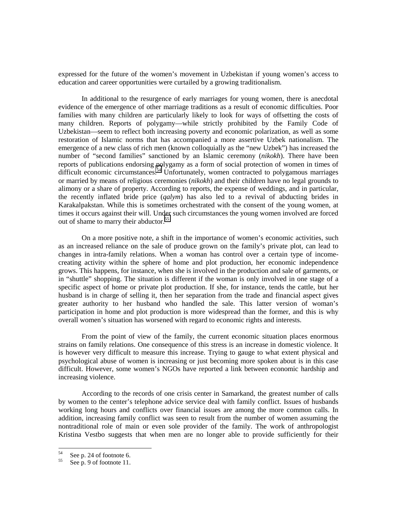expressed for the future of the women's movement in Uzbekistan if young women's access to education and career opportunities were curtailed by a growing traditionalism.

In additional to the resurgence of early marriages for young women, there is anecdotal evidence of the emergence of other marriage traditions as a result of economic difficulties. Poor families with many children are particularly likely to look for ways of offsetting the costs of many children. Reports of polygamy—while strictly prohibited by the Family Code of Uzbekistan—seem to reflect both increasing poverty and economic polarization, as well as some restoration of Islamic norms that has accompanied a more assertive Uzbek nationalism. The emergence of a new class of rich men (known colloquially as the "new Uzbek") has increased the number of "second families" sanctioned by an Islamic ceremony (*nikokh*). There have been reports of publications endorsing polygamy as a form of social protection of women in times of difficult economic circumstances.<sup>54</sup> Unfortunately, women contracted to polygamous marriages or married by means of religious ceremonies (*nikokh*) and their children have no legal grounds to alimony or a share of property. According to reports, the expense of weddings, and in particular, the recently inflated bride price (*qalym*) has also led to a revival of abducting brides in Karakalpakstan. While this is sometimes orchestrated with the consent of the young women, at times it occurs against their will. Under such circumstances the young women involved are forced out of shame to marry their abductor.<sup>55</sup>

On a more positive note, a shift in the importance of women's economic activities, such as an increased reliance on the sale of produce grown on the family's private plot, can lead to changes in intra-family relations. When a woman has control over a certain type of incomecreating activity within the sphere of home and plot production, her economic independence grows. This happens, for instance, when she is involved in the production and sale of garments, or in "shuttle" shopping. The situation is different if the woman is only involved in one stage of a specific aspect of home or private plot production. If she, for instance, tends the cattle, but her husband is in charge of selling it, then her separation from the trade and financial aspect gives greater authority to her husband who handled the sale. This latter version of woman's participation in home and plot production is more widespread than the former, and this is why overall women's situation has worsened with regard to economic rights and interests.

From the point of view of the family, the current economic situation places enormous strains on family relations. One consequence of this stress is an increase in domestic violence. It is however very difficult to measure this increase. Trying to gauge to what extent physical and psychological abuse of women is increasing or just becoming more spoken about is in this case difficult. However, some women's NGOs have reported a link between economic hardship and increasing violence.

According to the records of one crisis center in Samarkand, the greatest number of calls by women to the center's telephone advice service deal with family conflict. Issues of husbands working long hours and conflicts over financial issues are among the more common calls. In addition, increasing family conflict was seen to result from the number of women assuming the nontraditional role of main or even sole provider of the family. The work of anthropologist Kristina Vestbo suggests that when men are no longer able to provide sufficiently for their

<sup>54</sup> 

 $55$  See p. 24 of footnote 6.<br>See p. 9 of footnote 11.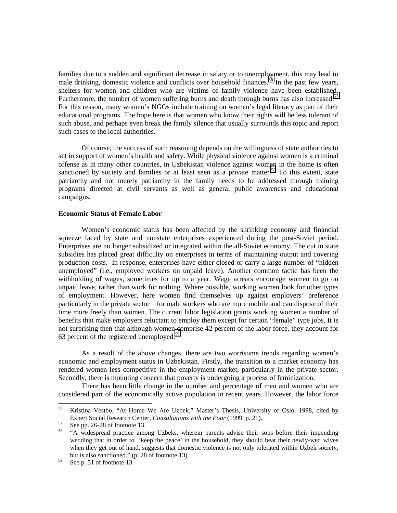families due to a sudden and significant decrease in salary or to unemployment, this may lead to male drinking, domestic violence and conflicts over household finances.<sup>56</sup> In the past few years, shelters for women and children who are victims of family violence have been established. Furthermore, the number of women suffering burns and death through burns has also increased.<sup>57</sup> For this reason, many women's NGOs include training on women's legal literacy as part of their educational programs. The hope here is that women who know their rights will be less tolerant of such abuse, and perhaps even break the family silence that usually surrounds this topic and report such cases to the local authorities.

Of course, the success of such reasoning depends on the willingness of state authorities to act in support of women's health and safety. While physical violence against women is a criminal offense as in many other countries, in Uzbekistan violence against women in the home is often sanctioned by society and families or at least seen as a private matter.<sup>58</sup> To this extent, state patriarchy and not merely patriarchy in the family needs to be addressed through training programs directed at civil servants as well as general public awareness and educational campaigns.

# **Economic Status of Female Labor**

Women's economic status has been affected by the shrinking economy and financial squeeze faced by state and nonstate enterprises experienced during the post-Soviet period. Enterprises are no longer subsidized or integrated within the all-Soviet economy. The cut in state subsidies has placed great difficulty on enterprises in terms of maintaining output and covering production costs. In response, enterprises have either closed or carry a large number of "hidden unemployed" (i.e., employed workers on unpaid leave). Another common tactic has been the withholding of wages, sometimes for up to a year. Wage arrears encourage women to go on unpaid leave, rather than work for nothing. Where possible, working women look for other types of employment. However, here women find themselves up against employers' preference particularly in the private sector—for male workers who are more mobile and can dispose of their time more freely than women. The current labor legislation grants working women a number of benefits that make employers reluctant to employ them except for certain "female" type jobs. It is not surprising then that although women comprise 42 percent of the labor force, they account for 63 percent of the registered unemployed.<sup>59</sup>

As a result of the above changes, there are two worrisome trends regarding women's economic and employment status in Uzbekistan. Firstly, the transition to a market economy has rendered women less competitive in the employment market, particularly in the private sector. Secondly, there is mounting concern that poverty is undergoing a process of feminization.

There has been little change in the number and percentage of men and women who are considered part of the economically active population in recent years. However, the labor force

<sup>56</sup> 56 Kristina Vestbo, "At Home We Are Uzbek," Master's Thesis, University of Oslo, 1998, cited by Expert Social Research Center, *Consultations with the Poor* (1999, p. 21).<br>
See pp. 26-28 of footnote 13.

<sup>58 &</sup>quot;A widespread practice among Uzbeks, wherein parents advise their sons before their impending wedding that in order to 'keep the peace' in the household, they should beat their newly-wed wives when they get out of hand, suggests that domestic violence is not only tolerated within Uzbek society, but is also sanctioned." (p. 28 of footnote 13)

 $59$  See p. 51 of footnote 13.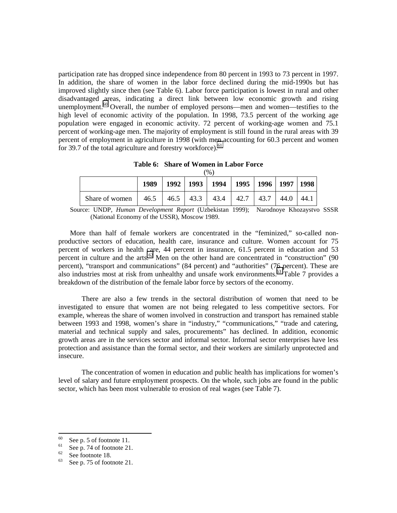participation rate has dropped since independence from 80 percent in 1993 to 73 percent in 1997. In addition, the share of women in the labor force declined during the mid-1990s but has improved slightly since then (see Table 6). Labor force participation is lowest in rural and other disadvantaged areas, indicating a direct link between low economic growth and rising unemployment.<sup>60</sup> Overall, the number of employed persons—men and women—testifies to the high level of economic activity of the population. In 1998, 73.5 percent of the working age population were engaged in economic activity. 72 percent of working-age women and 75.1 percent of working-age men. The majority of employment is still found in the rural areas with 39 percent of employment in agriculture in 1998 (with men accounting for 60.3 percent and women for 39.7 of the total agriculture and forestry workforce).<sup>61</sup>

**Table 6: Share of Women in Labor Force**  $(0/2)$ 

|                                                                        |  | 70.                                                   |  |  |
|------------------------------------------------------------------------|--|-------------------------------------------------------|--|--|
|                                                                        |  | 1989   1992   1993   1994   1995   1996   1997   1998 |  |  |
| Share of women   46.5   46.5   43.3   43.4   42.7   43.7   44.0   44.1 |  |                                                       |  |  |

Source: UNDP*, Human Development Report* (Uzbekistan 1999); Narodnoye Khozaystvo SSSR (National Economy of the USSR), Moscow 1989.

More than half of female workers are concentrated in the "feminized," so-called nonproductive sectors of education, health care, insurance and culture. Women account for 75 percent of workers in health care, 44 percent in insurance, 61.5 percent in education and 53 percent in culture and the arts.<sup>62</sup> Men on the other hand are concentrated in "construction" (90 percent), "transport and communications" (84 percent) and "authorities" (76 percent). These are also industries most at risk from unhealthy and unsafe work environments.<sup>63</sup> Table 7 provides a breakdown of the distribution of the female labor force by sectors of the economy.

There are also a few trends in the sectoral distribution of women that need to be investigated to ensure that women are not being relegated to less competitive sectors. For example, whereas the share of women involved in construction and transport has remained stable between 1993 and 1998, women's share in "industry," "communications," "trade and catering, material and technical supply and sales, procurements" has declined. In addition, economic growth areas are in the services sector and informal sector. Informal sector enterprises have less protection and assistance than the formal sector, and their workers are similarly unprotected and insecure.

The concentration of women in education and public health has implications for women's level of salary and future employment prospects. On the whole, such jobs are found in the public sector, which has been most vulnerable to erosion of real wages (see Table 7).

<sup>60</sup>  $^{60}$  See p. 5 of footnote 11.

 $\frac{61}{62}$  See p. 74 of footnote 21.

 $rac{62}{63}$  See footnote 18.

See p. 75 of footnote 21.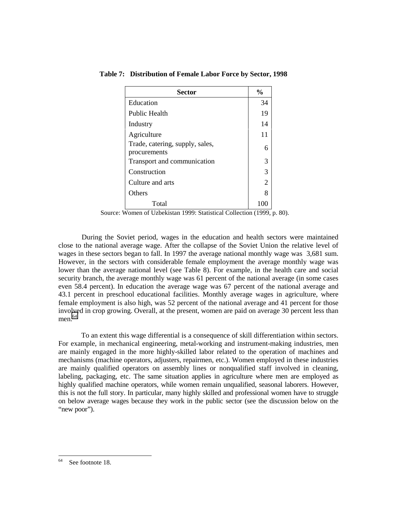| <b>Sector</b>                                   | $\frac{6}{9}$ |
|-------------------------------------------------|---------------|
| Education                                       | 34            |
| <b>Public Health</b>                            | 19            |
| Industry                                        | 14            |
| Agriculture                                     | 11            |
| Trade, catering, supply, sales,<br>procurements | 6             |
| Transport and communication                     | 3             |
| Construction                                    | 3             |
| Culture and arts                                | 2             |
| Others                                          | 8             |
| Total                                           |               |

 **Table 7: Distribution of Female Labor Force by Sector, 1998**

Source: Women of Uzbekistan 1999: Statistical Collection (1999, p. 80).

During the Soviet period, wages in the education and health sectors were maintained close to the national average wage. After the collapse of the Soviet Union the relative level of wages in these sectors began to fall. In 1997 the average national monthly wage was 3,681 sum. However, in the sectors with considerable female employment the average monthly wage was lower than the average national level (see Table 8). For example, in the health care and social security branch, the average monthly wage was 61 percent of the national average (in some cases even 58.4 percent). In education the average wage was 67 percent of the national average and 43.1 percent in preschool educational facilities. Monthly average wages in agriculture, where female employment is also high, was 52 percent of the national average and 41 percent for those involved in crop growing. Overall, at the present, women are paid on average 30 percent less than men. 64

To an extent this wage differential is a consequence of skill differentiation within sectors. For example, in mechanical engineering, metal-working and instrument-making industries, men are mainly engaged in the more highly-skilled labor related to the operation of machines and mechanisms (machine operators, adjusters, repairmen, etc.). Women employed in these industries are mainly qualified operators on assembly lines or nonqualified staff involved in cleaning, labeling, packaging, etc. The same situation applies in agriculture where men are employed as highly qualified machine operators, while women remain unqualified, seasonal laborers. However, this is not the full story. In particular, many highly skilled and professional women have to struggle on below average wages because they work in the public sector (see the discussion below on the "new poor").

<sup>64</sup> See footnote 18.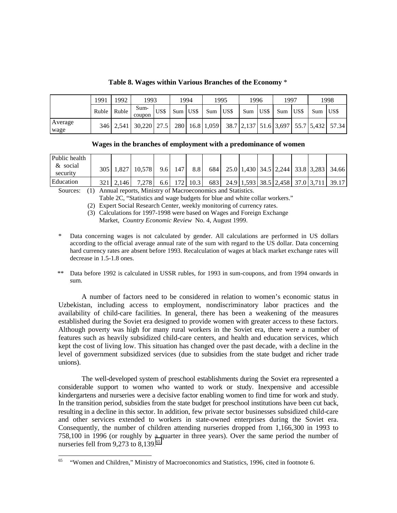|                 | 1991        | 1992          | 1993            |      |            | 1994 |             | 1995 | 1996 |      | 1997        |     | 1998                                                                    |
|-----------------|-------------|---------------|-----------------|------|------------|------|-------------|------|------|------|-------------|-----|-------------------------------------------------------------------------|
|                 | Ruble Ruble |               | Sum-<br>coupon  | US\$ | $Sum$ US\$ |      | $Sum$ $USS$ |      | Sum  | US\$ | $Sum$ $USS$ | Sum | <b>LUSS</b>                                                             |
| Average<br>wage |             | $346$   2.541 | $30,220$   27.5 |      |            |      |             |      |      |      |             |     | 280   16.8   1,059   38.7   2,137   51.6   3,697   55.7   5,432   57.34 |

**Table 8. Wages within Various Branches of the Economy** \*

**Wages in the branches of employment with a predominance of women**

| Public health        |       |             |              |                |     |  |  |  |                                                          |
|----------------------|-------|-------------|--------------|----------------|-----|--|--|--|----------------------------------------------------------|
| & social<br>security | 305 I |             | 1.827 10.578 | 9.6 147        | 8.8 |  |  |  | 684   25.0   1,430   34.5   2,244   33.8   3,283   34.66 |
| Education            |       | 321   2.146 | 7.278        | 6.6 $172$ 10.3 |     |  |  |  | 683 24.9 1,593 38.5 2,458 37.0 3,711 39.17               |

Sources: (1) Annual reports, Ministry of Macroeconomics and Statistics.

Table 2C, "Statistics and wage budgets for blue and white collar workers."

(2) Expert Social Research Center, weekly monitoring of currency rates.

(3) Calculations for 1997-1998 were based on Wages and Foreign Exchange Market, *Country Economic Review* No. 4, August 1999.

- Data concerning wages is not calculated by gender. All calculations are performed in US dollars according to the official average annual rate of the sum with regard to the US dollar. Data concerning hard currency rates are absent before 1993. Recalculation of wages at black market exchange rates will decrease in 1.5-1.8 ones.
- \*\* Data before 1992 is calculated in USSR rubles, for 1993 in sum-coupons, and from 1994 onwards in sum.

A number of factors need to be considered in relation to women's economic status in Uzbekistan, including access to employment, nondiscriminatory labor practices and the availability of child-care facilities. In general, there has been a weakening of the measures established during the Soviet era designed to provide women with greater access to these factors. Although poverty was high for many rural workers in the Soviet era, there were a number of features such as heavily subsidized child-care centers, and health and education services, which kept the cost of living low. This situation has changed over the past decade, with a decline in the level of government subsidized services (due to subsidies from the state budget and richer trade unions).

The well-developed system of preschool establishments during the Soviet era represented a considerable support to women who wanted to work or study. Inexpensive and accessible kindergartens and nurseries were a decisive factor enabling women to find time for work and study. In the transition period, subsidies from the state budget for preschool institutions have been cut back, resulting in a decline in this sector. In addition, few private sector businesses subsidized child-care and other services extended to workers in state-owned enterprises during the Soviet era. Consequently, the number of children attending nurseries dropped from 1,166,300 in 1993 to 758,100 in 1996 (or roughly by a quarter in three years). Over the same period the number of nurseries fell from  $9,273$  to  $8,139$ .<sup>65</sup>

<sup>65</sup> <sup>65</sup>"Women and Children," Ministry of Macroeconomics and Statistics, 1996, cited in footnote 6.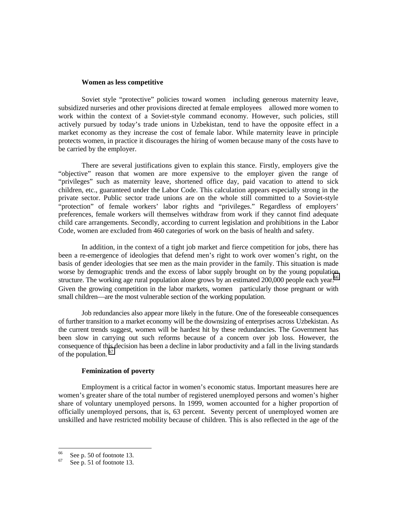#### **Women as less competitive**

Soviet style "protective" policies toward women—including generous maternity leave, subsidized nurseries and other provisions directed at female employees—allowed more women to work within the context of a Soviet-style command economy. However, such policies, still actively pursued by today's trade unions in Uzbekistan, tend to have the opposite effect in a market economy as they increase the cost of female labor. While maternity leave in principle protects women, in practice it discourages the hiring of women because many of the costs have to be carried by the employer.

There are several justifications given to explain this stance. Firstly, employers give the "objective" reason that women are more expensive to the employer given the range of "privileges" such as maternity leave, shortened office day, paid vacation to attend to sick children, etc., guaranteed under the Labor Code. This calculation appears especially strong in the private sector. Public sector trade unions are on the whole still committed to a Soviet-style "protection" of female workers' labor rights and "privileges." Regardless of employers' preferences, female workers will themselves withdraw from work if they cannot find adequate child care arrangements. Secondly, according to current legislation and prohibitions in the Labor Code, women are excluded from 460 categories of work on the basis of health and safety.

In addition, in the context of a tight job market and fierce competition for jobs, there has been a re-emergence of ideologies that defend men's right to work over women's right, on the basis of gender ideologies that see men as the main provider in the family. This situation is made worse by demographic trends and the excess of labor supply brought on by the young population structure. The working age rural population alone grows by an estimated 200,000 people each year.<sup>66</sup> Given the growing competition in the labor markets, women—particularly those pregnant or with small children—are the most vulnerable section of the working population.

Job redundancies also appear more likely in the future. One of the foreseeable consequences of further transition to a market economy will be the downsizing of enterprises across Uzbekistan. As the current trends suggest, women will be hardest hit by these redundancies. The Government has been slow in carrying out such reforms because of a concern over job loss. However, the consequence of this decision has been a decline in labor productivity and a fall in the living standards of the population. 67

## **Feminization of poverty**

Employment is a critical factor in women's economic status. Important measures here are women's greater share of the total number of registered unemployed persons and women's higher share of voluntary unemployed persons. In 1999, women accounted for a higher proportion of officially unemployed persons, that is, 63 percent. Seventy percent of unemployed women are unskilled and have restricted mobility because of children. This is also reflected in the age of the

<sup>66</sup>  $^{66}$  See p. 50 of footnote 13.

See p. 51 of footnote 13.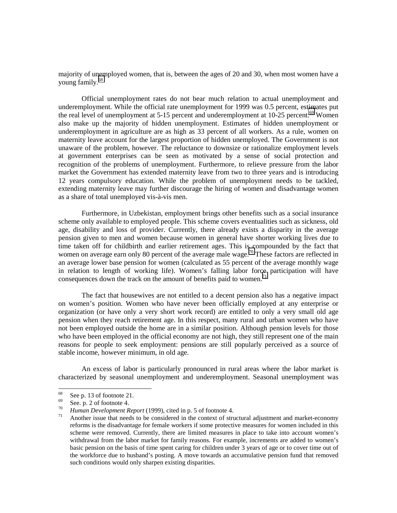majority of unemployed women, that is, between the ages of 20 and 30, when most women have a young family.68

Official unemployment rates do not bear much relation to actual unemployment and underemployment. While the official rate unemployment for 1999 was 0.5 percent, estimates put the real level of unemployment at  $5-15$  percent and underemployment at  $10-25$  percent.<sup>69</sup> Women also make up the majority of hidden unemployment. Estimates of hidden unemployment or underemployment in agriculture are as high as 33 percent of all workers. As a rule, women on maternity leave account for the largest proportion of hidden unemployed. The Government is not unaware of the problem, however. The reluctance to downsize or rationalize employment levels at government enterprises can be seen as motivated by a sense of social protection and recognition of the problems of unemployment. Furthermore, to relieve pressure from the labor market the Government has extended maternity leave from two to three years and is introducing 12 years compulsory education. While the problem of unemployment needs to be tackled, extending maternity leave may further discourage the hiring of women and disadvantage women as a share of total unemployed vis-à-vis men.

Furthermore, in Uzbekistan, employment brings other benefits such as a social insurance scheme only available to employed people. This scheme covers eventualities such as sickness, old age, disability and loss of provider. Currently, there already exists a disparity in the average pension given to men and women because women in general have shorter working lives due to time taken off for childbirth and earlier retirement ages. This is compounded by the fact that women on average earn only 80 percent of the average male wage.<sup>70</sup> These factors are reflected in an average lower base pension for women (calculated as 55 percent of the average monthly wage in relation to length of working life). Women's falling labor force participation will have consequences down the track on the amount of benefits paid to women.<sup>71</sup>

The fact that housewives are not entitled to a decent pension also has a negative impact on women's position. Women who have never been officially employed at any enterprise or organization (or have only a very short work record) are entitled to only a very small old age pension when they reach retirement age. In this respect, many rural and urban women who have not been employed outside the home are in a similar position. Although pension levels for those who have been employed in the official economy are not high, they still represent one of the main reasons for people to seek employment: pensions are still popularly perceived as a source of stable income, however minimum, in old age.

An excess of labor is particularly pronounced in rural areas where the labor market is characterized by seasonal unemployment and underemployment. Seasonal unemployment was

<sup>68</sup>  $^{68}$  See p. 13 of footnote 21.

 $^{69}$  See. p. 2 of footnote 4.

<sup>&</sup>lt;sup>70</sup> Human Development Report (1999), cited in p. 5 of footnote 4.<br><sup>71</sup> Another issue that needs to be considered in the context of structural adjustment and market-economy reforms is the disadvantage for female workers if some protective measures for women included in this scheme were removed. Currently, there are limited measures in place to take into account women's withdrawal from the labor market for family reasons. For example, increments are added to women's basic pension on the basis of time spent caring for children under 3 years of age or to cover time out of the workforce due to husband's posting. A move towards an accumulative pension fund that removed such conditions would only sharpen existing disparities.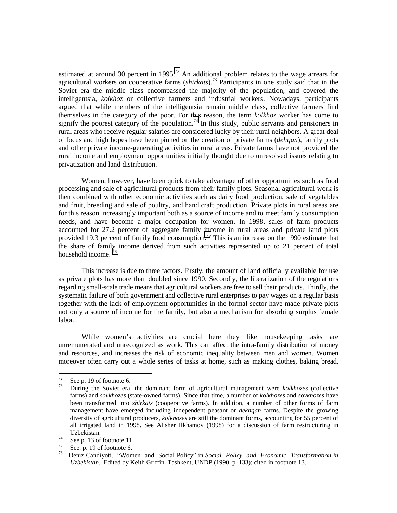estimated at around 30 percent in 1995.<sup>72</sup> An additional problem relates to the wage arrears for agricultural workers on cooperative farms (*shirkats*).73 Participants in one study said that in the Soviet era the middle class encompassed the majority of the population, and covered the intelligentsia, *kolkhoz* or collective farmers and industrial workers. Nowadays, participants argued that while members of the intelligentsia remain middle class, collective farmers find themselves in the category of the poor. For this reason, the term *kolkhoz* worker has come to signify the poorest category of the population.<sup>74</sup> In this study, public servants and pensioners in rural areas who receive regular salaries are considered lucky by their rural neighbors. A great deal of focus and high hopes have been pinned on the creation of private farms (*dehqan*), family plots and other private income-generating activities in rural areas. Private farms have not provided the rural income and employment opportunities initially thought due to unresolved issues relating to privatization and land distribution.

Women, however, have been quick to take advantage of other opportunities such as food processing and sale of agricultural products from their family plots. Seasonal agricultural work is then combined with other economic activities such as dairy food production, sale of vegetables and fruit, breeding and sale of poultry, and handicraft production. Private plots in rural areas are for this reason increasingly important both as a source of income and to meet family consumption needs, and have become a major occupation for women. In 1998, sales of farm products accounted for 27.2 percent of aggregate family income in rural areas and private land plots provided 19.3 percent of family food consumption.<sup>75</sup> This is an increase on the 1990 estimate that the share of family income derived from such activities represented up to 21 percent of total household income.

This increase is due to three factors. Firstly, the amount of land officially available for use as private plots has more than doubled since 1990. Secondly, the liberalization of the regulations regarding small-scale trade means that agricultural workers are free to sell their products. Thirdly, the systematic failure of both government and collective rural enterprises to pay wages on a regular basis together with the lack of employment opportunities in the formal sector have made private plots not only a source of income for the family, but also a mechanism for absorbing surplus female labor.

While women's activities are crucial here they—like housekeeping tasks—are unremunerated and unrecognized as work. This can affect the intra-family distribution of money and resources, and increases the risk of economic inequality between men and women. Women moreover often carry out a whole series of tasks at home, such as making clothes, baking bread,

 $72$ 

<sup>72</sup>See p. 19 of footnote 6. 73 During the Soviet era, the dominant form of agricultural management were *kolkhozes* (collective farms) and *sovkhozes* (state-owned farms). Since that time, a number of *kolkhozes* and *sovkhozes* have been transformed into *shirkats* (cooperative farms). In addition, a number of other forms of farm management have emerged including independent peasant or *dekhqan* farms. Despite the growing diversity of agricultural producers, *kolkhozes* are still the dominant forms, accounting for 55 percent of all irrigated land in 1998. See Alisher Ilkhamov (1998) for a discussion of farm restructuring in

Uzbekistan.<br>
See p. 13 of footnote 11.<br>  $\frac{75}{75}$ .

<sup>75</sup>See. p. 19 of footnote 6. 76 Deniz Candiyoti. "Women and Social Policy" in *Social Policy and Economic Transformation in Uzbekistan*. Edited by Keith Griffin. Tashkent, UNDP (1990, p. 133); cited in footnote 13.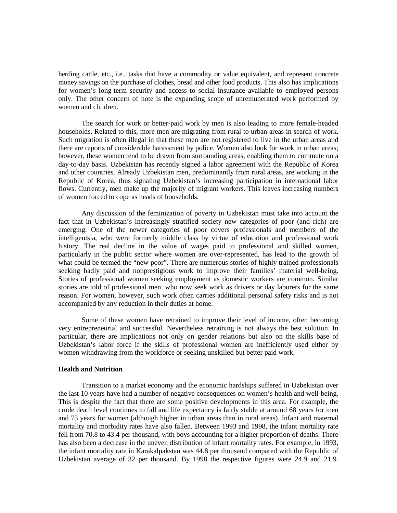herding cattle, etc., i.e., tasks that have a commodity or value equivalent, and represent concrete money savings on the purchase of clothes, bread and other food products. This also has implications for women's long-term security and access to social insurance available to employed persons only. The other concern of note is the expanding scope of unremunerated work performed by women and children.

The search for work or better-paid work by men is also leading to more female-headed households. Related to this, more men are migrating from rural to urban areas in search of work. Such migration is often illegal in that these men are not registered to live in the urban areas and there are reports of considerable harassment by police. Women also look for work in urban areas; however, these women tend to be drawn from surrounding areas, enabling them to commute on a day-to-day basis. Uzbekistan has recently signed a labor agreement with the Republic of Korea and other countries. Already Uzbekistan men, predominantly from rural areas, are working in the Republic of Korea, thus signaling Uzbekistan's increasing participation in international labor flows. Currently, men make up the majority of migrant workers. This leaves increasing numbers of women forced to cope as heads of households.

Any discussion of the feminization of poverty in Uzbekistan must take into account the fact that in Uzbekistan's increasingly stratified society new categories of poor (and rich) are emerging. One of the newer categories of poor covers professionals and members of the intelligentsia, who were formerly middle class by virtue of education and professional work history. The real decline in the value of wages paid to professional and skilled women, particularly in the public sector where women are over-represented, has lead to the growth of what could be termed the "new poor". There are numerous stories of highly trained professionals seeking badly paid and nonprestigious work to improve their families' material well-being. Stories of professional women seeking employment as domestic workers are common. Similar stories are told of professional men, who now seek work as drivers or day laborers for the same reason. For women, however, such work often carries additional personal safety risks and is not accompanied by any reduction in their duties at home.

Some of these women have retrained to improve their level of income, often becoming very entrepreneurial and successful. Nevertheless retraining is not always the best solution. In particular, there are implications not only on gender relations but also on the skills base of Uzbekistan's labor force if the skills of professional women are inefficiently used either by women withdrawing from the workforce or seeking unskilled but better paid work.

#### **Health and Nutrition**

Transition to a market economy and the economic hardships suffered in Uzbekistan over the last 10 years have had a number of negative consequences on women's health and well-being. This is despite the fact that there are some positive developments in this area. For example, the crude death level continues to fall and life expectancy is fairly stable at around 68 years for men and 73 years for women (although higher in urban areas than in rural areas). Infant and maternal mortality and morbidity rates have also fallen. Between 1993 and 1998, the infant mortality rate fell from 70.8 to 43.4 per thousand, with boys accounting for a higher proportion of deaths. There has also been a decrease in the uneven distribution of infant mortality rates. For example, in 1993, the infant mortality rate in Karakalpakstan was 44.8 per thousand compared with the Republic of Uzbekistan average of 32 per thousand. By 1998 the respective figures were 24.9 and 21.9.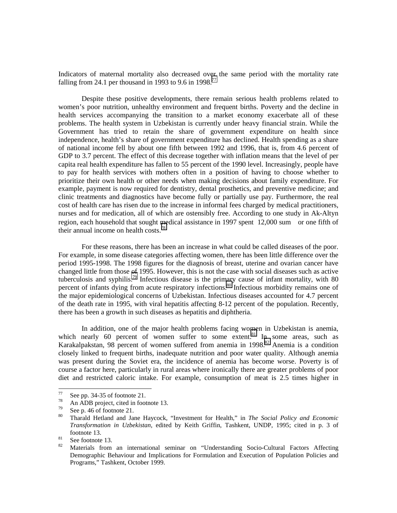Indicators of maternal mortality also decreased over the same period with the mortality rate falling from 24.1 per thousand in 1993 to 9.6 in 1998.<sup>77</sup>

Despite these positive developments, there remain serious health problems related to women's poor nutrition, unhealthy environment and frequent births. Poverty and the decline in health services accompanying the transition to a market economy exacerbate all of these problems. The health system in Uzbekistan is currently under heavy financial strain. While the Government has tried to retain the share of government expenditure on health since independence, health's share of government expenditure has declined. Health spending as a share of national income fell by about one fifth between 1992 and 1996, that is, from 4.6 percent of GDP to 3.7 percent. The effect of this decrease together with inflation means that the level of per capita real health expenditure has fallen to 55 percent of the 1990 level. Increasingly, people have to pay for health services with mothers often in a position of having to choose whether to prioritize their own health or other needs when making decisions about family expenditure. For example, payment is now required for dentistry, dental prosthetics, and preventive medicine; and clinic treatments and diagnostics have become fully or partially use pay. Furthermore, the real cost of health care has risen due to the increase in informal fees charged by medical practitioners, nurses and for medication, all of which are ostensibly free. According to one study in Ak-Altyn region, each household that sought medical assistance in 1997 spent  $12,000$  sum—or one fifth of their annual income on health costs.<sup>78</sup>

For these reasons, there has been an increase in what could be called diseases of the poor. For example, in some disease categories affecting women, there has been little difference over the period 1995-1998. The 1998 figures for the diagnosis of breast, uterine and ovarian cancer have changed little from those of 1995. However, this is not the case with social diseases such as active tuberculosis and syphilis.79 Infectious disease is the primary cause of infant mortality, with 80 percent of infants dying from acute respiratory infections.<sup>80</sup> Infectious morbidity remains one of the major epidemiological concerns of Uzbekistan. Infectious diseases accounted for 4.7 percent of the death rate in 1995, with viral hepatitis affecting 8-12 percent of the population. Recently, there has been a growth in such diseases as hepatitis and diphtheria.

In addition, one of the major health problems facing women in Uzbekistan is anemia, which nearly 60 percent of women suffer to some extent.<sup>81</sup> In some areas, such as Karakalpakstan, 98 percent of women suffered from anemia in 1998.<sup>82</sup> Anemia is a condition closely linked to frequent births, inadequate nutrition and poor water quality. Although anemia was present during the Soviet era, the incidence of anemia has become worse. Poverty is of course a factor here, particularly in rural areas where ironically there are greater problems of poor diet and restricted caloric intake. For example, consumption of meat is 2.5 times higher in

 $77\,$ 

<sup>&</sup>lt;sup>77</sup> See pp. 34-35 of footnote 21.<br><sup>78</sup> An ADB project, cited in footnote 13.

 $^{79}$  See p. 46 of footnote 21.

<sup>80</sup> Tharald Hetland and Jane Haycock, "Investment for Health," in *The Social Policy and Economic Transformation in Uzbekistan*, edited by Keith Griffin, Tashkent, UNDP, 1995; cited in p. 3 of footnote 13.<br><sup>81</sup> See footnote 13.

<sup>82</sup> Materials from an international seminar on "Understanding Socio-Cultural Factors Affecting Demographic Behaviour and Implications for Formulation and Execution of Population Policies and Programs," Tashkent, October 1999.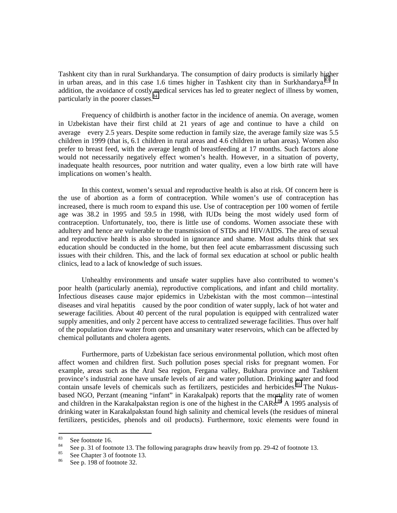Tashkent city than in rural Surkhandarya. The consumption of dairy products is similarly higher in urban areas, and in this case 1.6 times higher in Tashkent city than in Surkhandarya.<sup>83</sup> In addition, the avoidance of costly medical services has led to greater neglect of illness by women, particularly in the poorer classes.<sup>84</sup>

Frequency of childbirth is another factor in the incidence of anemia. On average, women in Uzbekistan have their first child at 21 years of age and continue to have a child-on average—every 2.5 years. Despite some reduction in family size, the average family size was 5.5 children in 1999 (that is, 6.1 children in rural areas and 4.6 children in urban areas). Women also prefer to breast feed, with the average length of breastfeeding at 17 months. Such factors alone would not necessarily negatively effect women's health. However, in a situation of poverty, inadequate health resources, poor nutrition and water quality, even a low birth rate will have implications on women's health.

In this context, women's sexual and reproductive health is also at risk. Of concern here is the use of abortion as a form of contraception. While women's use of contraception has increased, there is much room to expand this use. Use of contraception per 100 women of fertile age was 38.2 in 1995 and 59.5 in 1998, with IUDs being the most widely used form of contraception. Unfortunately, too, there is little use of condoms. Women associate these with adultery and hence are vulnerable to the transmission of STDs and HIV/AIDS. The area of sexual and reproductive health is also shrouded in ignorance and shame. Most adults think that sex education should be conducted in the home, but then feel acute embarrassment discussing such issues with their children. This, and the lack of formal sex education at school or public health clinics, lead to a lack of knowledge of such issues.

Unhealthy environments and unsafe water supplies have also contributed to women's poor health (particularly anemia), reproductive complications, and infant and child mortality. Infectious diseases cause major epidemics in Uzbekistan with the most common—intestinal diseases and viral hepatitis—caused by the poor condition of water supply, lack of hot water and sewerage facilities. About 40 percent of the rural population is equipped with centralized water supply amenities, and only 2 percent have access to centralized sewerage facilities. Thus over half of the population draw water from open and unsanitary water reservoirs, which can be affected by chemical pollutants and cholera agents.

Furthermore, parts of Uzbekistan face serious environmental pollution, which most often affect women and children first. Such pollution poses special risks for pregnant women. For example, areas such as the Aral Sea region, Fergana valley, Bukhara province and Tashkent province's industrial zone have unsafe levels of air and water pollution. Drinking water and food contain unsafe levels of chemicals such as fertilizers, pesticides and herbicides.<sup>85</sup> The Nukusbased NGO, Perzant (meaning "infant" in Karakalpak) reports that the mortality rate of women and children in the Karakalpakstan region is one of the highest in the CARs.<sup>86</sup> A 1995 analysis of drinking water in Karakalpakstan found high salinity and chemical levels (the residues of mineral fertilizers, pesticides, phenols and oil products). Furthermore, toxic elements were found in

<sup>83</sup> 

<sup>&</sup>lt;sup>83</sup> See footnote 16.<br><sup>84</sup> See p. 31 of footnote 13. The following paragraphs draw heavily from pp. 29-42 of footnote 13.<br><sup>85</sup> See Chapter 3 of footnote 13.

<sup>&</sup>lt;sup>85</sup> See Chapter 3 of footnote 13.<br><sup>86</sup> See P<sub>0</sub> 108 of footnote 22.

See p. 198 of footnote 32.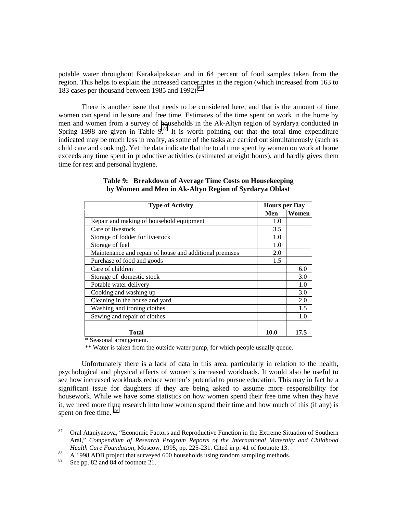potable water throughout Karakalpakstan and in 64 percent of food samples taken from the region. This helps to explain the increased cancer rates in the region (which increased from 163 to 183 cases per thousand between 1985 and 1992).<sup>87</sup>

There is another issue that needs to be considered here, and that is the amount of time women can spend in leisure and free time. Estimates of the time spent on work in the home by men and women from a survey of households in the Ak-Altyn region of Syrdarya conducted in Spring 1998 are given in Table  $9^{88}$  It is worth pointing out that the total time expenditure indicated may be much less in reality, as some of the tasks are carried out simultaneously (such as child care and cooking). Yet the data indicate that the total time spent by women on work at home exceeds any time spent in productive activities (estimated at eight hours), and hardly gives them time for rest and personal hygiene.

| <b>Type of Activity</b>                                 | <b>Hours per Day</b> |       |
|---------------------------------------------------------|----------------------|-------|
|                                                         | Men                  | Women |
| Repair and making of household equipment                | 1.0                  |       |
| Care of livestock                                       | 3.5                  |       |
| Storage of fodder for livestock                         | 1.0                  |       |
| Storage of fuel                                         | 1.0                  |       |
| Maintenance and repair of house and additional premises | 2.0                  |       |
| Purchase of food and goods                              | 1.5                  |       |
| Care of children                                        |                      | 6.0   |
| Storage of domestic stock                               |                      | 3.0   |
| Potable water delivery                                  |                      | 1.0   |
| Cooking and washing up                                  |                      | 3.0   |
| Cleaning in the house and yard                          |                      | 2.0   |
| Washing and ironing clothes                             |                      | 1.5   |
| Sewing and repair of clothes                            |                      | 1.0   |
|                                                         |                      |       |
| Total                                                   | 10.0                 | 17.5  |

# **Table 9: Breakdown of Average Time Costs on Housekeeping by Women and Men in Ak-Altyn Region of Syrdarya Oblast**

\* Seasonal arrangement.

\*\* Water is taken from the outside water pump, for which people usually queue.

Unfortunately there is a lack of data in this area, particularly in relation to the health, psychological and physical affects of women's increased workloads. It would also be useful to see how increased workloads reduce women's potential to pursue education. This may in fact be a significant issue for daughters if they are being asked to assume more responsibility for housework. While we have some statistics on how women spend their free time when they have it, we need more time research into how women spend their time and how much of this (if any) is spent on free time. <sup>89</sup>

<sup>87</sup> 87 Oral Ataniyazova, "Economic Factors and Reproductive Function in the Extreme Situation of Southern Aral," *Compendium of Research Program Reports of the International Maternity and Childhood*

*Health Care Foundation*, Moscow, 1995, pp. 225-231. Cited in p. 41 of footnote 13.<br><sup>88</sup> A 1998 ADB project that surveyed 600 households using random sampling methods.<br><sup>89</sup> See pp. 82 and 84 of footnote 21

See pp. 82 and 84 of footnote 21.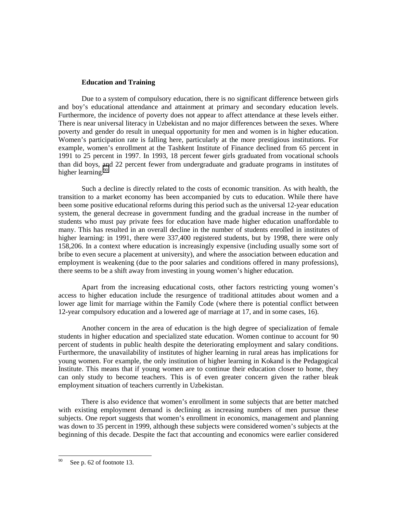### **Education and Training**

Due to a system of compulsory education, there is no significant difference between girls and boy's educational attendance and attainment at primary and secondary education levels. Furthermore, the incidence of poverty does not appear to affect attendance at these levels either. There is near universal literacy in Uzbekistan and no major differences between the sexes. Where poverty and gender do result in unequal opportunity for men and women is in higher education. Women's participation rate is falling here, particularly at the more prestigious institutions. For example, women's enrollment at the Tashkent Institute of Finance declined from 65 percent in 1991 to 25 percent in 1997. In 1993, 18 percent fewer girls graduated from vocational schools than did boys, and 22 percent fewer from undergraduate and graduate programs in institutes of higher learning.<sup>90</sup>

Such a decline is directly related to the costs of economic transition. As with health, the transition to a market economy has been accompanied by cuts to education. While there have been some positive educational reforms during this period such as the universal 12-year education system, the general decrease in government funding and the gradual increase in the number of students who must pay private fees for education have made higher education unaffordable to many. This has resulted in an overall decline in the number of students enrolled in institutes of higher learning: in 1991, there were 337,400 registered students, but by 1998, there were only 158,206. In a context where education is increasingly expensive (including usually some sort of bribe to even secure a placement at university), and where the association between education and employment is weakening (due to the poor salaries and conditions offered in many professions), there seems to be a shift away from investing in young women's higher education.

Apart from the increasing educational costs, other factors restricting young women's access to higher education include the resurgence of traditional attitudes about women and a lower age limit for marriage within the Family Code (where there is potential conflict between 12-year compulsory education and a lowered age of marriage at 17, and in some cases, 16).

Another concern in the area of education is the high degree of specialization of female students in higher education and specialized state education. Women continue to account for 90 percent of students in public health despite the deteriorating employment and salary conditions. Furthermore, the unavailability of institutes of higher learning in rural areas has implications for young women. For example, the only institution of higher learning in Kokand is the Pedagogical Institute. This means that if young women are to continue their education closer to home, they can only study to become teachers. This is of even greater concern given the rather bleak employment situation of teachers currently in Uzbekistan.

There is also evidence that women's enrollment in some subjects that are better matched with existing employment demand is declining as increasing numbers of men pursue these subjects. One report suggests that women's enrollment in economics, management and planning was down to 35 percent in 1999, although these subjects were considered women's subjects at the beginning of this decade. Despite the fact that accounting and economics were earlier considered

<sup>90</sup> See p. 62 of footnote 13.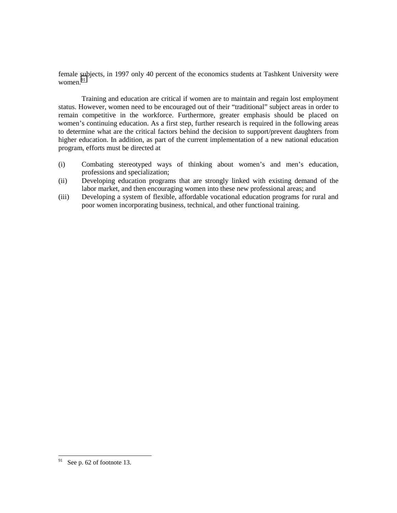female subjects, in 1997 only 40 percent of the economics students at Tashkent University were women. $91$ 

Training and education are critical if women are to maintain and regain lost employment status. However, women need to be encouraged out of their "traditional" subject areas in order to remain competitive in the workforce. Furthermore, greater emphasis should be placed on women's continuing education. As a first step, further research is required in the following areas to determine what are the critical factors behind the decision to support/prevent daughters from higher education. In addition, as part of the current implementation of a new national education program, efforts must be directed at

- (i) Combating stereotyped ways of thinking about women's and men's education, professions and specialization;
- (ii) Developing education programs that are strongly linked with existing demand of the labor market, and then encouraging women into these new professional areas; and
- (iii) Developing a system of flexible, affordable vocational education programs for rural and poor women incorporating business, technical, and other functional training.

<sup>91</sup> See p. 62 of footnote 13.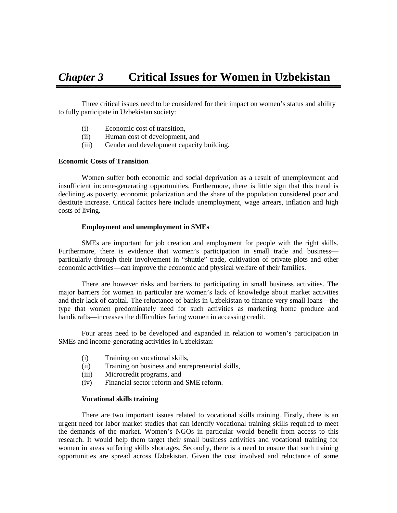Three critical issues need to be considered for their impact on women's status and ability to fully participate in Uzbekistan society:

- (i) Economic cost of transition,
- (ii) Human cost of development, and
- (iii) Gender and development capacity building.

# **Economic Costs of Transition**

Women suffer both economic and social deprivation as a result of unemployment and insufficient income-generating opportunities. Furthermore, there is little sign that this trend is declining as poverty, economic polarization and the share of the population considered poor and destitute increase. Critical factors here include unemployment, wage arrears, inflation and high costs of living.

### **Employment and unemployment in SMEs**

SMEs are important for job creation and employment for people with the right skills. Furthermore, there is evidence that women's participation in small trade and business particularly through their involvement in "shuttle" trade, cultivation of private plots and other economic activities—can improve the economic and physical welfare of their families.

There are however risks and barriers to participating in small business activities. The major barriers for women in particular are women's lack of knowledge about market activities and their lack of capital. The reluctance of banks in Uzbekistan to finance very small loans—the type that women predominately need for such activities as marketing home produce and handicrafts—increases the difficulties facing women in accessing credit.

Four areas need to be developed and expanded in relation to women's participation in SMEs and income-generating activities in Uzbekistan:

- (i) Training on vocational skills,
- (ii) Training on business and entrepreneurial skills,
- (iii) Microcredit programs, and
- (iv) Financial sector reform and SME reform.

# **Vocational skills training**

There are two important issues related to vocational skills training. Firstly, there is an urgent need for labor market studies that can identify vocational training skills required to meet the demands of the market. Women's NGOs in particular would benefit from access to this research. It would help them target their small business activities and vocational training for women in areas suffering skills shortages. Secondly, there is a need to ensure that such training opportunities are spread across Uzbekistan. Given the cost involved and reluctance of some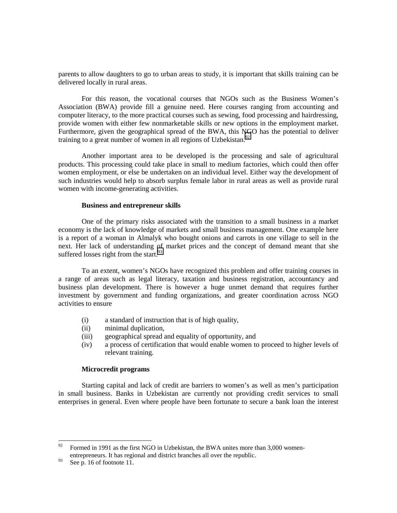parents to allow daughters to go to urban areas to study, it is important that skills training can be delivered locally in rural areas.

For this reason, the vocational courses that NGOs such as the Business Women's Association (BWA) provide fill a genuine need. Here courses ranging from accounting and computer literacy, to the more practical courses such as sewing, food processing and hairdressing, provide women with either few nonmarketable skills or new options in the employment market. Furthermore, given the geographical spread of the BWA, this NGO has the potential to deliver training to a great number of women in all regions of Uzbekistan. $92$ 

Another important area to be developed is the processing and sale of agricultural products. This processing could take place in small to medium factories, which could then offer women employment, or else be undertaken on an individual level. Either way the development of such industries would help to absorb surplus female labor in rural areas as well as provide rural women with income-generating activities.

#### **Business and entrepreneur skills**

One of the primary risks associated with the transition to a small business in a market economy is the lack of knowledge of markets and small business management. One example here is a report of a woman in Almalyk who bought onions and carrots in one village to sell in the next. Her lack of understanding of market prices and the concept of demand meant that she suffered losses right from the start. $^{93}$ 

To an extent, women's NGOs have recognized this problem and offer training courses in a range of areas such as legal literacy, taxation and business registration, accountancy and business plan development. There is however a huge unmet demand that requires further investment by government and funding organizations, and greater coordination across NGO activities to ensure

- (i) a standard of instruction that is of high quality,
- (ii) minimal duplication,
- (iii) geographical spread and equality of opportunity, and
- (iv) a process of certification that would enable women to proceed to higher levels of relevant training.

#### **Microcredit programs**

Starting capital and lack of credit are barriers to women's as well as men's participation in small business. Banks in Uzbekistan are currently not providing credit services to small enterprises in general. Even where people have been fortunate to secure a bank loan the interest

<sup>92</sup> Formed in 1991 as the first NGO in Uzbekistan, the BWA unites more than 3,000 womenentrepreneurs. It has regional and district branches all over the republic.

 $93$  See p. 16 of footnote 11.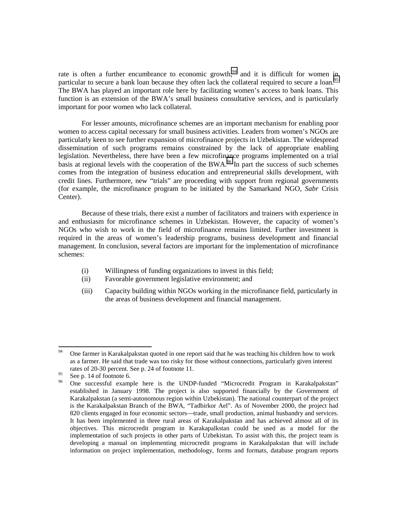rate is often a further encumbrance to economic growth,  $94$  and it is difficult for women in particular to secure a bank loan because they often lack the collateral required to secure a loan.<sup>95</sup> The BWA has played an important role here by facilitating women's access to bank loans. This function is an extension of the BWA's small business consultative services, and is particularly important for poor women who lack collateral.

For lesser amounts, microfinance schemes are an important mechanism for enabling poor women to access capital necessary for small business activities. Leaders from women's NGOs are particularly keen to see further expansion of microfinance projects in Uzbekistan. The widespread dissemination of such programs remains constrained by the lack of appropriate enabling legislation. Nevertheless, there have been a few microfinance programs implemented on a trial basis at regional levels with the cooperation of the BWA.<sup>96</sup> In part the success of such schemes comes from the integration of business education and entrepreneurial skills development, with credit lines. Furthermore, new "trials" are proceeding with support from regional governments (for example, the microfinance program to be initiated by the Samarkand NGO, *Sabr* Crisis Center).

Because of these trials, there exist a number of facilitators and trainers with experience in and enthusiasm for microfinance schemes in Uzbekistan. However, the capacity of women's NGOs who wish to work in the field of microfinance remains limited. Further investment is required in the areas of women's leadership programs, business development and financial management. In conclusion, several factors are important for the implementation of microfinance schemes:

- (i) Willingness of funding organizations to invest in this field;
- (ii) Favorable government legislative environment; and
- (iii) Capacity building within NGOs working in the microfinance field, particularly in the areas of business development and financial management.

<sup>94</sup> 94 One farmer in Karakalpakstan quoted in one report said that he was teaching his children how to work as a farmer. He said that trade was too risky for those without connections, particularly given interest rates of 20-30 percent. See p. 24 of footnote 11.

<sup>&</sup>lt;sup>95</sup> See p. 14 of footnote 6.<br><sup>96</sup> One successful example here is the UNDP-funded "Microcredit Program in Karakalpakstan" established in January 1998. The project is also supported financially by the Government of Karakalpakstan (a semi-autonomous region within Uzbekistan). The national counterpart of the project is the Karakalpakstan Branch of the BWA, "Tadbirkor Ael". As of November 2000, the project had 820 clients engaged in four economic sectors—trade, small production, animal husbandry and services. It has been implemented in three rural areas of Karakalpakstan and has achieved almost all of its objectives. This microcredit program in Karakapalkstan could be used as a model for the implementation of such projects in other parts of Uzbekistan. To assist with this, the project team is developing a manual on implementing microcredit programs in Karakalpakstan that will include information on project implementation, methodology, forms and formats, database program reports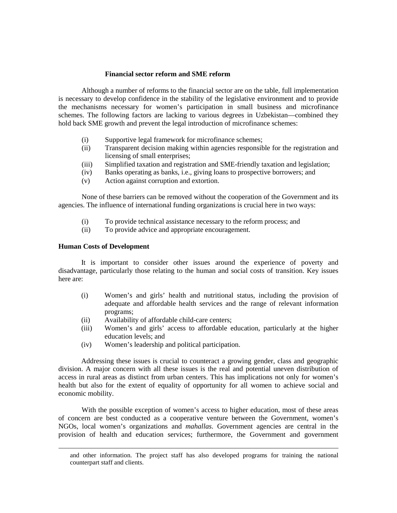# **Financial sector reform and SME reform**

Although a number of reforms to the financial sector are on the table, full implementation is necessary to develop confidence in the stability of the legislative environment and to provide the mechanisms necessary for women's participation in small business and microfinance schemes. The following factors are lacking to various degrees in Uzbekistan—combined they hold back SME growth and prevent the legal introduction of microfinance schemes:

- (i) Supportive legal framework for microfinance schemes;
- (ii) Transparent decision making within agencies responsible for the registration and licensing of small enterprises;
- (iii) Simplified taxation and registration and SME-friendly taxation and legislation;
- (iv) Banks operating as banks, i.e., giving loans to prospective borrowers; and
- (v) Action against corruption and extortion.

None of these barriers can be removed without the cooperation of the Government and its agencies. The influence of international funding organizations is crucial here in two ways:

- (i) To provide technical assistance necessary to the reform process; and
- (ii) To provide advice and appropriate encouragement.

## **Human Costs of Development**

It is important to consider other issues around the experience of poverty and disadvantage, particularly those relating to the human and social costs of transition. Key issues here are:

- (i) Women's and girls' health and nutritional status, including the provision of adequate and affordable health services and the range of relevant information programs;
- (ii) Availability of affordable child-care centers;
- (iii) Women's and girls' access to affordable education, particularly at the higher education levels; and
- (iv) Women's leadership and political participation.

Addressing these issues is crucial to counteract a growing gender, class and geographic division. A major concern with all these issues is the real and potential uneven distribution of access in rural areas as distinct from urban centers. This has implications not only for women's health but also for the extent of equality of opportunity for all women to achieve social and economic mobility.

With the possible exception of women's access to higher education, most of these areas of concern are best conducted as a cooperative venture between the Government, women's NGOs, local women's organizations and *mahallas*. Government agencies are central in the provision of health and education services; furthermore, the Government and government

and other information. The project staff has also developed programs for training the national counterpart staff and clients.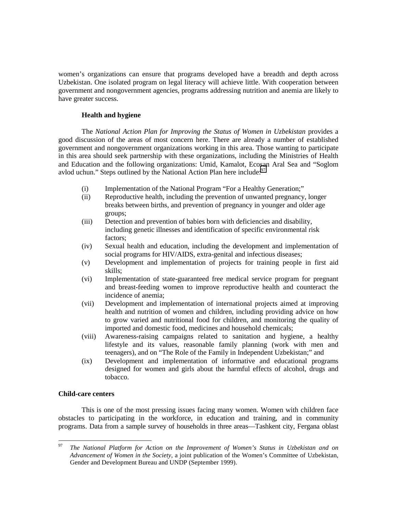women's organizations can ensure that programs developed have a breadth and depth across Uzbekistan. One isolated program on legal literacy will achieve little. With cooperation between government and nongovernment agencies, programs addressing nutrition and anemia are likely to have greater success.

# **Health and hygiene**

The *National Action Plan for Improving the Status of Women in Uzbekistan* provides a good discussion of the areas of most concern here. There are already a number of established government and nongovernment organizations working in this area. Those wanting to participate in this area should seek partnership with these organizations, including the Ministries of Health and Education and the following organizations: Umid, Kamalot, Ecosan Aral Sea and "Soglom avlod uchun." Steps outlined by the National Action Plan here include: $97$ 

- (i) Implementation of the National Program "For a Healthy Generation;"
- (ii) Reproductive health, including the prevention of unwanted pregnancy, longer breaks between births, and prevention of pregnancy in younger and older age groups;
- (iii) Detection and prevention of babies born with deficiencies and disability, including genetic illnesses and identification of specific environmental risk factors;
- (iv) Sexual health and education, including the development and implementation of social programs for HIV/AIDS, extra-genital and infectious diseases;
- (v) Development and implementation of projects for training people in first aid skills;
- (vi) Implementation of state-guaranteed free medical service program for pregnant and breast-feeding women to improve reproductive health and counteract the incidence of anemia;
- (vii) Development and implementation of international projects aimed at improving health and nutrition of women and children, including providing advice on how to grow varied and nutritional food for children, and monitoring the quality of imported and domestic food, medicines and household chemicals;
- (viii) Awareness-raising campaigns related to sanitation and hygiene, a healthy lifestyle and its values, reasonable family planning (work with men and teenagers), and on "The Role of the Family in Independent Uzbekistan;" and
- (ix) Development and implementation of informative and educational programs designed for women and girls about the harmful effects of alcohol, drugs and tobacco.

# **Child-care centers**

This is one of the most pressing issues facing many women. Women with children face obstacles to participating in the workforce, in education and training, and in community programs. Data from a sample survey of households in three areas—Tashkent city, Fergana oblast

<sup>97</sup> <sup>97</sup> *The National Platform for Action on the Improvement of Women's Status in Uzbekistan and on Advancement of Women in the Society*, a joint publication of the Women's Committee of Uzbekistan, Gender and Development Bureau and UNDP (September 1999).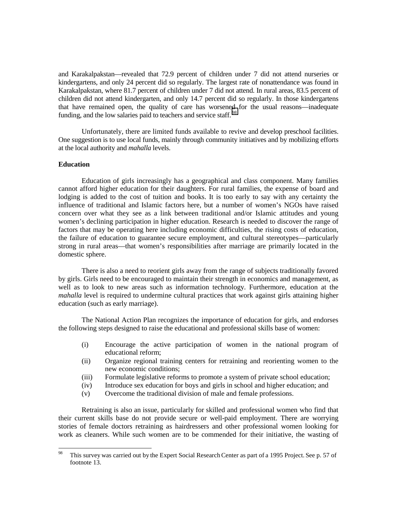and Karakalpakstan—revealed that 72.9 percent of children under 7 did not attend nurseries or kindergartens, and only 24 percent did so regularly. The largest rate of nonattendance was found in Karakalpakstan, where 81.7 percent of children under 7 did not attend. In rural areas, 83.5 percent of children did not attend kindergarten, and only 14.7 percent did so regularly. In those kindergartens that have remained open, the quality of care has worsened for the usual reasons—inadequate funding, and the low salaries paid to teachers and service staff.<sup>98</sup>

Unfortunately, there are limited funds available to revive and develop preschool facilities. One suggestion is to use local funds, mainly through community initiatives and by mobilizing efforts at the local authority and *mahalla* levels.

# **Education**

Education of girls increasingly has a geographical and class component. Many families cannot afford higher education for their daughters. For rural families, the expense of board and lodging is added to the cost of tuition and books. It is too early to say with any certainty the influence of traditional and Islamic factors here, but a number of women's NGOs have raised concern over what they see as a link between traditional and/or Islamic attitudes and young women's declining participation in higher education. Research is needed to discover the range of factors that may be operating here including economic difficulties, the rising costs of education, the failure of education to guarantee secure employment, and cultural stereotypes—particularly strong in rural areas—that women's responsibilities after marriage are primarily located in the domestic sphere.

There is also a need to reorient girls away from the range of subjects traditionally favored by girls. Girls need to be encouraged to maintain their strength in economics and management, as well as to look to new areas such as information technology. Furthermore, education at the *mahalla* level is required to undermine cultural practices that work against girls attaining higher education (such as early marriage).

The National Action Plan recognizes the importance of education for girls, and endorses the following steps designed to raise the educational and professional skills base of women:

- (i) Encourage the active participation of women in the national program of educational reform;
- (ii) Organize regional training centers for retraining and reorienting women to the new economic conditions;
- (iii) Formulate legislative reforms to promote a system of private school education;
- (iv) Introduce sex education for boys and girls in school and higher education; and
- (v) Overcome the traditional division of male and female professions.

Retraining is also an issue, particularly for skilled and professional women who find that their current skills base do not provide secure or well-paid employment. There are worrying stories of female doctors retraining as hairdressers and other professional women looking for work as cleaners. While such women are to be commended for their initiative, the wasting of

<sup>98</sup> This survey was carried out by the Expert Social Research Center as part of a 1995 Project. See p. 57 of footnote 13.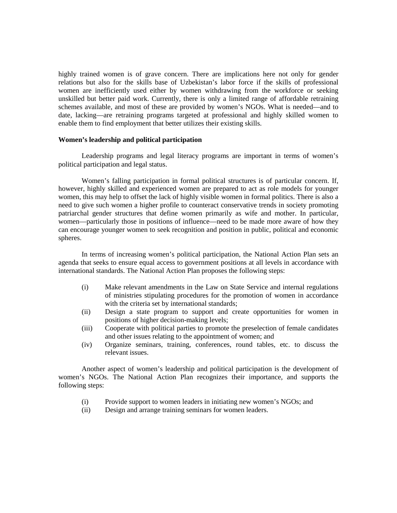highly trained women is of grave concern. There are implications here not only for gender relations but also for the skills base of Uzbekistan's labor force if the skills of professional women are inefficiently used either by women withdrawing from the workforce or seeking unskilled but better paid work. Currently, there is only a limited range of affordable retraining schemes available, and most of these are provided by women's NGOs. What is needed—and to date, lacking—are retraining programs targeted at professional and highly skilled women to enable them to find employment that better utilizes their existing skills.

### **Women's leadership and political participation**

Leadership programs and legal literacy programs are important in terms of women's political participation and legal status.

Women's falling participation in formal political structures is of particular concern. If, however, highly skilled and experienced women are prepared to act as role models for younger women, this may help to offset the lack of highly visible women in formal politics. There is also a need to give such women a higher profile to counteract conservative trends in society promoting patriarchal gender structures that define women primarily as wife and mother. In particular, women—particularly those in positions of influence—need to be made more aware of how they can encourage younger women to seek recognition and position in public, political and economic spheres.

In terms of increasing women's political participation, the National Action Plan sets an agenda that seeks to ensure equal access to government positions at all levels in accordance with international standards. The National Action Plan proposes the following steps:

- (i) Make relevant amendments in the Law on State Service and internal regulations of ministries stipulating procedures for the promotion of women in accordance with the criteria set by international standards;
- (ii) Design a state program to support and create opportunities for women in positions of higher decision-making levels;
- (iii) Cooperate with political parties to promote the preselection of female candidates and other issues relating to the appointment of women; and
- (iv) Organize seminars, training, conferences, round tables, etc. to discuss the relevant issues.

Another aspect of women's leadership and political participation is the development of women's NGOs. The National Action Plan recognizes their importance, and supports the following steps:

- (i) Provide support to women leaders in initiating new women's NGOs; and
- (ii) Design and arrange training seminars for women leaders.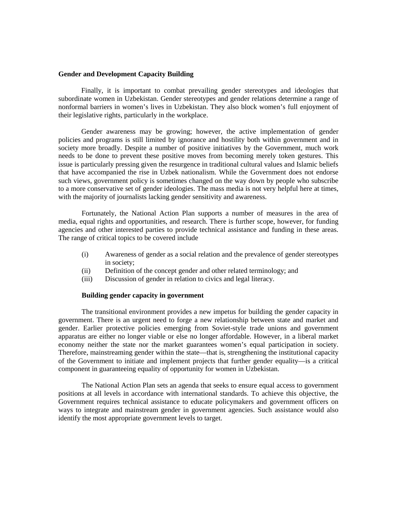# **Gender and Development Capacity Building**

Finally, it is important to combat prevailing gender stereotypes and ideologies that subordinate women in Uzbekistan. Gender stereotypes and gender relations determine a range of nonformal barriers in women's lives in Uzbekistan. They also block women's full enjoyment of their legislative rights, particularly in the workplace.

Gender awareness may be growing; however, the active implementation of gender policies and programs is still limited by ignorance and hostility both within government and in society more broadly. Despite a number of positive initiatives by the Government, much work needs to be done to prevent these positive moves from becoming merely token gestures. This issue is particularly pressing given the resurgence in traditional cultural values and Islamic beliefs that have accompanied the rise in Uzbek nationalism. While the Government does not endorse such views, government policy is sometimes changed on the way down by people who subscribe to a more conservative set of gender ideologies. The mass media is not very helpful here at times, with the majority of journalists lacking gender sensitivity and awareness.

Fortunately, the National Action Plan supports a number of measures in the area of media, equal rights and opportunities, and research. There is further scope, however, for funding agencies and other interested parties to provide technical assistance and funding in these areas. The range of critical topics to be covered include

- (i) Awareness of gender as a social relation and the prevalence of gender stereotypes in society;
- (ii) Definition of the concept gender and other related terminology; and
- (iii) Discussion of gender in relation to civics and legal literacy.

## **Building gender capacity in government**

The transitional environment provides a new impetus for building the gender capacity in government. There is an urgent need to forge a new relationship between state and market and gender. Earlier protective policies emerging from Soviet-style trade unions and government apparatus are either no longer viable or else no longer affordable. However, in a liberal market economy neither the state nor the market guarantees women's equal participation in society. Therefore, mainstreaming gender within the state—that is, strengthening the institutional capacity of the Government to initiate and implement projects that further gender equality—is a critical component in guaranteeing equality of opportunity for women in Uzbekistan.

The National Action Plan sets an agenda that seeks to ensure equal access to government positions at all levels in accordance with international standards. To achieve this objective, the Government requires technical assistance to educate policymakers and government officers on ways to integrate and mainstream gender in government agencies. Such assistance would also identify the most appropriate government levels to target.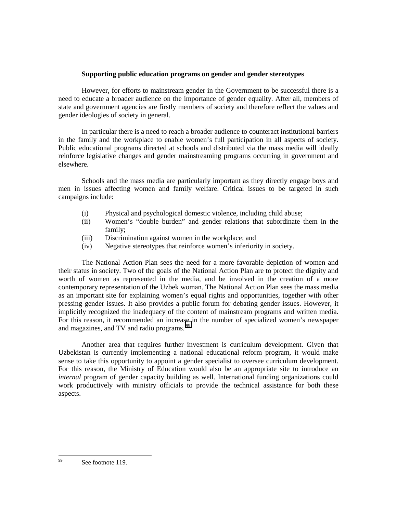# **Supporting public education programs on gender and gender stereotypes**

However, for efforts to mainstream gender in the Government to be successful there is a need to educate a broader audience on the importance of gender equality. After all, members of state and government agencies are firstly members of society and therefore reflect the values and gender ideologies of society in general.

In particular there is a need to reach a broader audience to counteract institutional barriers in the family and the workplace to enable women's full participation in all aspects of society. Public educational programs directed at schools and distributed via the mass media will ideally reinforce legislative changes and gender mainstreaming programs occurring in government and elsewhere.

Schools and the mass media are particularly important as they directly engage boys and men in issues affecting women and family welfare. Critical issues to be targeted in such campaigns include:

- (i) Physical and psychological domestic violence, including child abuse;
- (ii) Women's "double burden" and gender relations that subordinate them in the family;
- (iii) Discrimination against women in the workplace; and
- (iv) Negative stereotypes that reinforce women's inferiority in society.

The National Action Plan sees the need for a more favorable depiction of women and their status in society. Two of the goals of the National Action Plan are to protect the dignity and worth of women as represented in the media, and be involved in the creation of a more contemporary representation of the Uzbek woman. The National Action Plan sees the mass media as an important site for explaining women's equal rights and opportunities, together with other pressing gender issues. It also provides a public forum for debating gender issues. However, it implicitly recognized the inadequacy of the content of mainstream programs and written media. For this reason, it recommended an increase in the number of specialized women's newspaper and magazines, and TV and radio programs.<sup>99</sup>

Another area that requires further investment is curriculum development. Given that Uzbekistan is currently implementing a national educational reform program, it would make sense to take this opportunity to appoint a gender specialist to oversee curriculum development. For this reason, the Ministry of Education would also be an appropriate site to introduce an *internal* program of gender capacity building as well. International funding organizations could work productively with ministry officials to provide the technical assistance for both these aspects.

<sup>99</sup> See footnote 119.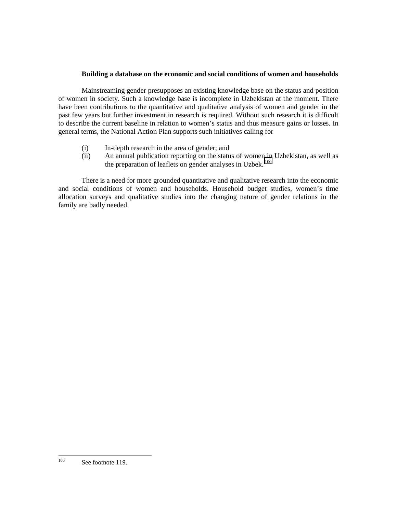# **Building a database on the economic and social conditions of women and households**

Mainstreaming gender presupposes an existing knowledge base on the status and position of women in society. Such a knowledge base is incomplete in Uzbekistan at the moment. There have been contributions to the quantitative and qualitative analysis of women and gender in the past few years but further investment in research is required. Without such research it is difficult to describe the current baseline in relation to women's status and thus measure gains or losses. In general terms, the National Action Plan supports such initiatives calling for

- (i) In-depth research in the area of gender; and
- (ii) An annual publication reporting on the status of women in Uzbekistan, as well as the preparation of leaflets on gender analyses in Uzbek.<sup>100</sup>

There is a need for more grounded quantitative and qualitative research into the economic and social conditions of women and households. Household budget studies, women's time allocation surveys and qualitative studies into the changing nature of gender relations in the family are badly needed.

 $100\,$ See footnote 119.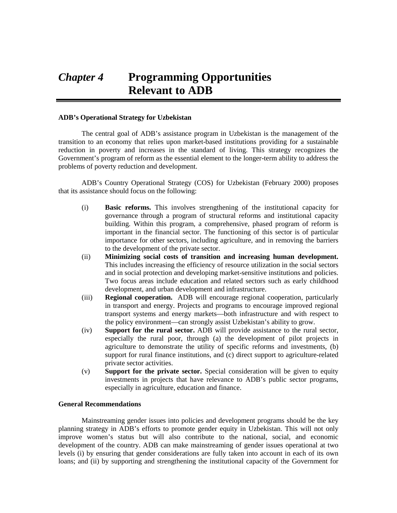# *Chapter 4* **Programming Opportunities Relevant to ADB**

## **ADB's Operational Strategy for Uzbekistan**

The central goal of ADB's assistance program in Uzbekistan is the management of the transition to an economy that relies upon market-based institutions providing for a sustainable reduction in poverty and increases in the standard of living. This strategy recognizes the Government's program of reform as the essential element to the longer-term ability to address the problems of poverty reduction and development.

ADB's Country Operational Strategy (COS) for Uzbekistan (February 2000) proposes that its assistance should focus on the following:

- (i) **Basic reforms.** This involves strengthening of the institutional capacity for governance through a program of structural reforms and institutional capacity building. Within this program, a comprehensive, phased program of reform is important in the financial sector. The functioning of this sector is of particular importance for other sectors, including agriculture, and in removing the barriers to the development of the private sector.
- (ii) **Minimizing social costs of transition and increasing human development.** This includes increasing the efficiency of resource utilization in the social sectors and in social protection and developing market-sensitive institutions and policies. Two focus areas include education and related sectors such as early childhood development, and urban development and infrastructure.
- (iii) **Regional cooperation.** ADB will encourage regional cooperation, particularly in transport and energy. Projects and programs to encourage improved regional transport systems and energy markets—both infrastructure and with respect to the policy environment—can strongly assist Uzbekistan's ability to grow.
- (iv) **Support for the rural sector.** ADB will provide assistance to the rural sector, especially the rural poor, through (a) the development of pilot projects in agriculture to demonstrate the utility of specific reforms and investments, (b) support for rural finance institutions, and (c) direct support to agriculture-related private sector activities.
- (v) **Support for the private sector.** Special consideration will be given to equity investments in projects that have relevance to ADB's public sector programs, especially in agriculture, education and finance.

#### **General Recommendations**

Mainstreaming gender issues into policies and development programs should be the key planning strategy in ADB's efforts to promote gender equity in Uzbekistan. This will not only improve women's status but will also contribute to the national, social, and economic development of the country. ADB can make mainstreaming of gender issues operational at two levels (i) by ensuring that gender considerations are fully taken into account in each of its own loans; and (ii) by supporting and strengthening the institutional capacity of the Government for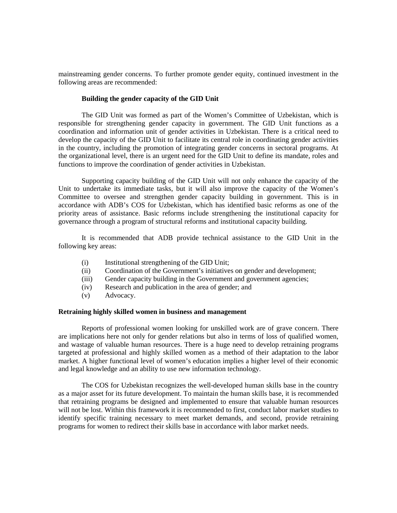mainstreaming gender concerns. To further promote gender equity, continued investment in the following areas are recommended:

#### **Building the gender capacity of the GID Unit**

The GID Unit was formed as part of the Women's Committee of Uzbekistan, which is responsible for strengthening gender capacity in government. The GID Unit functions as a coordination and information unit of gender activities in Uzbekistan. There is a critical need to develop the capacity of the GID Unit to facilitate its central role in coordinating gender activities in the country, including the promotion of integrating gender concerns in sectoral programs. At the organizational level, there is an urgent need for the GID Unit to define its mandate, roles and functions to improve the coordination of gender activities in Uzbekistan.

Supporting capacity building of the GID Unit will not only enhance the capacity of the Unit to undertake its immediate tasks, but it will also improve the capacity of the Women's Committee to oversee and strengthen gender capacity building in government. This is in accordance with ADB's COS for Uzbekistan, which has identified basic reforms as one of the priority areas of assistance. Basic reforms include strengthening the institutional capacity for governance through a program of structural reforms and institutional capacity building.

It is recommended that ADB provide technical assistance to the GID Unit in the following key areas:

- (i) Institutional strengthening of the GID Unit;
- (ii) Coordination of the Government's initiatives on gender and development;
- (iii) Gender capacity building in the Government and government agencies;
- (iv) Research and publication in the area of gender; and
- (v) Advocacy.

#### **Retraining highly skilled women in business and management**

Reports of professional women looking for unskilled work are of grave concern. There are implications here not only for gender relations but also in terms of loss of qualified women, and wastage of valuable human resources. There is a huge need to develop retraining programs targeted at professional and highly skilled women as a method of their adaptation to the labor market. A higher functional level of women's education implies a higher level of their economic and legal knowledge and an ability to use new information technology.

The COS for Uzbekistan recognizes the well-developed human skills base in the country as a major asset for its future development. To maintain the human skills base, it is recommended that retraining programs be designed and implemented to ensure that valuable human resources will not be lost. Within this framework it is recommended to first, conduct labor market studies to identify specific training necessary to meet market demands, and second, provide retraining programs for women to redirect their skills base in accordance with labor market needs.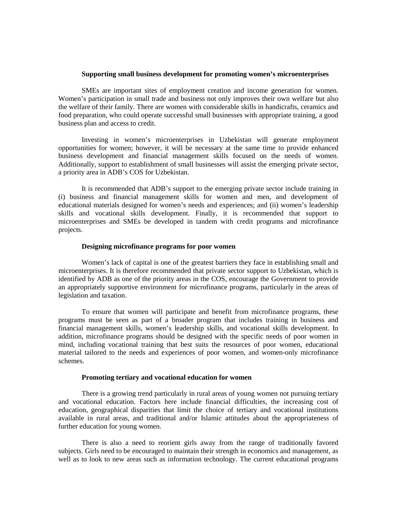# **Supporting small business development for promoting women's microenterprises**

SMEs are important sites of employment creation and income generation for women. Women's participation in small trade and business not only improves their own welfare but also the welfare of their family. There are women with considerable skills in handicrafts, ceramics and food preparation, who could operate successful small businesses with appropriate training, a good business plan and access to credit.

Investing in women's microenterprises in Uzbekistan will generate employment opportunities for women; however, it will be necessary at the same time to provide enhanced business development and financial management skills focused on the needs of women. Additionally, support to establishment of small businesses will assist the emerging private sector, a priority area in ADB's COS for Uzbekistan.

It is recommended that ADB's support to the emerging private sector include training in (i) business and financial management skills for women and men, and development of educational materials designed for women's needs and experiences; and (ii) women's leadership skills and vocational skills development. Finally, it is recommended that support to microenterprises and SMEs be developed in tandem with credit programs and microfinance projects.

#### **Designing microfinance programs for poor women**

Women's lack of capital is one of the greatest barriers they face in establishing small and microenterprises. It is therefore recommended that private sector support to Uzbekistan, which is identified by ADB as one of the priority areas in the COS, encourage the Government to provide an appropriately supportive environment for microfinance programs, particularly in the areas of legislation and taxation.

To ensure that women will participate and benefit from microfinance programs, these programs must be seen as part of a broader program that includes training in business and financial management skills, women's leadership skills, and vocational skills development. In addition, microfinance programs should be designed with the specific needs of poor women in mind, including vocational training that best suits the resources of poor women, educational material tailored to the needs and experiences of poor women, and women-only microfinance schemes.

#### **Promoting tertiary and vocational education for women**

There is a growing trend particularly in rural areas of young women not pursuing tertiary and vocational education. Factors here include financial difficulties, the increasing cost of education, geographical disparities that limit the choice of tertiary and vocational institutions available in rural areas, and traditional and/or Islamic attitudes about the appropriateness of further education for young women.

There is also a need to reorient girls away from the range of traditionally favored subjects. Girls need to be encouraged to maintain their strength in economics and management, as well as to look to new areas such as information technology. The current educational programs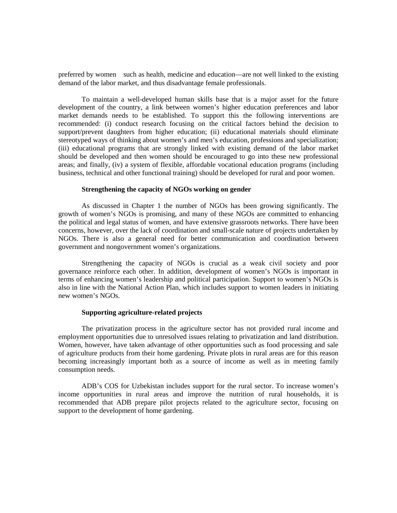preferred by women—such as health, medicine and education—are not well linked to the existing demand of the labor market, and thus disadvantage female professionals.

To maintain a well-developed human skills base that is a major asset for the future development of the country, a link between women's higher education preferences and labor market demands needs to be established. To support this the following interventions are recommended: (i) conduct research focusing on the critical factors behind the decision to support/prevent daughters from higher education; (ii) educational materials should eliminate stereotyped ways of thinking about women's and men's education, professions and specialization; (iii) educational programs that are strongly linked with existing demand of the labor market should be developed and then women should be encouraged to go into these new professional areas; and finally, (iv) a system of flexible, affordable vocational education programs (including business, technical and other functional training) should be developed for rural and poor women.

#### **Strengthening the capacity of NGOs working on gender**

As discussed in Chapter 1 the number of NGOs has been growing significantly. The growth of women's NGOs is promising, and many of these NGOs are committed to enhancing the political and legal status of women, and have extensive grassroots networks. There have been concerns, however, over the lack of coordination and small-scale nature of projects undertaken by NGOs. There is also a general need for better communication and coordination between government and nongovernment women's organizations.

Strengthening the capacity of NGOs is crucial as a weak civil society and poor governance reinforce each other. In addition, development of women's NGOs is important in terms of enhancing women's leadership and political participation. Support to women's NGOs is also in line with the National Action Plan, which includes support to women leaders in initiating new women's NGOs.

#### **Supporting agriculture-related projects**

The privatization process in the agriculture sector has not provided rural income and employment opportunities due to unresolved issues relating to privatization and land distribution. Women, however, have taken advantage of other opportunities such as food processing and sale of agriculture products from their home gardening. Private plots in rural areas are for this reason becoming increasingly important both as a source of income as well as in meeting family consumption needs.

ADB's COS for Uzbekistan includes support for the rural sector. To increase women's income opportunities in rural areas and improve the nutrition of rural households, it is recommended that ADB prepare pilot projects related to the agriculture sector, focusing on support to the development of home gardening.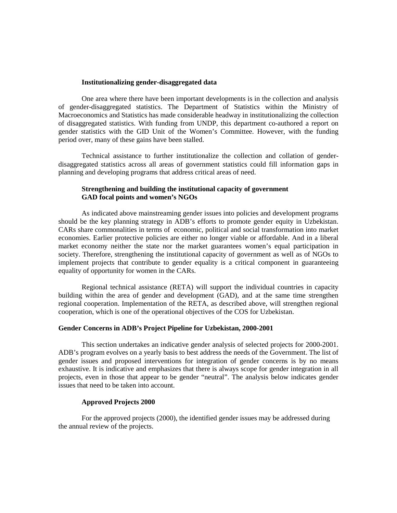#### **Institutionalizing gender-disaggregated data**

One area where there have been important developments is in the collection and analysis of gender-disaggregated statistics. The Department of Statistics within the Ministry of Macroeconomics and Statistics has made considerable headway in institutionalizing the collection of disaggregated statistics. With funding from UNDP, this department co-authored a report on gender statistics with the GID Unit of the Women's Committee. However, with the funding period over, many of these gains have been stalled.

Technical assistance to further institutionalize the collection and collation of genderdisaggregated statistics across all areas of government statistics could fill information gaps in planning and developing programs that address critical areas of need.

# **Strengthening and building the institutional capacity of government GAD focal points and women's NGOs**

As indicated above mainstreaming gender issues into policies and development programs should be the key planning strategy in ADB's efforts to promote gender equity in Uzbekistan. CARs share commonalities in terms of economic, political and social transformation into market economies. Earlier protective policies are either no longer viable or affordable. And in a liberal market economy neither the state nor the market guarantees women's equal participation in society. Therefore, strengthening the institutional capacity of government as well as of NGOs to implement projects that contribute to gender equality is a critical component in guaranteeing equality of opportunity for women in the CARs.

Regional technical assistance (RETA) will support the individual countries in capacity building within the area of gender and development (GAD), and at the same time strengthen regional cooperation. Implementation of the RETA, as described above, will strengthen regional cooperation, which is one of the operational objectives of the COS for Uzbekistan.

# **Gender Concerns in ADB's Project Pipeline for Uzbekistan, 2000-2001**

This section undertakes an indicative gender analysis of selected projects for 2000-2001. ADB's program evolves on a yearly basis to best address the needs of the Government. The list of gender issues and proposed interventions for integration of gender concerns is by no means exhaustive. It is indicative and emphasizes that there is always scope for gender integration in all projects, even in those that appear to be gender "neutral". The analysis below indicates gender issues that need to be taken into account.

#### **Approved Projects 2000**

For the approved projects (2000), the identified gender issues may be addressed during the annual review of the projects.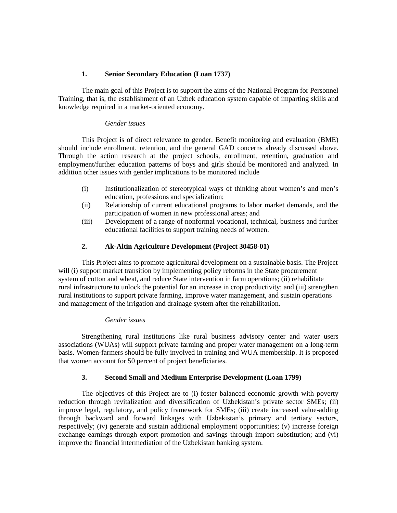# **1. Senior Secondary Education (Loan 1737)**

The main goal of this Project is to support the aims of the National Program for Personnel Training, that is, the establishment of an Uzbek education system capable of imparting skills and knowledge required in a market-oriented economy.

# *Gender issues*

This Project is of direct relevance to gender. Benefit monitoring and evaluation (BME) should include enrollment, retention, and the general GAD concerns already discussed above. Through the action research at the project schools, enrollment, retention, graduation and employment/further education patterns of boys and girls should be monitored and analyzed. In addition other issues with gender implications to be monitored include

- (i) Institutionalization of stereotypical ways of thinking about women's and men's education, professions and specialization;
- (ii) Relationship of current educational programs to labor market demands, and the participation of women in new professional areas; and
- (iii) Development of a range of nonformal vocational, technical, business and further educational facilities to support training needs of women.

# **2. Ak-Altin Agriculture Development (Project 30458-01)**

This Project aims to promote agricultural development on a sustainable basis. The Project will (i) support market transition by implementing policy reforms in the State procurement system of cotton and wheat, and reduce State intervention in farm operations; (ii) rehabilitate rural infrastructure to unlock the potential for an increase in crop productivity; and (iii) strengthen rural institutions to support private farming, improve water management, and sustain operations and management of the irrigation and drainage system after the rehabilitation.

## *Gender issues*

Strengthening rural institutions like rural business advisory center and water users associations (WUAs) will support private farming and proper water management on a long-term basis. Women-farmers should be fully involved in training and WUA membership. It is proposed that women account for 50 percent of project beneficiaries.

# **3. Second Small and Medium Enterprise Development (Loan 1799)**

The objectives of this Project are to (i) foster balanced economic growth with poverty reduction through revitalization and diversification of Uzbekistan's private sector SMEs; (ii) improve legal, regulatory, and policy framework for SMEs; (iii) create increased value-adding through backward and forward linkages with Uzbekistan's primary and tertiary sectors, respectively; (iv) generate and sustain additional employment opportunities; (v) increase foreign exchange earnings through export promotion and savings through import substitution; and (vi) improve the financial intermediation of the Uzbekistan banking system.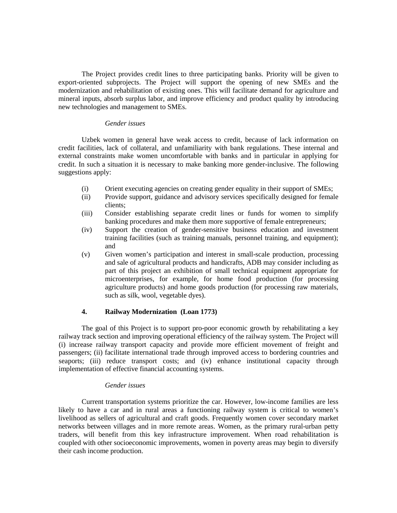The Project provides credit lines to three participating banks. Priority will be given to export-oriented subprojects. The Project will support the opening of new SMEs and the modernization and rehabilitation of existing ones. This will facilitate demand for agriculture and mineral inputs, absorb surplus labor, and improve efficiency and product quality by introducing new technologies and management to SMEs.

## *Gender issues*

Uzbek women in general have weak access to credit, because of lack information on credit facilities, lack of collateral, and unfamiliarity with bank regulations. These internal and external constraints make women uncomfortable with banks and in particular in applying for credit. In such a situation it is necessary to make banking more gender-inclusive. The following suggestions apply:

- (i) Orient executing agencies on creating gender equality in their support of SMEs;
- (ii) Provide support, guidance and advisory services specifically designed for female clients;
- (iii) Consider establishing separate credit lines or funds for women to simplify banking procedures and make them more supportive of female entrepreneurs;
- (iv) Support the creation of gender-sensitive business education and investment training facilities (such as training manuals, personnel training, and equipment); and
- (v) Given women's participation and interest in small-scale production, processing and sale of agricultural products and handicrafts, ADB may consider including as part of this project an exhibition of small technical equipment appropriate for microenterprises, for example, for home food production (for processing agriculture products) and home goods production (for processing raw materials, such as silk, wool, vegetable dyes).

# **4. Railway Modernization (Loan 1773)**

The goal of this Project is to support pro-poor economic growth by rehabilitating a key railway track section and improving operational efficiency of the railway system. The Project will (i) increase railway transport capacity and provide more efficient movement of freight and passengers; (ii) facilitate international trade through improved access to bordering countries and seaports; (iii) reduce transport costs; and (iv) enhance institutional capacity through implementation of effective financial accounting systems.

## *Gender issues*

Current transportation systems prioritize the car. However, low-income families are less likely to have a car and in rural areas a functioning railway system is critical to women's livelihood as sellers of agricultural and craft goods. Frequently women cover secondary market networks between villages and in more remote areas. Women, as the primary rural-urban petty traders, will benefit from this key infrastructure improvement. When road rehabilitation is coupled with other socioeconomic improvements, women in poverty areas may begin to diversify their cash income production.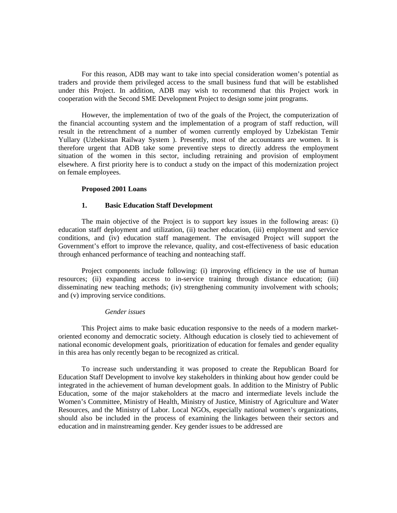For this reason, ADB may want to take into special consideration women's potential as traders and provide them privileged access to the small business fund that will be established under this Project. In addition, ADB may wish to recommend that this Project work in cooperation with the Second SME Development Project to design some joint programs.

However, the implementation of two of the goals of the Project, the computerization of the financial accounting system and the implementation of a program of staff reduction, will result in the retrenchment of a number of women currently employed by Uzbekistan Temir Yullary (Uzbekistan Railway System ). Presently, most of the accountants are women. It is therefore urgent that ADB take some preventive steps to directly address the employment situation of the women in this sector, including retraining and provision of employment elsewhere. A first priority here is to conduct a study on the impact of this modernization project on female employees.

## **Proposed 2001 Loans**

#### **1. Basic Education Staff Development**

The main objective of the Project is to support key issues in the following areas: (i) education staff deployment and utilization, (ii) teacher education, (iii) employment and service conditions, and (iv) education staff management. The envisaged Project will support the Government's effort to improve the relevance, quality, and cost-effectiveness of basic education through enhanced performance of teaching and nonteaching staff.

Project components include following: (i) improving efficiency in the use of human resources; (ii) expanding access to in-service training through distance education; (iii) disseminating new teaching methods; (iv) strengthening community involvement with schools; and (v) improving service conditions.

#### *Gender issues*

This Project aims to make basic education responsive to the needs of a modern marketoriented economy and democratic society. Although education is closely tied to achievement of national economic development goals, prioritization of education for females and gender equality in this area has only recently began to be recognized as critical.

To increase such understanding it was proposed to create the Republican Board for Education Staff Development to involve key stakeholders in thinking about how gender could be integrated in the achievement of human development goals. In addition to the Ministry of Public Education, some of the major stakeholders at the macro and intermediate levels include the Women's Committee, Ministry of Health, Ministry of Justice, Ministry of Agriculture and Water Resources, and the Ministry of Labor. Local NGOs, especially national women's organizations, should also be included in the process of examining the linkages between their sectors and education and in mainstreaming gender. Key gender issues to be addressed are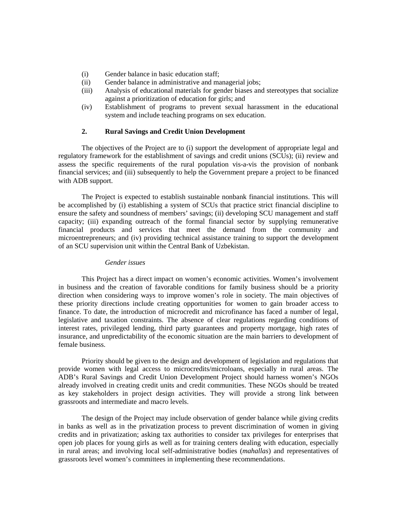- (i) Gender balance in basic education staff;
- (ii) Gender balance in administrative and managerial jobs;
- (iii) Analysis of educational materials for gender biases and stereotypes that socialize against a prioritization of education for girls; and
- (iv) Establishment of programs to prevent sexual harassment in the educational system and include teaching programs on sex education.

# **2. Rural Savings and Credit Union Development**

The objectives of the Project are to (i) support the development of appropriate legal and regulatory framework for the establishment of savings and credit unions (SCUs); (ii) review and assess the specific requirements of the rural population vis-a-vis the provision of nonbank financial services; and (iii) subsequently to help the Government prepare a project to be financed with ADB support.

The Project is expected to establish sustainable nonbank financial institutions. This will be accomplished by (i) establishing a system of SCUs that practice strict financial discipline to ensure the safety and soundness of members' savings; (ii) developing SCU management and staff capacity; (iii) expanding outreach of the formal financial sector by supplying remunerative financial products and services that meet the demand from the community and microentrepreneurs; and (iv) providing technical assistance training to support the development of an SCU supervision unit within the Central Bank of Uzbekistan.

#### *Gender issues*

This Project has a direct impact on women's economic activities. Women's involvement in business and the creation of favorable conditions for family business should be a priority direction when considering ways to improve women's role in society. The main objectives of these priority directions include creating opportunities for women to gain broader access to finance. To date, the introduction of microcredit and microfinance has faced a number of legal, legislative and taxation constraints. The absence of clear regulations regarding conditions of interest rates, privileged lending, third party guarantees and property mortgage, high rates of insurance, and unpredictability of the economic situation are the main barriers to development of female business.

Priority should be given to the design and development of legislation and regulations that provide women with legal access to microcredits/microloans, especially in rural areas. The ADB's Rural Savings and Credit Union Development Project should harness women's NGOs already involved in creating credit units and credit communities. These NGOs should be treated as key stakeholders in project design activities. They will provide a strong link between grassroots and intermediate and macro levels.

The design of the Project may include observation of gender balance while giving credits in banks as well as in the privatization process to prevent discrimination of women in giving credits and in privatization; asking tax authorities to consider tax privileges for enterprises that open job places for young girls as well as for training centers dealing with education, especially in rural areas; and involving local self-administrative bodies (*mahallas*) and representatives of grassroots level women's committees in implementing these recommendations.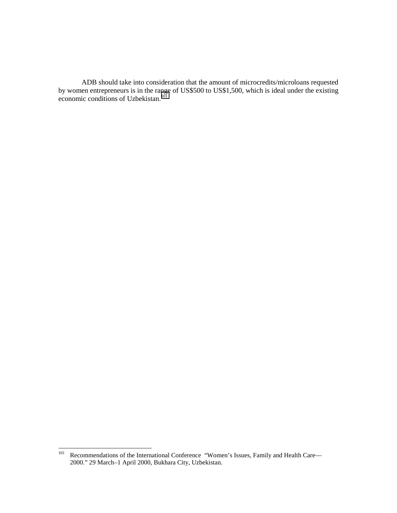ADB should take into consideration that the amount of microcredits/microloans requested by women entrepreneurs is in the range of US\$500 to US\$1,500, which is ideal under the existing economic conditions of Uzbekistan.<sup>101</sup>

 $101\,$ Recommendations of the International Conference "Women's Issues, Family and Health Care— 2000." 29 March–1 April 2000, Bukhara City, Uzbekistan.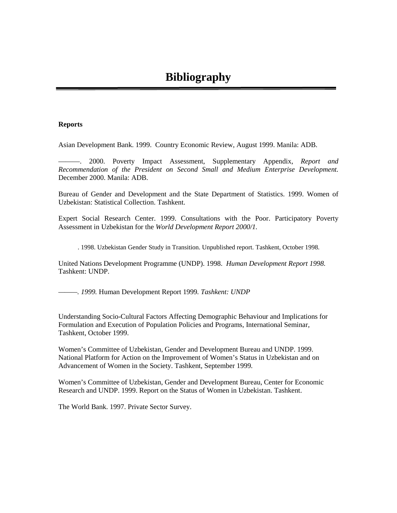## **Reports**

Asian Development Bank. 1999. Country Economic Review, August 1999. Manila: ADB.

———. 2000. Poverty Impact Assessment, Supplementary Appendix, *Report and Recommendation of the President on Second Small and Medium Enterprise Development.* December 2000. Manila: ADB.

Bureau of Gender and Development and the State Department of Statistics. 1999. Women of Uzbekistan: Statistical Collection. Tashkent.

Expert Social Research Center. 1999. Consultations with the Poor. Participatory Poverty Assessment in Uzbekistan for the *World Development Report 2000/1.*

. 1998. Uzbekistan Gender Study in Transition. Unpublished report. Tashkent, October 1998.

United Nations Development Programme (UNDP). 1998. *Human Development Report 1998.* Tashkent: UNDP.

*———. 1999.* Human Development Report 1999*. Tashkent: UNDP*

Understanding Socio-Cultural Factors Affecting Demographic Behaviour and Implications for Formulation and Execution of Population Policies and Programs, International Seminar, Tashkent, October 1999.

Women's Committee of Uzbekistan, Gender and Development Bureau and UNDP. 1999. National Platform for Action on the Improvement of Women's Status in Uzbekistan and on Advancement of Women in the Society. Tashkent, September 1999.

Women's Committee of Uzbekistan, Gender and Development Bureau, Center for Economic Research and UNDP. 1999. Report on the Status of Women in Uzbekistan. Tashkent.

The World Bank. 1997. Private Sector Survey.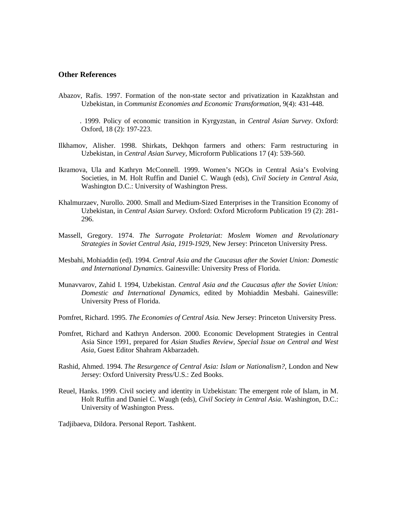# **Other References**

- Abazov, Rafis. 1997. Formation of the non-state sector and privatization in Kazakhstan and Uzbekistan, in *Communist Economies and Economic Transformation,* 9(4): 431-448.
- . 1999. Policy of economic transition in Kyrgyzstan, in *Central Asian Survey*. Oxford: Oxford, 18 (2): 197-223.
- Ilkhamov, Alisher. 1998. Shirkats, Dekhqon farmers and others: Farm restructuring in Uzbekistan, in *Central Asian Survey,* Microform Publications 17 (4): 539-560.
- Ikramova, Ula and Kathryn McConnell. 1999. Women's NGOs in Central Asia's Evolving Societies, in M. Holt Ruffin and Daniel C. Waugh (eds), *Civil Society in Central Asia*, Washington D.C.: University of Washington Press.
- Khalmurzaev, Nurollo. 2000. Small and Medium-Sized Enterprises in the Transition Economy of Uzbekistan, in *Central Asian Survey.* Oxford: Oxford Microform Publication 19 (2): 281- 296.
- Massell, Gregory. 1974. *The Surrogate Proletariat: Moslem Women and Revolutionary Strategies in Soviet Central Asia, 1919-1929*, New Jersey: Princeton University Press.
- Mesbahi, Mohiaddin (ed). 1994. *Central Asia and the Caucasus after the Soviet Union: Domestic and International Dynamics*. Gainesville: University Press of Florida.
- Munavvarov, Zahid I. 1994, Uzbekistan. *Central Asia and the Caucasus after the Soviet Union: Domestic and International Dynamics*, edited by Mohiaddin Mesbahi. Gainesville: University Press of Florida.
- Pomfret, Richard. 1995. *The Economies of Central Asia.* New Jersey: Princeton University Press.
- Pomfret, Richard and Kathryn Anderson. 2000. Economic Development Strategies in Central Asia Since 1991, prepared for *Asian Studies Review, Special Issue on Central and West Asia*, Guest Editor Shahram Akbarzadeh.
- Rashid, Ahmed. 1994. *The Resurgence of Central Asia: Islam or Nationalism?*, London and New Jersey: Oxford University Press/U.S.: Zed Books.
- Reuel, Hanks. 1999. Civil society and identity in Uzbekistan: The emergent role of Islam, in M. Holt Ruffin and Daniel C. Waugh (eds), *Civil Society in Central Asia*. Washington, D.C.: University of Washington Press.

Tadjibaeva, Dildora. Personal Report. Tashkent.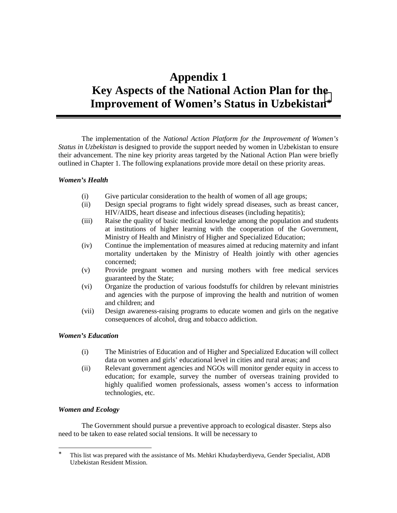# **Appendix 1 Key Aspects of the National Action Plan for the Improvement of Women's Status in Uzbekistan**<sup>∗</sup>

The implementation of the *National Action Platform for the Improvement of Women's Status in Uzbekistan* is designed to provide the support needed by women in Uzbekistan to ensure their advancement. The nine key priority areas targeted by the National Action Plan were briefly outlined in Chapter 1. The following explanations provide more detail on these priority areas.

# *Women's Health*

- (i) Give particular consideration to the health of women of all age groups;
- (ii) Design special programs to fight widely spread diseases, such as breast cancer, HIV/AIDS, heart disease and infectious diseases (including hepatitis);
- (iii) Raise the quality of basic medical knowledge among the population and students at institutions of higher learning with the cooperation of the Government, Ministry of Health and Ministry of Higher and Specialized Education;
- (iv) Continue the implementation of measures aimed at reducing maternity and infant mortality undertaken by the Ministry of Health jointly with other agencies concerned;
- (v) Provide pregnant women and nursing mothers with free medical services guaranteed by the State;
- (vi) Organize the production of various foodstuffs for children by relevant ministries and agencies with the purpose of improving the health and nutrition of women and children; and
- (vii) Design awareness-raising programs to educate women and girls on the negative consequences of alcohol, drug and tobacco addiction.

# *Women's Education*

- (i) The Ministries of Education and of Higher and Specialized Education will collect data on women and girls' educational level in cities and rural areas; and
- (ii) Relevant government agencies and NGOs will monitor gender equity in access to education; for example, survey the number of overseas training provided to highly qualified women professionals, assess women's access to information technologies, etc.

# *Women and Ecology*

The Government should pursue a preventive approach to ecological disaster. Steps also need to be taken to ease related social tensions. It will be necessary to

<sup>∗</sup> This list was prepared with the assistance of Ms. Mehkri Khudayberdiyeva, Gender Specialist, ADB Uzbekistan Resident Mission.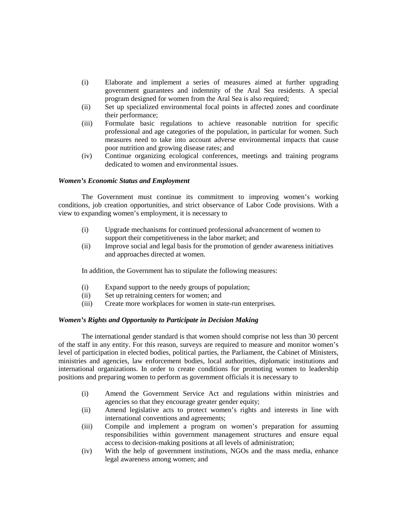- (i) Elaborate and implement a series of measures aimed at further upgrading government guarantees and indemnity of the Aral Sea residents. A special program designed for women from the Aral Sea is also required;
- (ii) Set up specialized environmental focal points in affected zones and coordinate their performance;
- (iii) Formulate basic regulations to achieve reasonable nutrition for specific professional and age categories of the population, in particular for women. Such measures need to take into account adverse environmental impacts that cause poor nutrition and growing disease rates; and
- (iv) Continue organizing ecological conferences, meetings and training programs dedicated to women and environmental issues.

### *Women's Economic Status and Employment*

The Government must continue its commitment to improving women's working conditions, job creation opportunities, and strict observance of Labor Code provisions. With a view to expanding women's employment, it is necessary to

- (i) Upgrade mechanisms for continued professional advancement of women to support their competitiveness in the labor market; and
- (ii) Improve social and legal basis for the promotion of gender awareness initiatives and approaches directed at women.

In addition, the Government has to stipulate the following measures:

- (i) Expand support to the needy groups of population;
- (ii) Set up retraining centers for women; and
- (iii) Create more workplaces for women in state-run enterprises.

# *Women's Rights and Opportunity to Participate in Decision Making*

The international gender standard is that women should comprise not less than 30 percent of the staff in any entity. For this reason, surveys are required to measure and monitor women's level of participation in elected bodies, political parties, the Parliament, the Cabinet of Ministers, ministries and agencies, law enforcement bodies, local authorities, diplomatic institutions and international organizations. In order to create conditions for promoting women to leadership positions and preparing women to perform as government officials it is necessary to

- (i) Amend the Government Service Act and regulations within ministries and agencies so that they encourage greater gender equity;
- (ii) Amend legislative acts to protect women's rights and interests in line with international conventions and agreements;
- (iii) Compile and implement a program on women's preparation for assuming responsibilities within government management structures and ensure equal access to decision-making positions at all levels of administration;
- (iv) With the help of government institutions, NGOs and the mass media, enhance legal awareness among women; and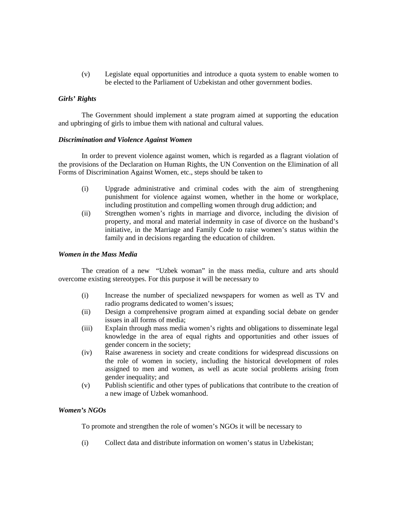(v) Legislate equal opportunities and introduce a quota system to enable women to be elected to the Parliament of Uzbekistan and other government bodies.

# *Girls' Rights*

The Government should implement a state program aimed at supporting the education and upbringing of girls to imbue them with national and cultural values.

## *Discrimination and Violence Against Women*

In order to prevent violence against women, which is regarded as a flagrant violation of the provisions of the Declaration on Human Rights, the UN Convention on the Elimination of all Forms of Discrimination Against Women, etc., steps should be taken to

- (i) Upgrade administrative and criminal codes with the aim of strengthening punishment for violence against women, whether in the home or workplace, including prostitution and compelling women through drug addiction; and
- (ii) Strengthen women's rights in marriage and divorce, including the division of property, and moral and material indemnity in case of divorce on the husband's initiative, in the Marriage and Family Code to raise women's status within the family and in decisions regarding the education of children.

## *Women in the Mass Media*

The creation of a new "Uzbek woman" in the mass media, culture and arts should overcome existing stereotypes. For this purpose it will be necessary to

- (i) Increase the number of specialized newspapers for women as well as TV and radio programs dedicated to women's issues;
- (ii) Design a comprehensive program aimed at expanding social debate on gender issues in all forms of media;
- (iii) Explain through mass media women's rights and obligations to disseminate legal knowledge in the area of equal rights and opportunities and other issues of gender concern in the society;
- (iv) Raise awareness in society and create conditions for widespread discussions on the role of women in society, including the historical development of roles assigned to men and women, as well as acute social problems arising from gender inequality; and
- (v) Publish scientific and other types of publications that contribute to the creation of a new image of Uzbek womanhood.

# *Women's NGOs*

To promote and strengthen the role of women's NGOs it will be necessary to

(i) Collect data and distribute information on women's status in Uzbekistan;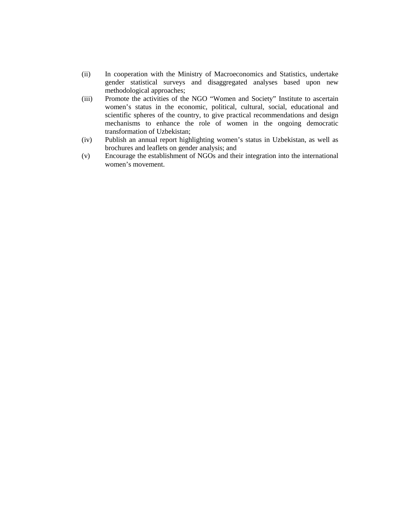- (ii) In cooperation with the Ministry of Macroeconomics and Statistics, undertake gender statistical surveys and disaggregated analyses based upon new methodological approaches;
- (iii) Promote the activities of the NGO "Women and Society" Institute to ascertain women's status in the economic, political, cultural, social, educational and scientific spheres of the country, to give practical recommendations and design mechanisms to enhance the role of women in the ongoing democratic transformation of Uzbekistan;
- (iv) Publish an annual report highlighting women's status in Uzbekistan, as well as brochures and leaflets on gender analysis; and
- (v) Encourage the establishment of NGOs and their integration into the international women's movement.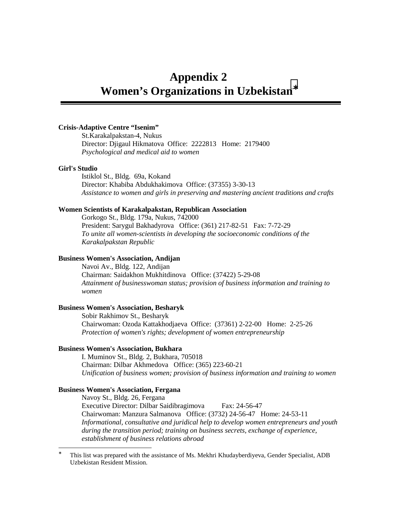# **Appendix 2 Women's Organizations in Uzbekistan**<sup>∗</sup>

# **Crisis-Adaptive Centre "Isenim"**

St.Karakalpakstan-4, Nukus Director: Djigaul Hikmatova Office: 2222813 Home: 2179400 *Psychological and medical aid to women*

## **Girl's Studio**

Istiklol St., Bldg. 69a, Kokand Director: Khabiba Abdukhakimova Office: (37355) 3-30-13 *Assistance to women and girls in preserving and mastering ancient traditions and crafts*

## **Women Scientists of Karakalpakstan, Republican Association**

Gorkogo St., Bldg. 179a, Nukus, 742000 President: Sarygul Bakhadyrova Office: (361) 217-82-51 Fax: 7-72-29 *To unite all women-scientists in developing the socioeconomic conditions of the Karakalpakstan Republic*

# **Business Women's Association, Andijan**

Navoi Av., Bldg. 122, Andijan Chairman: Saidakhon Mukhitdinova Office: (37422) 5-29-08 *Attainment of businesswoman status; provision of business information and training to women*

## **Business Women's Association, Besharyk**

Sobir Rakhimov St., Besharyk Chairwoman: Ozoda Kattakhodjaeva Office: (37361) 2-22-00 Home: 2-25-26 *Protection of women's rights; development of women entrepreneurship*

# **Business Women's Association, Bukhara**

I. Muminov St., Bldg. 2, Bukhara, 705018 Chairman: Dilbar Akhmedova Office: (365) 223-60-21 *Unification of business women; provision of business information and training to women*

## **Business Women's Association, Fergana**

Navoy St., Bldg. 26, Fergana Executive Director: Dilbar Saidibragimova Fax: 24-56-47 Chairwoman: Manzura Salmanova Office: (3732) 24-56-47 Home: 24-53-11 *Informational, consultative and juridical help to develop women entrepreneurs and youth during the transition period; training on business secrets, exchange of experience, establishment of business relations abroad*

<sup>∗</sup> This list was prepared with the assistance of Ms. Mekhri Khudayberdiyeva, Gender Specialist, ADB Uzbekistan Resident Mission.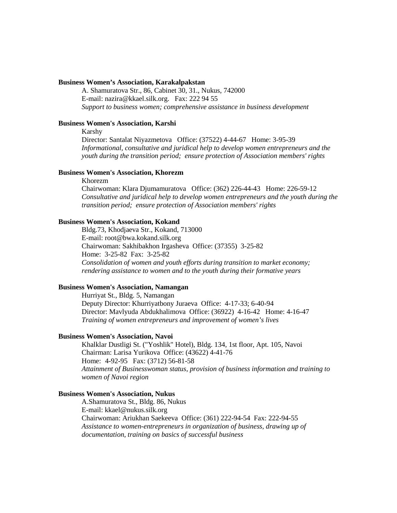#### **Business Women's Association, Karakalpakstan**

A. Shamuratova Str., 86, Cabinet 30, 31., Nukus, 742000 E-mail: nazira@kkael.silk.org. Fax: 222 94 55 *Support to business women; comprehensive assistance in business development*

## **Business Women's Association, Karshi**

### Karshy

Director: Santalat Niyazmetova Office: (37522) 4-44-67 Home: 3-95-39 *Informational, consultative and juridical help to develop women entrepreneurs and the youth during the transition period; ensure protection of Association members' rights*

#### **Business Women's Association, Khorezm**

#### Khorezm

Chairwoman: Klara Djumamuratova Office: (362) 226-44-43 Home: 226-59-12 *Consultative and juridical help to develop women entrepreneurs and the youth during the transition period; ensure protection of Association members' rights*

## **Business Women's Association, Kokand**

Bldg.73, Khodjaeva Str., Kokand, 713000 E-mail: root@bwa.kokand.silk.org Chairwoman: Sakhibakhon Irgasheva Office: (37355) 3-25-82 Home: 3-25-82 Fax: 3-25-82 *Consolidation of women and youth efforts during transition to market economy; rendering assistance to women and to the youth during their formative years*

#### **Business Women's Association, Namangan**

Hurriyat St., Bldg. 5, Namangan Deputy Director: Khurriyatbony Juraeva Office: 4-17-33; 6-40-94 Director: Mavlyuda Abdukhalimova Office: (36922) 4-16-42 Home: 4-16-47 *Training of women entrepreneurs and improvement of women's lives*

## **Business Women's Association, Navoi**

Khalklar Dustligi St. ("Yoshlik" Hotel), Bldg. 134, 1st floor, Apt. 105, Navoi Chairman: Larisa Yurikova Office: (43622) 4-41-76 Home: 4-92-95 Fax: (3712) 56-81-58 *Attainment of Businesswoman status, provision of business information and training to women of Navoi region*

## **Business Women's Association, Nukus**

A.Shamuratova St., Bldg. 86, Nukus E-mail: kkael@nukus.silk.org Chairwoman: Ariukhan Saekeeva Office: (361) 222-94-54 Fax: 222-94-55 *Assistance to women-entrepreneurs in organization of business, drawing up of documentation, training on basics of successful business*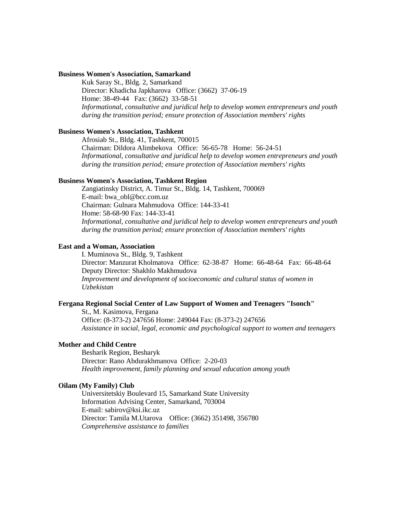# **Business Women's Association, Samarkand**

Kuk Saray St., Bldg. 2, Samarkand Director: Khadicha Japkharova Office: (3662) 37-06-19 Home: 38-49-44 Fax: (3662) 33-58-51 *Informational, consultative and juridical help to develop women entrepreneurs and youth during the transition period; ensure protection of Association members' rights*

### **Business Women's Association, Tashkent**

Afrosiab St., Bldg. 41, Tashkent, 700015 Chairman: Dildora Alimbekova Office: 56-65-78 Home: 56-24-51 *Informational, consultative and juridical help to develop women entrepreneurs and youth during the transition period; ensure protection of Association members' rights*

## **Business Women's Association, Tashkent Region**

Zangiatinsky District, A. Timur St., Bldg. 14, Tashkent, 700069 E-mail: bwa\_obl@bcc.com.uz Chairman: Gulnara Mahmudova Office: 144-33-41 Home: 58-68-90 Fax: 144-33-41 *Informational, consultative and juridical help to develop women entrepreneurs and youth during the transition period; ensure protection of Association members' rights*

## **East and a Woman, Association**

I. Muminova St., Bldg. 9, Tashkent Director: Manzurat Kholmatova Office: 62-38-87 Home: 66-48-64 Fax: 66-48-64 Deputy Director: Shakhlo Makhmudova *Improvement and development of socioeconomic and cultural status of women in Uzbekistan*

## **Fergana Regional Social Center of Law Support of Women and Teenagers "Isonch"**

St., M. Kasimova, Fergana Office: (8-373-2) 247656 Home: 249044 Fax: (8-373-2) 247656 *Assistance in social, legal, economic and psychological support to women and teenagers*

## **Mother and Child Centre**

Besharik Region, Besharyk Director: Rano Abdurakhmanova Office: 2-20-03 *Health improvement, family planning and sexual education among youth*

#### **Oilam (My Family) Club**

Universitetskiy Boulevard 15, Samarkand State University Information Advising Center, Samarkand, 703004 E-mail: sabirov@ksi.ikc.uz Director: Tamila M.Utarova Office: (3662) 351498, 356780 *Comprehensive assistance to families*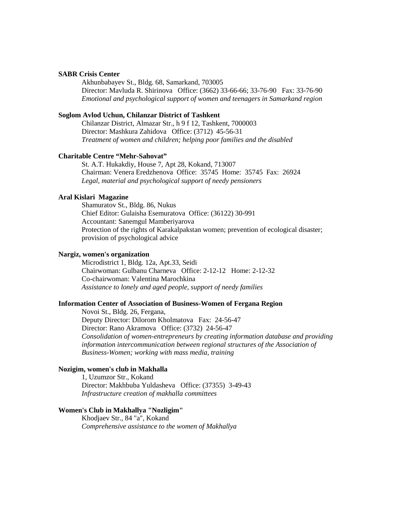## **SABR Crisis Center**

Akhunbabayev St., Bldg. 68, Samarkand, 703005 Director: Mavluda R. Shirinova Office: (3662) 33-66-66; 33-76-90 Fax: 33-76-90 *Emotional and psychological support of women and teenagers in Samarkand region*

#### **Soglom Avlod Uchun, Chilanzar District of Tashkent**

Chilanzar District, Almazar Str., h 9 f 12, Tashkent, 7000003 Director: Mashkura Zahidova Office: (3712) 45-56-31 *Treatment of women and children; helping poor families and the disabled*

#### **Charitable Centre "Mehr-Sahovat"**

St. A.T. Hukakdiy, House 7, Apt 28, Kokand, 713007 Chairman: Venera Eredzhenova Office: 35745 Home: 35745 Fax: 26924 *Legal, material and psychological support of needy pensioners*

#### **Aral Kislari Magazine**

Shamuratov St., Bldg. 86, Nukus Chief Editor: Gulaisha Esemuratova Office: (36122) 30-991 Accountant: Sanemgul Mamberiyarova Protection of the rights of Karakalpakstan women; prevention of ecological disaster; provision of psychological advice

## **Nargiz, women's organization**

Microdistrict 1, Bldg. 12a, Apt.33, Seidi Chairwoman: Gulbanu Charneva Office: 2-12-12 Home: 2-12-32 Co-chairwoman: Valentina Marochkina *Assistance to lonely and aged people, support of needy families*

### **Information Center of Association of Business-Women of Fergana Region**

Novoi St., Bldg. 26, Fergana, Deputy Director: Dilorom Kholmatova Fax: 24-56-47 Director: Rano Akramova Office: (3732) 24-56-47 *Consolidation of women-entrepreneurs by creating information database and providing information intercommunication between regional structures of the Association of Business-Women; working with mass media, training*

## **Nozigim, women's club in Makhalla**

1, Uzumzor Str., Kokand Director: Makhbuba Yuldasheva Office: (37355) 3-49-43 *Infrastructure creation of makhalla committees*

### **Women's Club in Makhallya "Nozligim"**

Khodjaev Str., 84 "a", Kokand *Comprehensive assistance to the women of Makhallya*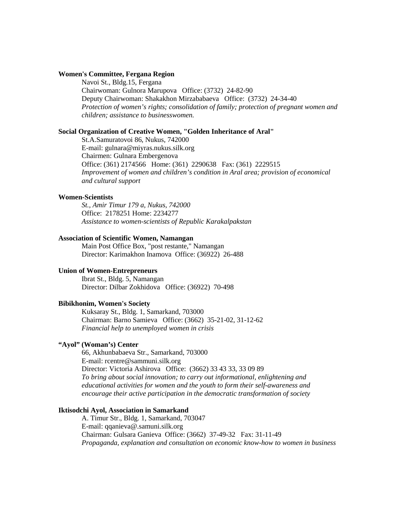### **Women's Committee, Fergana Region**

Navoi St., Bldg.15, Fergana Chairwoman: Gulnora Marupova Office: (3732) 24-82-90 Deputy Chairwoman: Shakakhon Mirzababaeva Office: (3732) 24-34-40 *Protection of women's rights; consolidation of family; protection of pregnant women and children; assistance to businesswomen.*

#### **Social Organization of Creative Women, "Golden Inheritance of Aral"**

St.A.Samuratovoi 86, Nukus, 742000 E-mail: gulnara@miyras.nukus.silk.org Chairmen: Gulnara Embergenova Office: (361) 2174566 Home: (361) 2290638 Fax: (361) 2229515 *Improvement of women and children's condition in Aral area; provision of economical and cultural support*

### **Women-Scientists**

*St., Amir Timur 179 a, Nukus, 742000* Office: 2178251 Home: 2234277 *Assistance to women-scientists of Republic Karakalpakstan*

### **Association of Scientific Women, Namangan**

Main Post Office Box, "post restante," Namangan Director: Karimakhon Inamova Office: (36922) 26-488

### **Union of Women-Entrepreneurs**

Ibrat St., Bldg. 5, Namangan Director: Dilbar Zokhidova Office: (36922) 70-498

## **Bibikhonim, Women's Society**

Kuksaray St., Bldg. 1, Samarkand, 703000 Chairman: Barno Samieva Office: (3662) 35-21-02, 31-12-62 *Financial help to unemployed women in crisis*

### **"Ayol" (Woman's) Center**

66, Akhunbabaeva Str., Samarkand, 703000 E-mail: rcentre@sammuni.silk.org Director: Victoria Ashirova Office: (3662) 33 43 33, 33 09 89 *To bring about social innovation; to carry out informational, enlightening and educational activities for women and the youth to form their self-awareness and encourage their active participation in the democratic transformation of society*

#### **Iktisodchi Ayol, Association in Samarkand**

A. Timur Str., Bldg. 1, Samarkand, 703047 E-mail: qqanieva@.samuni.silk.org Chairman: Gulsara Ganieva Office: (3662) 37-49-32 Fax: 31-11-49 *Propaganda, explanation and consultation on economic know-how to women in business*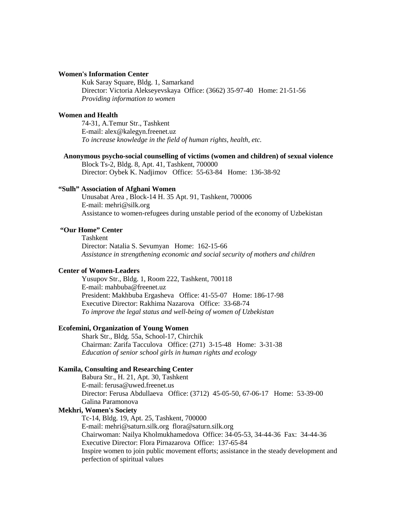### **Women's Information Center**

Kuk Saray Square, Bldg. 1, Samarkand Director: Victoria Alekseyevskaya Office: (3662) 35-97-40 Home: 21-51-56 *Providing information to women*

## **Women and Health**

74-31, A.Temur Str., Tashkent E-mail: alex@kalegyn.freenet.uz *To increase knowledge in the field of human rights, health, etc.*

#### **Anonymous psycho-social counselling of victims (women and children) of sexual violence**

Block Ts-2, Bldg. 8, Apt. 41, Tashkent, 700000 Director: Oybek K. Nadjimov Office: 55-63-84 Home: 136-38-92

# **"Sulh" Association of Afghani Women**

Unusabat Area , Block-14 H. 35 Apt. 91, Tashkent, 700006 E-mail: mehri@silk.org Assistance to women-refugees during unstable period of the economy of Uzbekistan

# **"Our Home" Center**

Tashkent Director: Natalia S. Sevumyan Home: 162-15-66 *Assistance in strengthening economic and social security of mothers and children*

# **Center of Women-Leaders**

Yusupov Str., Bldg. 1, Room 222, Tashkent, 700118 E-mail: mahbuba@freenet.uz President: Makhbuba Ergasheva Office: 41-55-07 Home: 186-17-98 Executive Director: Rakhima Nazarova Office: 33-68-74 *To improve the legal status and well-being of women of Uzbekistan*

### **Ecofemini, Organization of Young Women**

Shark Str., Bldg. 55a, School-17, Chirchik Chairman: Zarifa Tacculova Office: (271) 3-15-48 Home: 3-31-38 *Education of senior school girls in human rights and ecology*

#### **Kamila, Consulting and Researching Center**

Babura Str., H. 21, Apt. 30, Tashkent E-mail: ferusa@uwed.freenet.us Director: Ferusa Abdullaeva Office: (3712) 45-05-50, 67-06-17 Home: 53-39-00 Galina Paramonova

# **Mekhri, Women's Society**

Tc-14, Bldg. 19, Apt. 25, Tashkent, 700000 E-mail: mehri@saturn.silk.org flora@saturn.silk.org Chairwoman: Nailya Kholmukhamedova Office: 34-05-53, 34-44-36 Fax: 34-44-36 Executive Director: Flora Pirnazarova Office: 137-65-84 Inspire women to join public movement efforts; assistance in the steady development and perfection of spiritual values